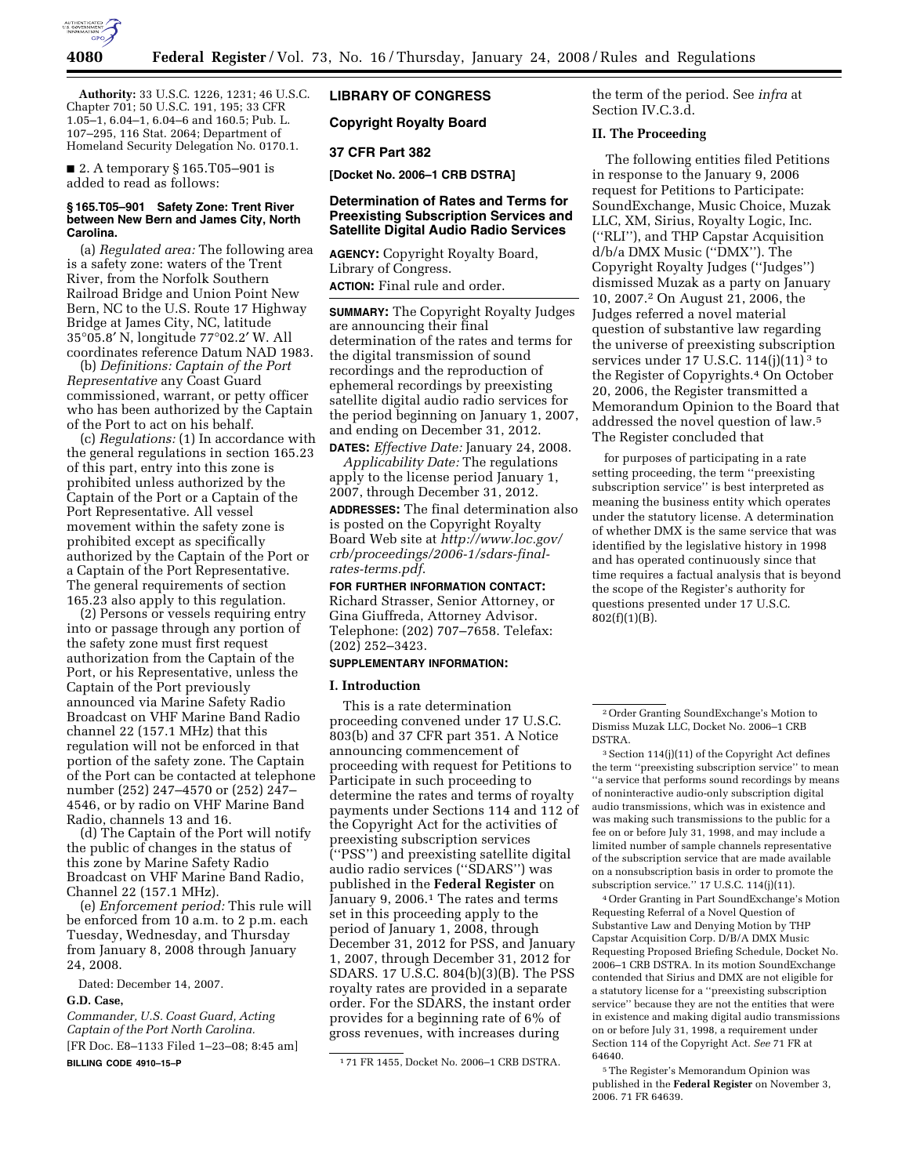

**Authority:** 33 U.S.C. 1226, 1231; 46 U.S.C. Chapter 701; 50 U.S.C. 191, 195; 33 CFR 1.05–1, 6.04–1, 6.04–6 and 160.5; Pub. L. 107–295, 116 Stat. 2064; Department of Homeland Security Delegation No. 0170.1.

■ 2. A temporary § 165.T05–901 is added to read as follows:

#### **§ 165.T05–901 Safety Zone: Trent River between New Bern and James City, North Carolina.**

(a) *Regulated area:* The following area is a safety zone: waters of the Trent River, from the Norfolk Southern Railroad Bridge and Union Point New Bern, NC to the U.S. Route 17 Highway Bridge at James City, NC, latitude 35°05.8′ N, longitude 77°02.2′ W. All coordinates reference Datum NAD 1983.

(b) *Definitions: Captain of the Port Representative* any Coast Guard commissioned, warrant, or petty officer who has been authorized by the Captain of the Port to act on his behalf.

(c) *Regulations:* (1) In accordance with the general regulations in section 165.23 of this part, entry into this zone is prohibited unless authorized by the Captain of the Port or a Captain of the Port Representative. All vessel movement within the safety zone is prohibited except as specifically authorized by the Captain of the Port or a Captain of the Port Representative. The general requirements of section 165.23 also apply to this regulation.

(2) Persons or vessels requiring entry into or passage through any portion of the safety zone must first request authorization from the Captain of the Port, or his Representative, unless the Captain of the Port previously announced via Marine Safety Radio Broadcast on VHF Marine Band Radio channel 22 (157.1 MHz) that this regulation will not be enforced in that portion of the safety zone. The Captain of the Port can be contacted at telephone number (252) 247–4570 or (252) 247– 4546, or by radio on VHF Marine Band Radio, channels 13 and 16.

(d) The Captain of the Port will notify the public of changes in the status of this zone by Marine Safety Radio Broadcast on VHF Marine Band Radio, Channel 22 (157.1 MHz).

(e) *Enforcement period:* This rule will be enforced from 10 a.m. to 2 p.m. each Tuesday, Wednesday, and Thursday from January 8, 2008 through January 24, 2008.

Dated: December 14, 2007.

#### **G.D. Case,**

*Commander, U.S. Coast Guard, Acting Captain of the Port North Carolina.*  [FR Doc. E8–1133 Filed 1–23–08; 8:45 am] **BILLING CODE 4910–15–P** 

# **LIBRARY OF CONGRESS**

**Copyright Royalty Board** 

### **37 CFR Part 382**

**[Docket No. 2006–1 CRB DSTRA]** 

# **Determination of Rates and Terms for Preexisting Subscription Services and Satellite Digital Audio Radio Services**

**AGENCY:** Copyright Royalty Board, Library of Congress.

**ACTION:** Final rule and order.

**SUMMARY:** The Copyright Royalty Judges are announcing their final determination of the rates and terms for the digital transmission of sound recordings and the reproduction of ephemeral recordings by preexisting satellite digital audio radio services for the period beginning on January 1, 2007, and ending on December 31, 2012.

**DATES:** *Effective Date:* January 24, 2008. *Applicability Date:* The regulations apply to the license period January 1, 2007, through December 31, 2012.

**ADDRESSES:** The final determination also is posted on the Copyright Royalty Board Web site at *http://www.loc.gov/ crb/proceedings/2006-1/sdars-finalrates-terms.pdf*.

**FOR FURTHER INFORMATION CONTACT:**  Richard Strasser, Senior Attorney, or Gina Giuffreda, Attorney Advisor. Telephone: (202) 707–7658. Telefax: (202) 252–3423.

# **SUPPLEMENTARY INFORMATION:**

#### **I. Introduction**

This is a rate determination proceeding convened under 17 U.S.C. 803(b) and 37 CFR part 351. A Notice announcing commencement of proceeding with request for Petitions to Participate in such proceeding to determine the rates and terms of royalty payments under Sections 114 and 112 of the Copyright Act for the activities of preexisting subscription services (''PSS'') and preexisting satellite digital audio radio services (''SDARS'') was published in the **Federal Register** on January 9, 2006.1 The rates and terms set in this proceeding apply to the period of January 1, 2008, through December 31, 2012 for PSS, and January 1, 2007, through December 31, 2012 for SDARS. 17 U.S.C. 804(b)(3)(B). The PSS royalty rates are provided in a separate order. For the SDARS, the instant order provides for a beginning rate of 6% of gross revenues, with increases during

the term of the period. See *infra* at Section IV.C.3.d.

# **II. The Proceeding**

The following entities filed Petitions in response to the January 9, 2006 request for Petitions to Participate: SoundExchange, Music Choice, Muzak LLC, XM, Sirius, Royalty Logic, Inc. (''RLI''), and THP Capstar Acquisition d/b/a DMX Music (''DMX''). The Copyright Royalty Judges (''Judges'') dismissed Muzak as a party on January 10, 2007.2 On August 21, 2006, the Judges referred a novel material question of substantive law regarding the universe of preexisting subscription services under 17 U.S.C.  $114(j)(11)^3$  to the Register of Copyrights.4 On October 20, 2006, the Register transmitted a Memorandum Opinion to the Board that addressed the novel question of law.5 The Register concluded that

for purposes of participating in a rate setting proceeding, the term ''preexisting subscription service'' is best interpreted as meaning the business entity which operates under the statutory license. A determination of whether DMX is the same service that was identified by the legislative history in 1998 and has operated continuously since that time requires a factual analysis that is beyond the scope of the Register's authority for questions presented under 17 U.S.C. 802(f)(1)(B).

 $^3$  Section 114(j)(11) of the Copyright Act defines the term ''preexisting subscription service'' to mean ''a service that performs sound recordings by means of noninteractive audio-only subscription digital audio transmissions, which was in existence and was making such transmissions to the public for a fee on or before July 31, 1998, and may include a limited number of sample channels representative of the subscription service that are made available on a nonsubscription basis in order to promote the subscription service.'' 17 U.S.C. 114(j)(11).

4Order Granting in Part SoundExchange's Motion Requesting Referral of a Novel Question of Substantive Law and Denying Motion by THP Capstar Acquisition Corp. D/B/A DMX Music Requesting Proposed Briefing Schedule, Docket No. 2006–1 CRB DSTRA. In its motion SoundExchange contended that Sirius and DMX are not eligible for a statutory license for a ''preexisting subscription service'' because they are not the entities that were in existence and making digital audio transmissions on or before July 31, 1998, a requirement under Section 114 of the Copyright Act. *See* 71 FR at 64640.

5The Register's Memorandum Opinion was published in the **Federal Register** on November 3, 2006. 71 FR 64639.

<sup>1</sup> 71 FR 1455, Docket No. 2006–1 CRB DSTRA.

<sup>2</sup>Order Granting SoundExchange's Motion to Dismiss Muzak LLC, Docket No. 2006–1 CRB DSTRA.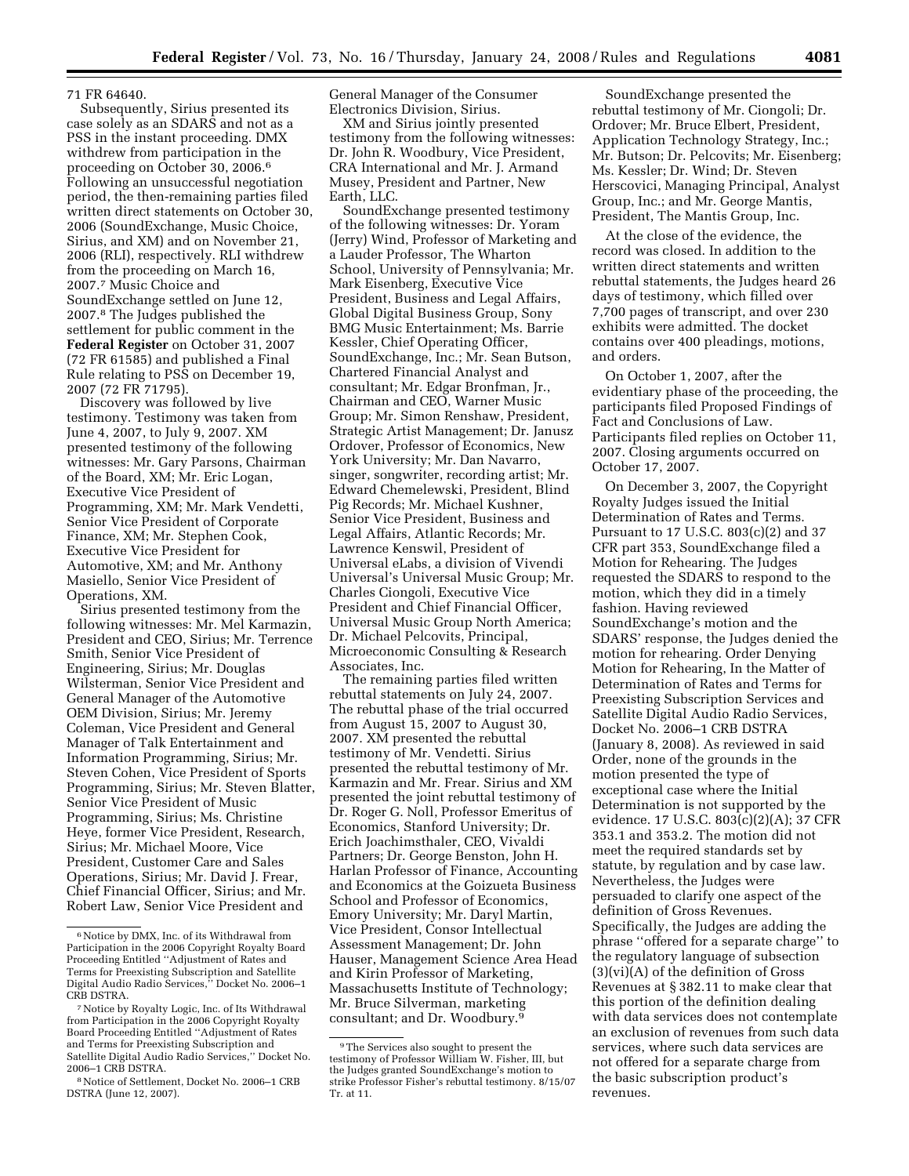### 71 FR 64640.

Subsequently, Sirius presented its case solely as an SDARS and not as a PSS in the instant proceeding. DMX withdrew from participation in the proceeding on October 30, 2006.6 Following an unsuccessful negotiation period, the then-remaining parties filed written direct statements on October 30, 2006 (SoundExchange, Music Choice, Sirius, and XM) and on November 21, 2006 (RLI), respectively. RLI withdrew from the proceeding on March 16, 2007.7 Music Choice and SoundExchange settled on June 12, 2007.8 The Judges published the settlement for public comment in the **Federal Register** on October 31, 2007 (72 FR 61585) and published a Final Rule relating to PSS on December 19, 2007 (72 FR 71795).

Discovery was followed by live testimony. Testimony was taken from June 4, 2007, to July 9, 2007. XM presented testimony of the following witnesses: Mr. Gary Parsons, Chairman of the Board, XM; Mr. Eric Logan, Executive Vice President of Programming, XM; Mr. Mark Vendetti, Senior Vice President of Corporate Finance, XM; Mr. Stephen Cook, Executive Vice President for Automotive, XM; and Mr. Anthony Masiello, Senior Vice President of Operations, XM.

Sirius presented testimony from the following witnesses: Mr. Mel Karmazin, President and CEO, Sirius; Mr. Terrence Smith, Senior Vice President of Engineering, Sirius; Mr. Douglas Wilsterman, Senior Vice President and General Manager of the Automotive OEM Division, Sirius; Mr. Jeremy Coleman, Vice President and General Manager of Talk Entertainment and Information Programming, Sirius; Mr. Steven Cohen, Vice President of Sports Programming, Sirius; Mr. Steven Blatter, Senior Vice President of Music Programming, Sirius; Ms. Christine Heye, former Vice President, Research, Sirius; Mr. Michael Moore, Vice President, Customer Care and Sales Operations, Sirius; Mr. David J. Frear, Chief Financial Officer, Sirius; and Mr. Robert Law, Senior Vice President and

General Manager of the Consumer Electronics Division, Sirius.

XM and Sirius jointly presented testimony from the following witnesses: Dr. John R. Woodbury, Vice President, CRA International and Mr. J. Armand Musey, President and Partner, New Earth, LLC.

SoundExchange presented testimony of the following witnesses: Dr. Yoram (Jerry) Wind, Professor of Marketing and a Lauder Professor, The Wharton School, University of Pennsylvania; Mr. Mark Eisenberg, Executive Vice President, Business and Legal Affairs, Global Digital Business Group, Sony BMG Music Entertainment; Ms. Barrie Kessler, Chief Operating Officer, SoundExchange, Inc.; Mr. Sean Butson, Chartered Financial Analyst and consultant; Mr. Edgar Bronfman, Jr., Chairman and CEO, Warner Music Group; Mr. Simon Renshaw, President, Strategic Artist Management; Dr. Janusz Ordover, Professor of Economics, New York University; Mr. Dan Navarro, singer, songwriter, recording artist; Mr. Edward Chemelewski, President, Blind Pig Records; Mr. Michael Kushner, Senior Vice President, Business and Legal Affairs, Atlantic Records; Mr. Lawrence Kenswil, President of Universal eLabs, a division of Vivendi Universal's Universal Music Group; Mr. Charles Ciongoli, Executive Vice President and Chief Financial Officer, Universal Music Group North America; Dr. Michael Pelcovits, Principal, Microeconomic Consulting & Research Associates, Inc.

The remaining parties filed written rebuttal statements on July 24, 2007. The rebuttal phase of the trial occurred from August 15, 2007 to August 30, 2007. XM presented the rebuttal testimony of Mr. Vendetti. Sirius presented the rebuttal testimony of Mr. Karmazin and Mr. Frear. Sirius and XM presented the joint rebuttal testimony of Dr. Roger G. Noll, Professor Emeritus of Economics, Stanford University; Dr. Erich Joachimsthaler, CEO, Vivaldi Partners; Dr. George Benston, John H. Harlan Professor of Finance, Accounting and Economics at the Goizueta Business School and Professor of Economics, Emory University; Mr. Daryl Martin, Vice President, Consor Intellectual Assessment Management; Dr. John Hauser, Management Science Area Head and Kirin Professor of Marketing, Massachusetts Institute of Technology; Mr. Bruce Silverman, marketing consultant; and Dr. Woodbury.9

SoundExchange presented the rebuttal testimony of Mr. Ciongoli; Dr. Ordover; Mr. Bruce Elbert, President, Application Technology Strategy, Inc.; Mr. Butson; Dr. Pelcovits; Mr. Eisenberg; Ms. Kessler; Dr. Wind; Dr. Steven Herscovici, Managing Principal, Analyst Group, Inc.; and Mr. George Mantis, President, The Mantis Group, Inc.

At the close of the evidence, the record was closed. In addition to the written direct statements and written rebuttal statements, the Judges heard 26 days of testimony, which filled over 7,700 pages of transcript, and over 230 exhibits were admitted. The docket contains over 400 pleadings, motions, and orders.

On October 1, 2007, after the evidentiary phase of the proceeding, the participants filed Proposed Findings of Fact and Conclusions of Law. Participants filed replies on October 11, 2007. Closing arguments occurred on October 17, 2007.

On December 3, 2007, the Copyright Royalty Judges issued the Initial Determination of Rates and Terms. Pursuant to 17 U.S.C. 803(c)(2) and 37 CFR part 353, SoundExchange filed a Motion for Rehearing. The Judges requested the SDARS to respond to the motion, which they did in a timely fashion. Having reviewed SoundExchange's motion and the SDARS' response, the Judges denied the motion for rehearing. Order Denying Motion for Rehearing, In the Matter of Determination of Rates and Terms for Preexisting Subscription Services and Satellite Digital Audio Radio Services, Docket No. 2006–1 CRB DSTRA (January 8, 2008). As reviewed in said Order, none of the grounds in the motion presented the type of exceptional case where the Initial Determination is not supported by the evidence. 17 U.S.C. 803(c)(2)(A); 37 CFR 353.1 and 353.2. The motion did not meet the required standards set by statute, by regulation and by case law. Nevertheless, the Judges were persuaded to clarify one aspect of the definition of Gross Revenues. Specifically, the Judges are adding the phrase ''offered for a separate charge'' to the regulatory language of subsection (3)(vi)(A) of the definition of Gross Revenues at § 382.11 to make clear that this portion of the definition dealing with data services does not contemplate an exclusion of revenues from such data services, where such data services are not offered for a separate charge from the basic subscription product's revenues.

<sup>&</sup>lt;sup>6</sup> Notice by DMX, Inc. of its Withdrawal from Participation in the 2006 Copyright Royalty Board Proceeding Entitled ''Adjustment of Rates and Terms for Preexisting Subscription and Satellite Digital Audio Radio Services,'' Docket No. 2006–1 CRB DSTRA.

<sup>7</sup>Notice by Royalty Logic, Inc. of Its Withdrawal from Participation in the 2006 Copyright Royalty Board Proceeding Entitled ''Adjustment of Rates and Terms for Preexisting Subscription and Satellite Digital Audio Radio Services,'' Docket No. 2006–1 CRB DSTRA.

<sup>8</sup>Notice of Settlement, Docket No. 2006–1 CRB DSTRA (June 12, 2007).

<sup>9</sup>The Services also sought to present the testimony of Professor William W. Fisher, III, but the Judges granted SoundExchange's motion to strike Professor Fisher's rebuttal testimony. 8/15/07 Tr. at 11.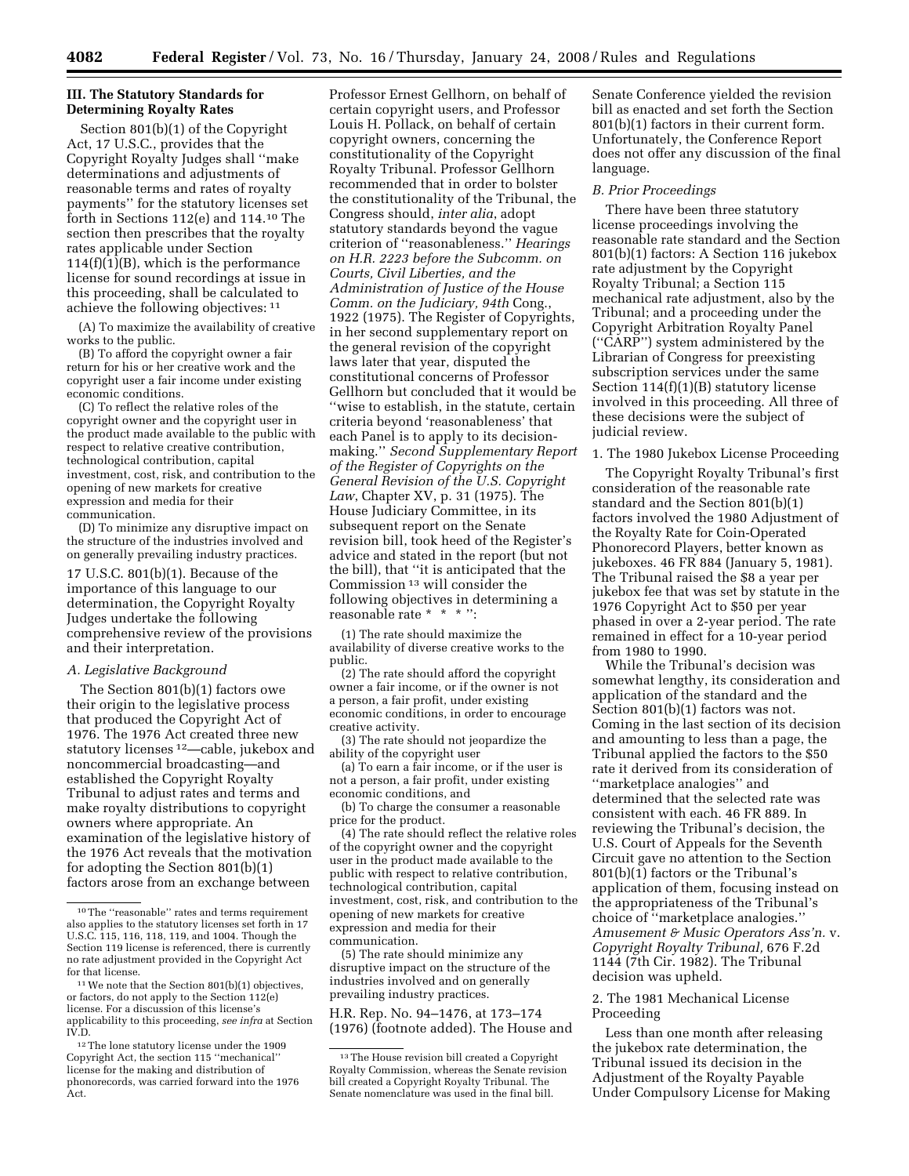# **III. The Statutory Standards for Determining Royalty Rates**

Section 801(b)(1) of the Copyright Act, 17 U.S.C., provides that the Copyright Royalty Judges shall ''make determinations and adjustments of reasonable terms and rates of royalty payments'' for the statutory licenses set forth in Sections 112(e) and 114.10 The section then prescribes that the royalty rates applicable under Section 114(f)(1)(B), which is the performance license for sound recordings at issue in this proceeding, shall be calculated to achieve the following objectives: 11

(A) To maximize the availability of creative works to the public.

(B) To afford the copyright owner a fair return for his or her creative work and the copyright user a fair income under existing economic conditions.

(C) To reflect the relative roles of the copyright owner and the copyright user in the product made available to the public with respect to relative creative contribution, technological contribution, capital investment, cost, risk, and contribution to the opening of new markets for creative expression and media for their communication.

(D) To minimize any disruptive impact on the structure of the industries involved and on generally prevailing industry practices.

17 U.S.C. 801(b)(1). Because of the importance of this language to our determination, the Copyright Royalty Judges undertake the following comprehensive review of the provisions and their interpretation.

# *A. Legislative Background*

The Section 801(b)(1) factors owe their origin to the legislative process that produced the Copyright Act of 1976. The 1976 Act created three new statutory licenses 12—cable, jukebox and noncommercial broadcasting—and established the Copyright Royalty Tribunal to adjust rates and terms and make royalty distributions to copyright owners where appropriate. An examination of the legislative history of the 1976 Act reveals that the motivation for adopting the Section 801(b)(1) factors arose from an exchange between

Professor Ernest Gellhorn, on behalf of certain copyright users, and Professor Louis H. Pollack, on behalf of certain copyright owners, concerning the constitutionality of the Copyright Royalty Tribunal. Professor Gellhorn recommended that in order to bolster the constitutionality of the Tribunal, the Congress should, *inter alia*, adopt statutory standards beyond the vague criterion of ''reasonableness.'' *Hearings on H.R. 2223 before the Subcomm. on Courts, Civil Liberties, and the Administration of Justice of the House Comm. on the Judiciary, 94th* Cong., 1922 (1975). The Register of Copyrights, in her second supplementary report on the general revision of the copyright laws later that year, disputed the constitutional concerns of Professor Gellhorn but concluded that it would be ''wise to establish, in the statute, certain criteria beyond 'reasonableness' that each Panel is to apply to its decisionmaking.'' *Second Supplementary Report of the Register of Copyrights on the General Revision of the U.S. Copyright Law*, Chapter XV, p. 31 (1975). The House Judiciary Committee, in its subsequent report on the Senate revision bill, took heed of the Register's advice and stated in the report (but not the bill), that ''it is anticipated that the Commission 13 will consider the following objectives in determining a reasonable rate \* \* \* '':

(1) The rate should maximize the availability of diverse creative works to the public.

(2) The rate should afford the copyright owner a fair income, or if the owner is not a person, a fair profit, under existing economic conditions, in order to encourage creative activity.

(3) The rate should not jeopardize the ability of the copyright user

(a) To earn a fair income, or if the user is not a person, a fair profit, under existing economic conditions, and

(b) To charge the consumer a reasonable price for the product.

(4) The rate should reflect the relative roles of the copyright owner and the copyright user in the product made available to the public with respect to relative contribution, technological contribution, capital investment, cost, risk, and contribution to the opening of new markets for creative expression and media for their communication.

(5) The rate should minimize any disruptive impact on the structure of the industries involved and on generally prevailing industry practices.

H.R. Rep. No. 94–1476, at 173–174 (1976) (footnote added). The House and

Senate Conference yielded the revision bill as enacted and set forth the Section 801(b)(1) factors in their current form. Unfortunately, the Conference Report does not offer any discussion of the final language.

#### *B. Prior Proceedings*

There have been three statutory license proceedings involving the reasonable rate standard and the Section 801(b)(1) factors: A Section 116 jukebox rate adjustment by the Copyright Royalty Tribunal; a Section 115 mechanical rate adjustment, also by the Tribunal; and a proceeding under the Copyright Arbitration Royalty Panel (''CARP'') system administered by the Librarian of Congress for preexisting subscription services under the same Section 114(f)(1)(B) statutory license involved in this proceeding. All three of these decisions were the subject of judicial review.

1. The 1980 Jukebox License Proceeding

The Copyright Royalty Tribunal's first consideration of the reasonable rate standard and the Section 801(b)(1) factors involved the 1980 Adjustment of the Royalty Rate for Coin-Operated Phonorecord Players, better known as jukeboxes. 46 FR 884 (January 5, 1981). The Tribunal raised the \$8 a year per jukebox fee that was set by statute in the 1976 Copyright Act to \$50 per year phased in over a 2-year period. The rate remained in effect for a 10-year period from 1980 to 1990.

While the Tribunal's decision was somewhat lengthy, its consideration and application of the standard and the Section 801(b)(1) factors was not. Coming in the last section of its decision and amounting to less than a page, the Tribunal applied the factors to the \$50 rate it derived from its consideration of ''marketplace analogies'' and determined that the selected rate was consistent with each. 46 FR 889. In reviewing the Tribunal's decision, the U.S. Court of Appeals for the Seventh Circuit gave no attention to the Section 801(b)(1) factors or the Tribunal's application of them, focusing instead on the appropriateness of the Tribunal's choice of ''marketplace analogies.'' *Amusement & Music Operators Ass'n.* v. *Copyright Royalty Tribunal,* 676 F.2d 1144 (7th Cir. 1982). The Tribunal decision was upheld.

# 2. The 1981 Mechanical License Proceeding

Less than one month after releasing the jukebox rate determination, the Tribunal issued its decision in the Adjustment of the Royalty Payable Under Compulsory License for Making

<sup>10</sup>The ''reasonable'' rates and terms requirement also applies to the statutory licenses set forth in 17 U.S.C. 115, 116, 118, 119, and 1004. Though the Section 119 license is referenced, there is currently no rate adjustment provided in the Copyright Act for that license.

<sup>11</sup>We note that the Section 801(b)(1) objectives, or factors, do not apply to the Section 112(e) license. For a discussion of this license's applicability to this proceeding, *see infra* at Section IV.D.

<sup>12</sup>The lone statutory license under the 1909 Copyright Act, the section 115 ''mechanical'' license for the making and distribution of phonorecords, was carried forward into the 1976 Act.

<sup>13</sup>The House revision bill created a Copyright Royalty Commission, whereas the Senate revision bill created a Copyright Royalty Tribunal. The Senate nomenclature was used in the final bill.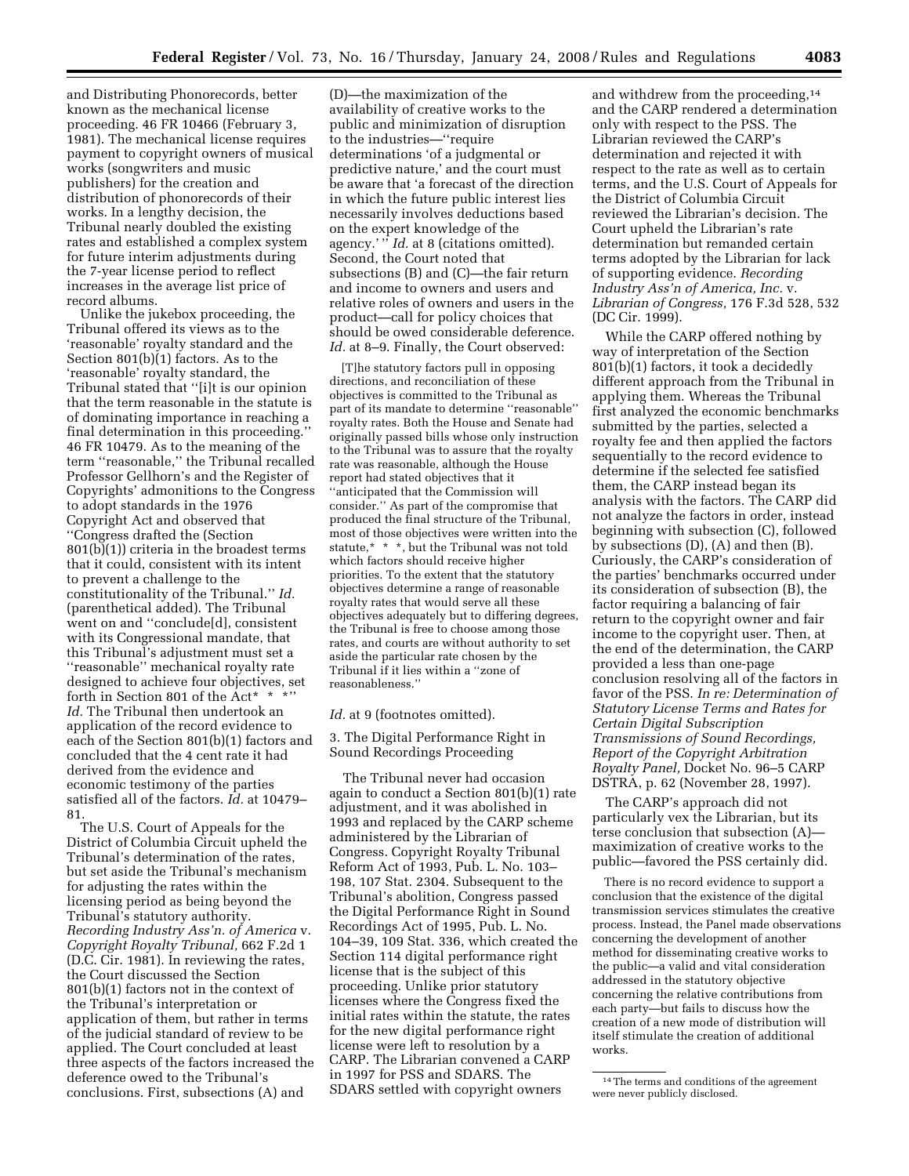and Distributing Phonorecords, better known as the mechanical license proceeding. 46 FR 10466 (February 3, 1981). The mechanical license requires payment to copyright owners of musical works (songwriters and music publishers) for the creation and distribution of phonorecords of their works. In a lengthy decision, the Tribunal nearly doubled the existing rates and established a complex system for future interim adjustments during the 7-year license period to reflect increases in the average list price of record albums.

Unlike the jukebox proceeding, the Tribunal offered its views as to the 'reasonable' royalty standard and the Section 801(b)(1) factors. As to the 'reasonable' royalty standard, the Tribunal stated that ''[i]t is our opinion that the term reasonable in the statute is of dominating importance in reaching a final determination in this proceeding.'' 46 FR 10479. As to the meaning of the term ''reasonable,'' the Tribunal recalled Professor Gellhorn's and the Register of Copyrights' admonitions to the Congress to adopt standards in the 1976 Copyright Act and observed that ''Congress drafted the (Section 801(b)(1)) criteria in the broadest terms that it could, consistent with its intent to prevent a challenge to the constitutionality of the Tribunal.'' *Id.*  (parenthetical added). The Tribunal went on and ''conclude[d], consistent with its Congressional mandate, that this Tribunal's adjustment must set a ''reasonable'' mechanical royalty rate designed to achieve four objectives, set forth in Section 801 of the Act\* \* \*'' *Id.* The Tribunal then undertook an application of the record evidence to each of the Section 801(b)(1) factors and concluded that the 4 cent rate it had derived from the evidence and economic testimony of the parties satisfied all of the factors. *Id.* at 10479– 81.

The U.S. Court of Appeals for the District of Columbia Circuit upheld the Tribunal's determination of the rates, but set aside the Tribunal's mechanism for adjusting the rates within the licensing period as being beyond the Tribunal's statutory authority. *Recording Industry Ass'n. of America* v. *Copyright Royalty Tribunal,* 662 F.2d 1 (D.C. Cir. 1981). In reviewing the rates, the Court discussed the Section 801(b)(1) factors not in the context of the Tribunal's interpretation or application of them, but rather in terms of the judicial standard of review to be applied. The Court concluded at least three aspects of the factors increased the deference owed to the Tribunal's conclusions. First, subsections (A) and

(D)—the maximization of the availability of creative works to the public and minimization of disruption to the industries—''require determinations 'of a judgmental or predictive nature,' and the court must be aware that 'a forecast of the direction in which the future public interest lies necessarily involves deductions based on the expert knowledge of the agency.' '' *Id.* at 8 (citations omitted). Second, the Court noted that subsections (B) and (C)—the fair return and income to owners and users and relative roles of owners and users in the product—call for policy choices that should be owed considerable deference. *Id.* at 8–9. Finally, the Court observed:

[T]he statutory factors pull in opposing directions, and reconciliation of these objectives is committed to the Tribunal as part of its mandate to determine ''reasonable'' royalty rates. Both the House and Senate had originally passed bills whose only instruction to the Tribunal was to assure that the royalty rate was reasonable, although the House report had stated objectives that it ''anticipated that the Commission will consider.'' As part of the compromise that produced the final structure of the Tribunal, most of those objectives were written into the statute,\* \* \*, but the Tribunal was not told which factors should receive higher priorities. To the extent that the statutory objectives determine a range of reasonable royalty rates that would serve all these objectives adequately but to differing degrees, the Tribunal is free to choose among those rates, and courts are without authority to set aside the particular rate chosen by the Tribunal if it lies within a ''zone of reasonableness.''

## Id. at 9 (footnotes omitted).

3. The Digital Performance Right in Sound Recordings Proceeding

The Tribunal never had occasion again to conduct a Section 801(b)(1) rate adjustment, and it was abolished in 1993 and replaced by the CARP scheme administered by the Librarian of Congress. Copyright Royalty Tribunal Reform Act of 1993, Pub. L. No. 103– 198, 107 Stat. 2304. Subsequent to the Tribunal's abolition, Congress passed the Digital Performance Right in Sound Recordings Act of 1995, Pub. L. No. 104–39, 109 Stat. 336, which created the Section 114 digital performance right license that is the subject of this proceeding. Unlike prior statutory licenses where the Congress fixed the initial rates within the statute, the rates for the new digital performance right license were left to resolution by a CARP. The Librarian convened a CARP in 1997 for PSS and SDARS. The SDARS settled with copyright owners

and withdrew from the proceeding,14 and the CARP rendered a determination only with respect to the PSS. The Librarian reviewed the CARP's determination and rejected it with respect to the rate as well as to certain terms, and the U.S. Court of Appeals for the District of Columbia Circuit reviewed the Librarian's decision. The Court upheld the Librarian's rate determination but remanded certain terms adopted by the Librarian for lack of supporting evidence. *Recording Industry Ass'n of America, Inc.* v. *Librarian of Congress,* 176 F.3d 528, 532 (DC Cir. 1999).

While the CARP offered nothing by way of interpretation of the Section 801(b)(1) factors, it took a decidedly different approach from the Tribunal in applying them. Whereas the Tribunal first analyzed the economic benchmarks submitted by the parties, selected a royalty fee and then applied the factors sequentially to the record evidence to determine if the selected fee satisfied them, the CARP instead began its analysis with the factors. The CARP did not analyze the factors in order, instead beginning with subsection (C), followed by subsections (D), (A) and then (B). Curiously, the CARP's consideration of the parties' benchmarks occurred under its consideration of subsection (B), the factor requiring a balancing of fair return to the copyright owner and fair income to the copyright user. Then, at the end of the determination, the CARP provided a less than one-page conclusion resolving all of the factors in favor of the PSS. *In re: Determination of Statutory License Terms and Rates for Certain Digital Subscription Transmissions of Sound Recordings, Report of the Copyright Arbitration Royalty Panel,* Docket No. 96–5 CARP DSTRA, p. 62 (November 28, 1997).

The CARP's approach did not particularly vex the Librarian, but its terse conclusion that subsection (A) maximization of creative works to the public—favored the PSS certainly did.

There is no record evidence to support a conclusion that the existence of the digital transmission services stimulates the creative process. Instead, the Panel made observations concerning the development of another method for disseminating creative works to the public—a valid and vital consideration addressed in the statutory objective concerning the relative contributions from each party—but fails to discuss how the creation of a new mode of distribution will itself stimulate the creation of additional works.

<sup>14</sup>The terms and conditions of the agreement were never publicly disclosed.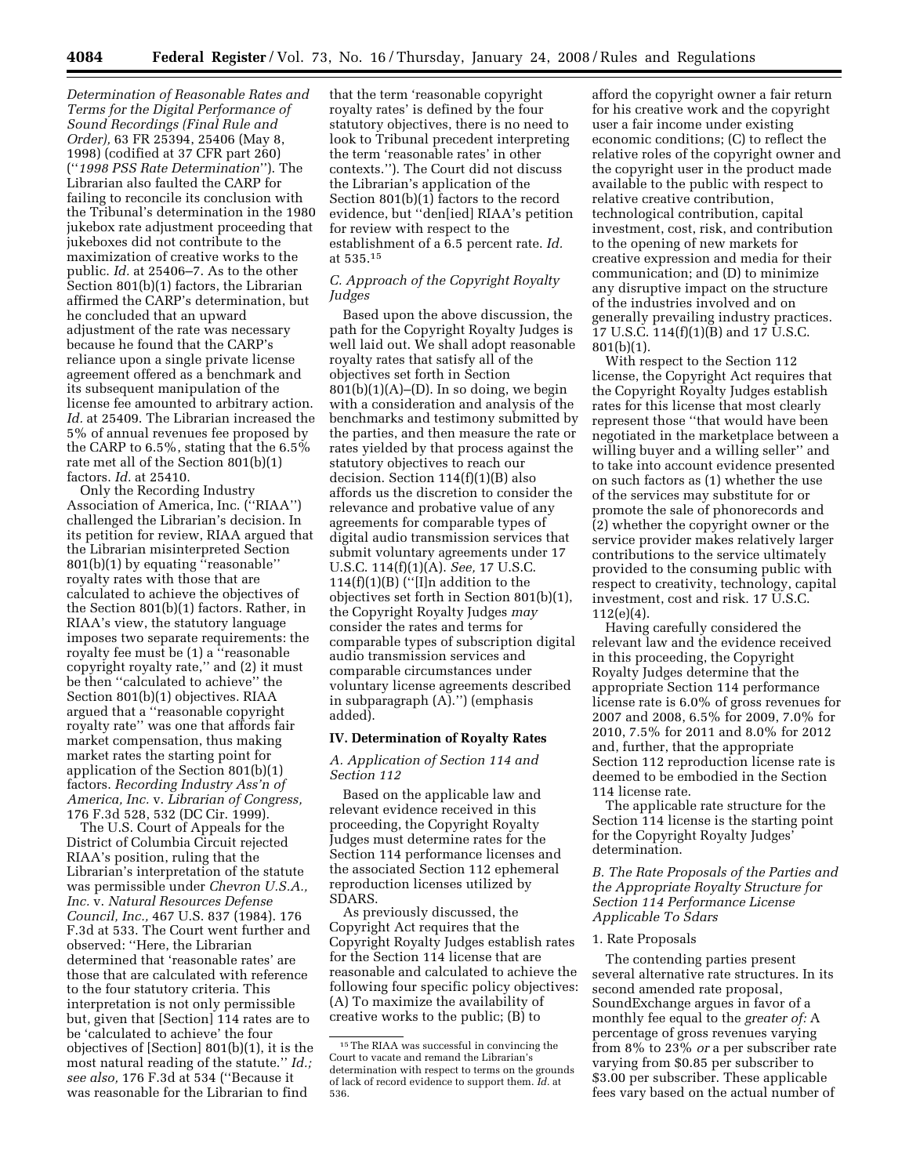*Determination of Reasonable Rates and Terms for the Digital Performance of Sound Recordings (Final Rule and Order),* 63 FR 25394, 25406 (May 8, 1998) (codified at 37 CFR part 260) (''*1998 PSS Rate Determination*''). The Librarian also faulted the CARP for failing to reconcile its conclusion with the Tribunal's determination in the 1980 jukebox rate adjustment proceeding that jukeboxes did not contribute to the maximization of creative works to the public. *Id.* at 25406–7. As to the other Section 801(b)(1) factors, the Librarian affirmed the CARP's determination, but he concluded that an upward adjustment of the rate was necessary because he found that the CARP's reliance upon a single private license agreement offered as a benchmark and its subsequent manipulation of the license fee amounted to arbitrary action. *Id.* at 25409. The Librarian increased the 5% of annual revenues fee proposed by the CARP to 6.5%, stating that the 6.5% rate met all of the Section 801(b)(1) factors. *Id.* at 25410.

Only the Recording Industry Association of America, Inc. (''RIAA'') challenged the Librarian's decision. In its petition for review, RIAA argued that the Librarian misinterpreted Section 801(b)(1) by equating ''reasonable'' royalty rates with those that are calculated to achieve the objectives of the Section 801(b)(1) factors. Rather, in RIAA's view, the statutory language imposes two separate requirements: the royalty fee must be (1) a ''reasonable copyright royalty rate,'' and (2) it must be then ''calculated to achieve'' the Section 801(b)(1) objectives. RIAA argued that a ''reasonable copyright royalty rate'' was one that affords fair market compensation, thus making market rates the starting point for application of the Section 801(b)(1) factors. *Recording Industry Ass'n of America, Inc.* v. *Librarian of Congress,*  176 F.3d 528, 532 (DC Cir. 1999).

The U.S. Court of Appeals for the District of Columbia Circuit rejected RIAA's position, ruling that the Librarian's interpretation of the statute was permissible under *Chevron U.S.A., Inc.* v. *Natural Resources Defense Council, Inc.,* 467 U.S. 837 (1984). 176 F.3d at 533. The Court went further and observed: ''Here, the Librarian determined that 'reasonable rates' are those that are calculated with reference to the four statutory criteria. This interpretation is not only permissible but, given that [Section] 114 rates are to be 'calculated to achieve' the four objectives of [Section] 801(b)(1), it is the most natural reading of the statute.'' *Id.; see also,* 176 F.3d at 534 (''Because it was reasonable for the Librarian to find

that the term 'reasonable copyright royalty rates' is defined by the four statutory objectives, there is no need to look to Tribunal precedent interpreting the term 'reasonable rates' in other contexts.''). The Court did not discuss the Librarian's application of the Section 801(b)(1) factors to the record evidence, but ''den[ied] RIAA's petition for review with respect to the establishment of a 6.5 percent rate. *Id.*  at 535.15

## *C. Approach of the Copyright Royalty Judges*

Based upon the above discussion, the path for the Copyright Royalty Judges is well laid out. We shall adopt reasonable royalty rates that satisfy all of the objectives set forth in Section  $801(b)(1)(A)$ –(D). In so doing, we begin with a consideration and analysis of the benchmarks and testimony submitted by the parties, and then measure the rate or rates yielded by that process against the statutory objectives to reach our decision. Section 114(f)(1)(B) also affords us the discretion to consider the relevance and probative value of any agreements for comparable types of digital audio transmission services that submit voluntary agreements under 17 U.S.C. 114(f)(1)(A). *See,* 17 U.S.C. 114 $(f)(1)(B)$  ("[I]n addition to the objectives set forth in Section 801(b)(1), the Copyright Royalty Judges *may*  consider the rates and terms for comparable types of subscription digital audio transmission services and comparable circumstances under voluntary license agreements described in subparagraph (A).'') (emphasis added).

#### **IV. Determination of Royalty Rates**

## *A. Application of Section 114 and Section 112*

Based on the applicable law and relevant evidence received in this proceeding, the Copyright Royalty Judges must determine rates for the Section 114 performance licenses and the associated Section 112 ephemeral reproduction licenses utilized by SDARS.

As previously discussed, the Copyright Act requires that the Copyright Royalty Judges establish rates for the Section 114 license that are reasonable and calculated to achieve the following four specific policy objectives: (A) To maximize the availability of creative works to the public; (B) to

afford the copyright owner a fair return for his creative work and the copyright user a fair income under existing economic conditions; (C) to reflect the relative roles of the copyright owner and the copyright user in the product made available to the public with respect to relative creative contribution, technological contribution, capital investment, cost, risk, and contribution to the opening of new markets for creative expression and media for their communication; and (D) to minimize any disruptive impact on the structure of the industries involved and on generally prevailing industry practices. 17 U.S.C. 114(f)(1)(B) and 17 U.S.C.  $801(b)(1)$ .

With respect to the Section 112 license, the Copyright Act requires that the Copyright Royalty Judges establish rates for this license that most clearly represent those ''that would have been negotiated in the marketplace between a willing buyer and a willing seller'' and to take into account evidence presented on such factors as (1) whether the use of the services may substitute for or promote the sale of phonorecords and (2) whether the copyright owner or the service provider makes relatively larger contributions to the service ultimately provided to the consuming public with respect to creativity, technology, capital investment, cost and risk. 17 U.S.C. 112(e)(4).

Having carefully considered the relevant law and the evidence received in this proceeding, the Copyright Royalty Judges determine that the appropriate Section 114 performance license rate is 6.0% of gross revenues for 2007 and 2008, 6.5% for 2009, 7.0% for 2010, 7.5% for 2011 and 8.0% for 2012 and, further, that the appropriate Section 112 reproduction license rate is deemed to be embodied in the Section 114 license rate.

The applicable rate structure for the Section 114 license is the starting point for the Copyright Royalty Judges' determination.

*B. The Rate Proposals of the Parties and the Appropriate Royalty Structure for Section 114 Performance License Applicable To Sdars* 

#### 1. Rate Proposals

The contending parties present several alternative rate structures. In its second amended rate proposal, SoundExchange argues in favor of a monthly fee equal to the *greater of:* A percentage of gross revenues varying from 8% to 23% *or* a per subscriber rate varying from \$0.85 per subscriber to \$3.00 per subscriber. These applicable fees vary based on the actual number of

<sup>15</sup>The RIAA was successful in convincing the Court to vacate and remand the Librarian's determination with respect to terms on the grounds of lack of record evidence to support them. *Id.* at 536.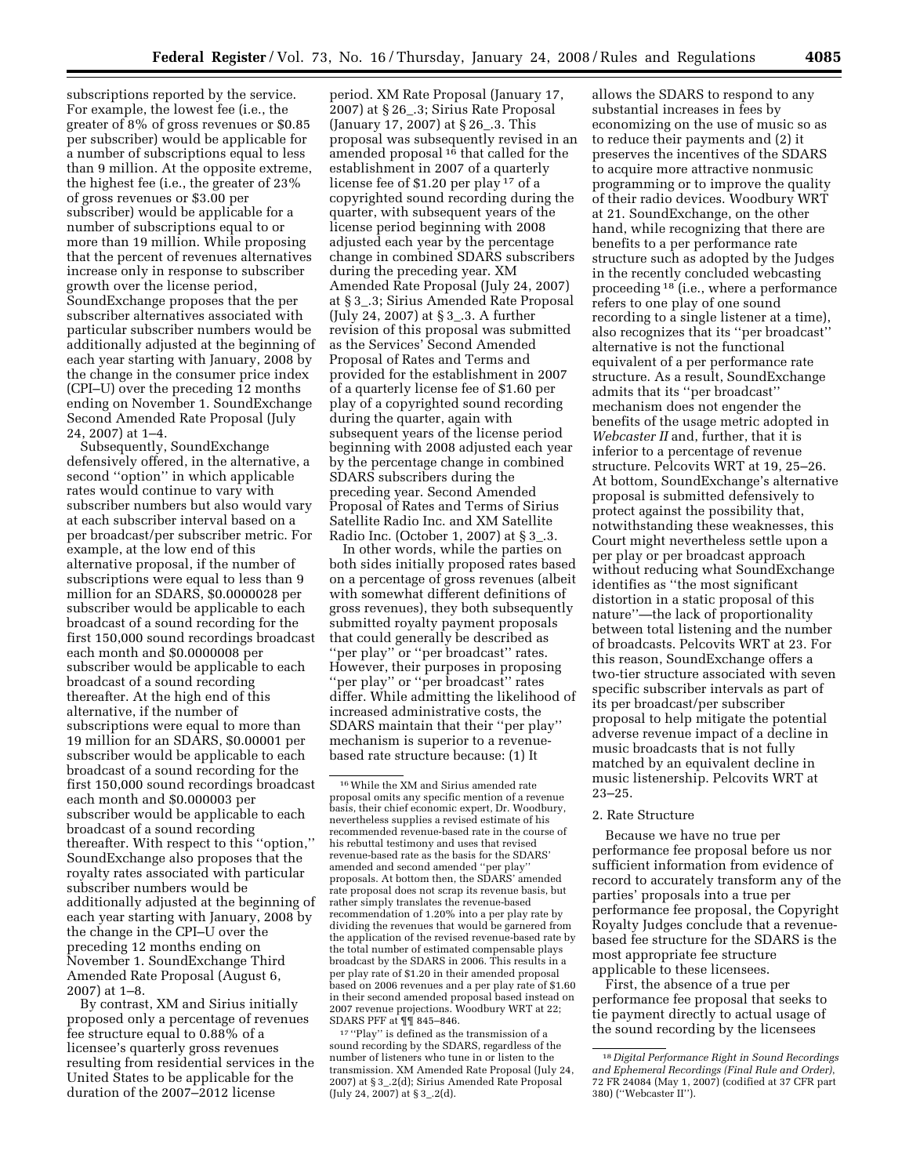subscriptions reported by the service. For example, the lowest fee (i.e., the greater of 8% of gross revenues or \$0.85 per subscriber) would be applicable for a number of subscriptions equal to less than 9 million. At the opposite extreme, the highest fee (i.e., the greater of 23% of gross revenues or \$3.00 per subscriber) would be applicable for a number of subscriptions equal to or more than 19 million. While proposing that the percent of revenues alternatives increase only in response to subscriber growth over the license period, SoundExchange proposes that the per subscriber alternatives associated with particular subscriber numbers would be additionally adjusted at the beginning of each year starting with January, 2008 by the change in the consumer price index (CPI–U) over the preceding 12 months ending on November 1. SoundExchange Second Amended Rate Proposal (July 24, 2007) at 1–4.

Subsequently, SoundExchange defensively offered, in the alternative, a second ''option'' in which applicable rates would continue to vary with subscriber numbers but also would vary at each subscriber interval based on a per broadcast/per subscriber metric. For example, at the low end of this alternative proposal, if the number of subscriptions were equal to less than 9 million for an SDARS, \$0.0000028 per subscriber would be applicable to each broadcast of a sound recording for the first 150,000 sound recordings broadcast each month and \$0.0000008 per subscriber would be applicable to each broadcast of a sound recording thereafter. At the high end of this alternative, if the number of subscriptions were equal to more than 19 million for an SDARS, \$0.00001 per subscriber would be applicable to each broadcast of a sound recording for the first 150,000 sound recordings broadcast each month and \$0.000003 per subscriber would be applicable to each broadcast of a sound recording thereafter. With respect to this ''option,'' SoundExchange also proposes that the royalty rates associated with particular subscriber numbers would be additionally adjusted at the beginning of each year starting with January, 2008 by the change in the CPI–U over the preceding 12 months ending on November 1. SoundExchange Third Amended Rate Proposal (August 6, 2007) at 1–8.

By contrast, XM and Sirius initially proposed only a percentage of revenues fee structure equal to 0.88% of a licensee's quarterly gross revenues resulting from residential services in the United States to be applicable for the duration of the 2007–2012 license

period. XM Rate Proposal (January 17, 2007) at § 26\_.3; Sirius Rate Proposal (January 17, 2007) at § 26\_.3. This proposal was subsequently revised in an amended proposal 16 that called for the establishment in 2007 of a quarterly license fee of \$1.20 per play 17 of a copyrighted sound recording during the quarter, with subsequent years of the license period beginning with 2008 adjusted each year by the percentage change in combined SDARS subscribers during the preceding year. XM Amended Rate Proposal (July 24, 2007) at § 3\_.3; Sirius Amended Rate Proposal (July 24, 2007) at § 3\_.3. A further revision of this proposal was submitted as the Services' Second Amended Proposal of Rates and Terms and provided for the establishment in 2007 of a quarterly license fee of \$1.60 per play of a copyrighted sound recording during the quarter, again with subsequent years of the license period beginning with 2008 adjusted each year by the percentage change in combined SDARS subscribers during the preceding year. Second Amended Proposal of Rates and Terms of Sirius Satellite Radio Inc. and XM Satellite Radio Inc. (October 1, 2007) at § 3\_.3.

In other words, while the parties on both sides initially proposed rates based on a percentage of gross revenues (albeit with somewhat different definitions of gross revenues), they both subsequently submitted royalty payment proposals that could generally be described as ''per play'' or ''per broadcast'' rates. However, their purposes in proposing ''per play'' or ''per broadcast'' rates differ. While admitting the likelihood of increased administrative costs, the SDARS maintain that their ''per play'' mechanism is superior to a revenuebased rate structure because: (1) It

17 ''Play'' is defined as the transmission of a sound recording by the SDARS, regardless of the number of listeners who tune in or listen to the transmission. XM Amended Rate Proposal (July 24, 2007) at § 3\_.2(d); Sirius Amended Rate Proposal (July 24, 2007) at § 3\_.2(d).

allows the SDARS to respond to any substantial increases in fees by economizing on the use of music so as to reduce their payments and (2) it preserves the incentives of the SDARS to acquire more attractive nonmusic programming or to improve the quality of their radio devices. Woodbury WRT at 21. SoundExchange, on the other hand, while recognizing that there are benefits to a per performance rate structure such as adopted by the Judges in the recently concluded webcasting proceeding 18 (i.e., where a performance refers to one play of one sound recording to a single listener at a time), also recognizes that its ''per broadcast'' alternative is not the functional equivalent of a per performance rate structure. As a result, SoundExchange admits that its ''per broadcast'' mechanism does not engender the benefits of the usage metric adopted in *Webcaster II* and, further, that it is inferior to a percentage of revenue structure. Pelcovits WRT at 19, 25–26. At bottom, SoundExchange's alternative proposal is submitted defensively to protect against the possibility that, notwithstanding these weaknesses, this Court might nevertheless settle upon a per play or per broadcast approach without reducing what SoundExchange identifies as ''the most significant distortion in a static proposal of this nature''—the lack of proportionality between total listening and the number of broadcasts. Pelcovits WRT at 23. For this reason, SoundExchange offers a two-tier structure associated with seven specific subscriber intervals as part of its per broadcast/per subscriber proposal to help mitigate the potential adverse revenue impact of a decline in music broadcasts that is not fully matched by an equivalent decline in music listenership. Pelcovits WRT at 23–25.

### 2. Rate Structure

Because we have no true per performance fee proposal before us nor sufficient information from evidence of record to accurately transform any of the parties' proposals into a true per performance fee proposal, the Copyright Royalty Judges conclude that a revenuebased fee structure for the SDARS is the most appropriate fee structure applicable to these licensees.

First, the absence of a true per performance fee proposal that seeks to tie payment directly to actual usage of the sound recording by the licensees

<sup>16</sup>While the XM and Sirius amended rate proposal omits any specific mention of a revenue basis, their chief economic expert, Dr. Woodbury, nevertheless supplies a revised estimate of his recommended revenue-based rate in the course of his rebuttal testimony and uses that revised revenue-based rate as the basis for the SDARS' amended and second amended ''per play'' proposals. At bottom then, the SDARS' amended rate proposal does not scrap its revenue basis, but rather simply translates the revenue-based recommendation of 1.20% into a per play rate by dividing the revenues that would be garnered from the application of the revised revenue-based rate by the total number of estimated compensable plays broadcast by the SDARS in 2006. This results in a per play rate of \$1.20 in their amended proposal based on 2006 revenues and a per play rate of \$1.60 in their second amended proposal based instead on 2007 revenue projections. Woodbury WRT at 22; SDARS PFF at ¶¶ 845–846.

<sup>18</sup> *Digital Performance Right in Sound Recordings and Ephemeral Recordings (Final Rule and Order)*, 72 FR 24084 (May 1, 2007) (codified at 37 CFR part 380) (''Webcaster II'').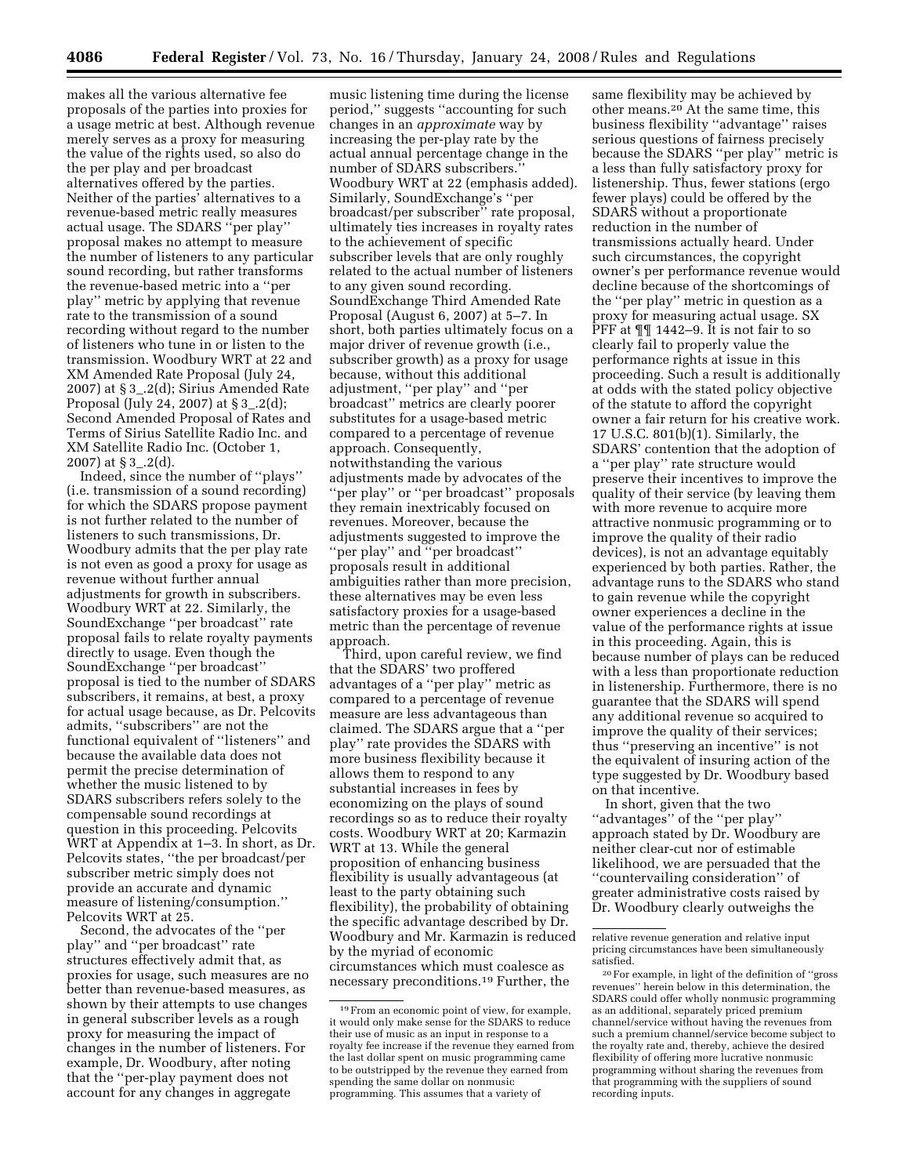makes all the various alternative fee proposals of the parties into proxies for a usage metric at best. Although revenue merely serves as a proxy for measuring the value of the rights used, so also do the per play and per broadcast alternatives offered by the parties. Neither of the parties' alternatives to a revenue-based metric really measures actual usage. The SDARS ''per play'' proposal makes no attempt to measure the number of listeners to any particular sound recording, but rather transforms the revenue-based metric into a ''per play'' metric by applying that revenue rate to the transmission of a sound recording without regard to the number of listeners who tune in or listen to the transmission. Woodbury WRT at 22 and XM Amended Rate Proposal (July 24, 2007) at § 3\_.2(d); Sirius Amended Rate Proposal (July 24, 2007) at § 3\_.2(d); Second Amended Proposal of Rates and Terms of Sirius Satellite Radio Inc. and XM Satellite Radio Inc. (October 1, 2007) at § 3\_.2(d).

Indeed, since the number of ''plays'' (i.e. transmission of a sound recording) for which the SDARS propose payment is not further related to the number of listeners to such transmissions, Dr. Woodbury admits that the per play rate is not even as good a proxy for usage as revenue without further annual adjustments for growth in subscribers. Woodbury WRT at 22. Similarly, the SoundExchange ''per broadcast'' rate proposal fails to relate royalty payments directly to usage. Even though the SoundExchange ''per broadcast'' proposal is tied to the number of SDARS subscribers, it remains, at best, a proxy for actual usage because, as Dr. Pelcovits admits, ''subscribers'' are not the functional equivalent of ''listeners'' and because the available data does not permit the precise determination of whether the music listened to by SDARS subscribers refers solely to the compensable sound recordings at question in this proceeding. Pelcovits WRT at Appendix at 1–3. In short, as Dr. Pelcovits states, ''the per broadcast/per subscriber metric simply does not provide an accurate and dynamic measure of listening/consumption.'' Pelcovits WRT at 25.

Second, the advocates of the ''per play'' and ''per broadcast'' rate structures effectively admit that, as proxies for usage, such measures are no better than revenue-based measures, as shown by their attempts to use changes in general subscriber levels as a rough proxy for measuring the impact of changes in the number of listeners. For example, Dr. Woodbury, after noting that the ''per-play payment does not account for any changes in aggregate

music listening time during the license period,'' suggests ''accounting for such changes in an *approximate* way by increasing the per-play rate by the actual annual percentage change in the number of SDARS subscribers.'' Woodbury WRT at 22 (emphasis added). Similarly, SoundExchange's ''per broadcast/per subscriber'' rate proposal, ultimately ties increases in royalty rates to the achievement of specific subscriber levels that are only roughly related to the actual number of listeners to any given sound recording. SoundExchange Third Amended Rate Proposal (August 6, 2007) at 5–7. In short, both parties ultimately focus on a major driver of revenue growth (i.e., subscriber growth) as a proxy for usage because, without this additional adjustment, ''per play'' and ''per broadcast'' metrics are clearly poorer substitutes for a usage-based metric compared to a percentage of revenue approach. Consequently, notwithstanding the various adjustments made by advocates of the ''per play'' or ''per broadcast'' proposals they remain inextricably focused on revenues. Moreover, because the adjustments suggested to improve the ''per play'' and ''per broadcast'' proposals result in additional ambiguities rather than more precision, these alternatives may be even less satisfactory proxies for a usage-based metric than the percentage of revenue approach.

Third, upon careful review, we find that the SDARS' two proffered advantages of a ''per play'' metric as compared to a percentage of revenue measure are less advantageous than claimed. The SDARS argue that a ''per play'' rate provides the SDARS with more business flexibility because it allows them to respond to any substantial increases in fees by economizing on the plays of sound recordings so as to reduce their royalty costs. Woodbury WRT at 20; Karmazin WRT at 13. While the general proposition of enhancing business flexibility is usually advantageous (at least to the party obtaining such flexibility), the probability of obtaining the specific advantage described by Dr. Woodbury and Mr. Karmazin is reduced by the myriad of economic circumstances which must coalesce as necessary preconditions.19 Further, the

same flexibility may be achieved by other means.20 At the same time, this business flexibility ''advantage'' raises serious questions of fairness precisely because the SDARS ''per play'' metric is a less than fully satisfactory proxy for listenership. Thus, fewer stations (ergo fewer plays) could be offered by the SDARS without a proportionate reduction in the number of transmissions actually heard. Under such circumstances, the copyright owner's per performance revenue would decline because of the shortcomings of the ''per play'' metric in question as a proxy for measuring actual usage. SX PFF at ¶¶ 1442–9. It is not fair to so clearly fail to properly value the performance rights at issue in this proceeding. Such a result is additionally at odds with the stated policy objective of the statute to afford the copyright owner a fair return for his creative work. 17 U.S.C. 801(b)(1). Similarly, the SDARS' contention that the adoption of a ''per play'' rate structure would preserve their incentives to improve the quality of their service (by leaving them with more revenue to acquire more attractive nonmusic programming or to improve the quality of their radio devices), is not an advantage equitably experienced by both parties. Rather, the advantage runs to the SDARS who stand to gain revenue while the copyright owner experiences a decline in the value of the performance rights at issue in this proceeding. Again, this is because number of plays can be reduced with a less than proportionate reduction in listenership. Furthermore, there is no guarantee that the SDARS will spend any additional revenue so acquired to improve the quality of their services; thus ''preserving an incentive'' is not the equivalent of insuring action of the type suggested by Dr. Woodbury based on that incentive.

In short, given that the two ''advantages'' of the ''per play'' approach stated by Dr. Woodbury are neither clear-cut nor of estimable likelihood, we are persuaded that the ''countervailing consideration'' of greater administrative costs raised by Dr. Woodbury clearly outweighs the

<sup>19</sup>From an economic point of view, for example, it would only make sense for the SDARS to reduce their use of music as an input in response to a royalty fee increase if the revenue they earned from the last dollar spent on music programming came to be outstripped by the revenue they earned from spending the same dollar on nonmusic programming. This assumes that a variety of

relative revenue generation and relative input pricing circumstances have been simultaneously satisfied.

<sup>20</sup>For example, in light of the definition of ''gross revenues'' herein below in this determination, the SDARS could offer wholly nonmusic programming as an additional, separately priced premium channel/service without having the revenues from such a premium channel/service become subject to the royalty rate and, thereby, achieve the desired flexibility of offering more lucrative nonmusic programming without sharing the revenues from that programming with the suppliers of sound recording inputs.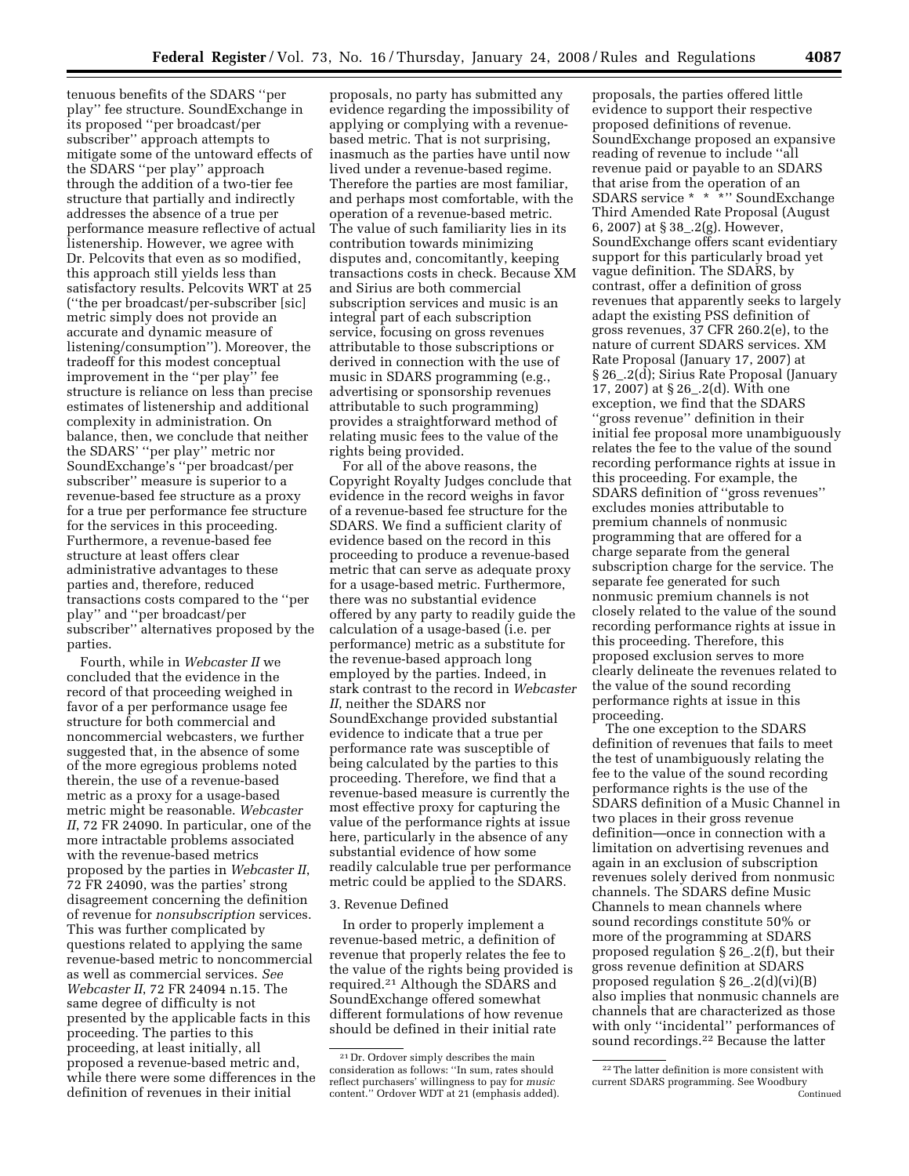tenuous benefits of the SDARS ''per play'' fee structure. SoundExchange in its proposed ''per broadcast/per subscriber'' approach attempts to mitigate some of the untoward effects of the SDARS ''per play'' approach through the addition of a two-tier fee structure that partially and indirectly addresses the absence of a true per performance measure reflective of actual listenership. However, we agree with Dr. Pelcovits that even as so modified, this approach still yields less than satisfactory results. Pelcovits WRT at 25 (''the per broadcast/per-subscriber [sic] metric simply does not provide an accurate and dynamic measure of listening/consumption''). Moreover, the tradeoff for this modest conceptual improvement in the ''per play'' fee structure is reliance on less than precise estimates of listenership and additional complexity in administration. On balance, then, we conclude that neither the SDARS' ''per play'' metric nor SoundExchange's ''per broadcast/per subscriber'' measure is superior to a revenue-based fee structure as a proxy for a true per performance fee structure for the services in this proceeding. Furthermore, a revenue-based fee structure at least offers clear administrative advantages to these parties and, therefore, reduced transactions costs compared to the ''per play'' and ''per broadcast/per subscriber'' alternatives proposed by the parties.

Fourth, while in *Webcaster II* we concluded that the evidence in the record of that proceeding weighed in favor of a per performance usage fee structure for both commercial and noncommercial webcasters, we further suggested that, in the absence of some of the more egregious problems noted therein, the use of a revenue-based metric as a proxy for a usage-based metric might be reasonable. *Webcaster II*, 72 FR 24090. In particular, one of the more intractable problems associated with the revenue-based metrics proposed by the parties in *Webcaster II*, 72 FR 24090, was the parties' strong disagreement concerning the definition of revenue for *nonsubscription* services. This was further complicated by questions related to applying the same revenue-based metric to noncommercial as well as commercial services. *See Webcaster II*, 72 FR 24094 n.15. The same degree of difficulty is not presented by the applicable facts in this proceeding. The parties to this proceeding, at least initially, all proposed a revenue-based metric and, while there were some differences in the definition of revenues in their initial

proposals, no party has submitted any evidence regarding the impossibility of applying or complying with a revenuebased metric. That is not surprising, inasmuch as the parties have until now lived under a revenue-based regime. Therefore the parties are most familiar, and perhaps most comfortable, with the operation of a revenue-based metric. The value of such familiarity lies in its contribution towards minimizing disputes and, concomitantly, keeping transactions costs in check. Because XM and Sirius are both commercial subscription services and music is an integral part of each subscription service, focusing on gross revenues attributable to those subscriptions or derived in connection with the use of music in SDARS programming (e.g., advertising or sponsorship revenues attributable to such programming) provides a straightforward method of relating music fees to the value of the rights being provided.

For all of the above reasons, the Copyright Royalty Judges conclude that evidence in the record weighs in favor of a revenue-based fee structure for the SDARS. We find a sufficient clarity of evidence based on the record in this proceeding to produce a revenue-based metric that can serve as adequate proxy for a usage-based metric. Furthermore, there was no substantial evidence offered by any party to readily guide the calculation of a usage-based (i.e. per performance) metric as a substitute for the revenue-based approach long employed by the parties. Indeed, in stark contrast to the record in *Webcaster II*, neither the SDARS nor SoundExchange provided substantial evidence to indicate that a true per performance rate was susceptible of being calculated by the parties to this proceeding. Therefore, we find that a revenue-based measure is currently the most effective proxy for capturing the value of the performance rights at issue here, particularly in the absence of any substantial evidence of how some readily calculable true per performance metric could be applied to the SDARS.

### 3. Revenue Defined

In order to properly implement a revenue-based metric, a definition of revenue that properly relates the fee to the value of the rights being provided is required.21 Although the SDARS and SoundExchange offered somewhat different formulations of how revenue should be defined in their initial rate

proposals, the parties offered little evidence to support their respective proposed definitions of revenue. SoundExchange proposed an expansive reading of revenue to include ''all revenue paid or payable to an SDARS that arise from the operation of an SDARS service \* \* \*'' SoundExchange Third Amended Rate Proposal (August 6, 2007) at § 38\_.2(g). However, SoundExchange offers scant evidentiary support for this particularly broad yet vague definition. The SDARS, by contrast, offer a definition of gross revenues that apparently seeks to largely adapt the existing PSS definition of gross revenues, 37 CFR 260.2(e), to the nature of current SDARS services. XM Rate Proposal (January 17, 2007) at § 26\_.2(d); Sirius Rate Proposal (January 17, 2007) at § 26\_.2(d). With one exception, we find that the SDARS ''gross revenue'' definition in their initial fee proposal more unambiguously relates the fee to the value of the sound recording performance rights at issue in this proceeding. For example, the SDARS definition of ''gross revenues'' excludes monies attributable to premium channels of nonmusic programming that are offered for a charge separate from the general subscription charge for the service. The separate fee generated for such nonmusic premium channels is not closely related to the value of the sound recording performance rights at issue in this proceeding. Therefore, this proposed exclusion serves to more clearly delineate the revenues related to the value of the sound recording performance rights at issue in this proceeding.

The one exception to the SDARS definition of revenues that fails to meet the test of unambiguously relating the fee to the value of the sound recording performance rights is the use of the SDARS definition of a Music Channel in two places in their gross revenue definition—once in connection with a limitation on advertising revenues and again in an exclusion of subscription revenues solely derived from nonmusic channels. The SDARS define Music Channels to mean channels where sound recordings constitute 50% or more of the programming at SDARS proposed regulation § 26\_.2(f), but their gross revenue definition at SDARS proposed regulation § 26\_.2(d)(vi)(B) also implies that nonmusic channels are channels that are characterized as those with only ''incidental'' performances of sound recordings.22 Because the latter

<sup>21</sup> Dr. Ordover simply describes the main consideration as follows: ''In sum, rates should reflect purchasers' willingness to pay for *music*  content.'' Ordover WDT at 21 (emphasis added).

<sup>22</sup>The latter definition is more consistent with current SDARS programming. See Woodbury Continued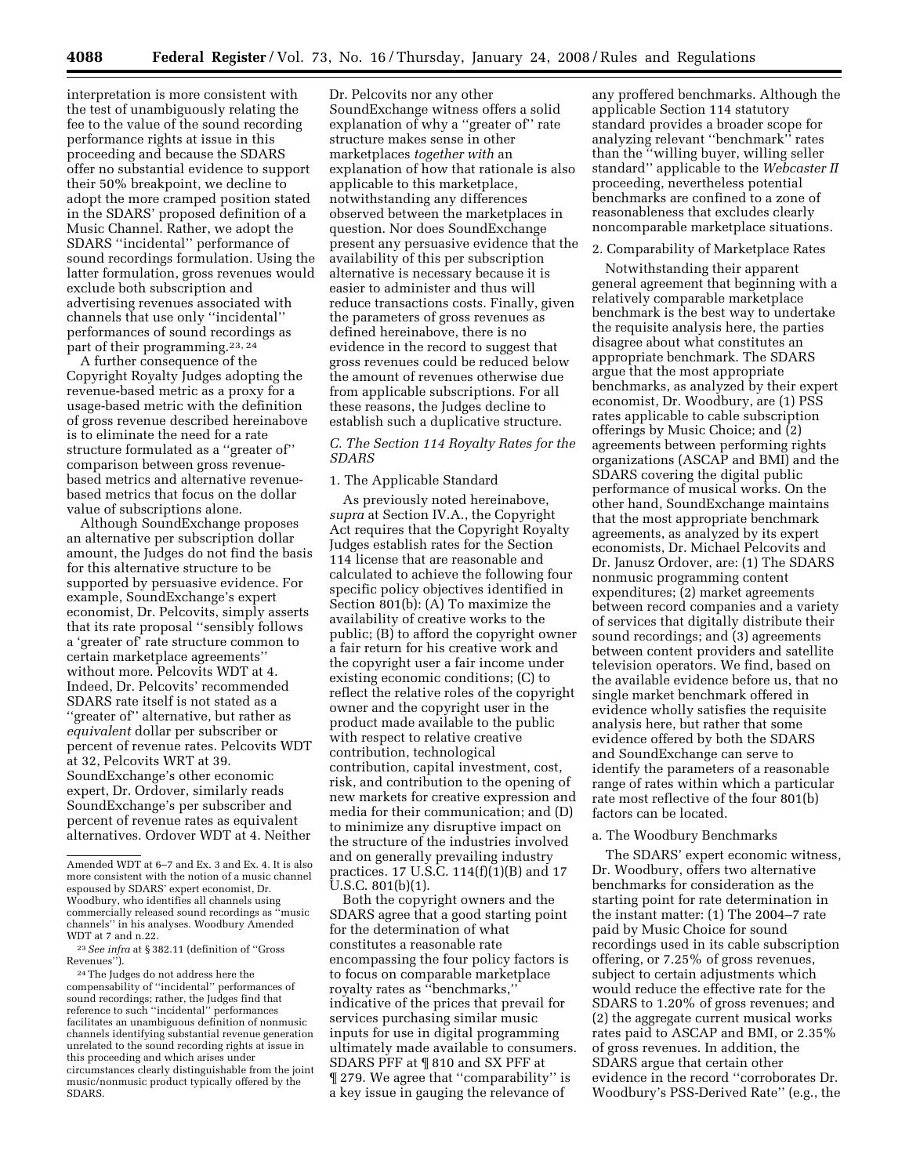interpretation is more consistent with the test of unambiguously relating the fee to the value of the sound recording performance rights at issue in this proceeding and because the SDARS offer no substantial evidence to support their 50% breakpoint, we decline to adopt the more cramped position stated in the SDARS' proposed definition of a Music Channel. Rather, we adopt the SDARS ''incidental'' performance of sound recordings formulation. Using the latter formulation, gross revenues would exclude both subscription and advertising revenues associated with channels that use only ''incidental'' performances of sound recordings as part of their programming.<sup>23, 24</sup>

A further consequence of the Copyright Royalty Judges adopting the revenue-based metric as a proxy for a usage-based metric with the definition of gross revenue described hereinabove is to eliminate the need for a rate structure formulated as a ''greater of'' comparison between gross revenuebased metrics and alternative revenuebased metrics that focus on the dollar value of subscriptions alone.

Although SoundExchange proposes an alternative per subscription dollar amount, the Judges do not find the basis for this alternative structure to be supported by persuasive evidence. For example, SoundExchange's expert economist, Dr. Pelcovits, simply asserts that its rate proposal ''sensibly follows a 'greater of' rate structure common to certain marketplace agreements'' without more. Pelcovits WDT at 4. Indeed, Dr. Pelcovits' recommended SDARS rate itself is not stated as a ''greater of'' alternative, but rather as *equivalent* dollar per subscriber or percent of revenue rates. Pelcovits WDT at 32, Pelcovits WRT at 39. SoundExchange's other economic expert, Dr. Ordover, similarly reads SoundExchange's per subscriber and percent of revenue rates as equivalent alternatives. Ordover WDT at 4. Neither

23*See infra* at § 382.11 (definition of ''Gross Revenues'').

24The Judges do not address here the compensability of ''incidental'' performances of sound recordings; rather, the Judges find that reference to such ''incidental'' performances facilitates an unambiguous definition of nonmusic channels identifying substantial revenue generation unrelated to the sound recording rights at issue in this proceeding and which arises under circumstances clearly distinguishable from the joint music/nonmusic product typically offered by the SDARS.

Dr. Pelcovits nor any other SoundExchange witness offers a solid explanation of why a ''greater of'' rate structure makes sense in other marketplaces *together with* an explanation of how that rationale is also applicable to this marketplace, notwithstanding any differences observed between the marketplaces in question. Nor does SoundExchange present any persuasive evidence that the availability of this per subscription alternative is necessary because it is easier to administer and thus will reduce transactions costs. Finally, given the parameters of gross revenues as defined hereinabove, there is no evidence in the record to suggest that gross revenues could be reduced below the amount of revenues otherwise due from applicable subscriptions. For all these reasons, the Judges decline to establish such a duplicative structure.

# *C. The Section 114 Royalty Rates for the SDARS*

# 1. The Applicable Standard

As previously noted hereinabove, *supra* at Section IV.A., the Copyright Act requires that the Copyright Royalty Judges establish rates for the Section 114 license that are reasonable and calculated to achieve the following four specific policy objectives identified in Section 801(b): (A) To maximize the availability of creative works to the public; (B) to afford the copyright owner a fair return for his creative work and the copyright user a fair income under existing economic conditions; (C) to reflect the relative roles of the copyright owner and the copyright user in the product made available to the public with respect to relative creative contribution, technological contribution, capital investment, cost, risk, and contribution to the opening of new markets for creative expression and media for their communication; and (D) to minimize any disruptive impact on the structure of the industries involved and on generally prevailing industry practices. 17 U.S.C. 114(f)(1)(B) and 17 U.S.C. 801(b)(1).

Both the copyright owners and the SDARS agree that a good starting point for the determination of what constitutes a reasonable rate encompassing the four policy factors is to focus on comparable marketplace royalty rates as ''benchmarks,'' indicative of the prices that prevail for services purchasing similar music inputs for use in digital programming ultimately made available to consumers. SDARS PFF at ¶ 810 and SX PFF at ¶ 279. We agree that ''comparability'' is a key issue in gauging the relevance of

any proffered benchmarks. Although the applicable Section 114 statutory standard provides a broader scope for analyzing relevant ''benchmark'' rates than the ''willing buyer, willing seller standard'' applicable to the *Webcaster II*  proceeding, nevertheless potential benchmarks are confined to a zone of reasonableness that excludes clearly noncomparable marketplace situations.

#### 2. Comparability of Marketplace Rates

Notwithstanding their apparent general agreement that beginning with a relatively comparable marketplace benchmark is the best way to undertake the requisite analysis here, the parties disagree about what constitutes an appropriate benchmark. The SDARS argue that the most appropriate benchmarks, as analyzed by their expert economist, Dr. Woodbury, are (1) PSS rates applicable to cable subscription offerings by Music Choice; and (2) agreements between performing rights organizations (ASCAP and BMI) and the SDARS covering the digital public performance of musical works. On the other hand, SoundExchange maintains that the most appropriate benchmark agreements, as analyzed by its expert economists, Dr. Michael Pelcovits and Dr. Janusz Ordover, are: (1) The SDARS nonmusic programming content expenditures; (2) market agreements between record companies and a variety of services that digitally distribute their sound recordings; and (3) agreements between content providers and satellite television operators. We find, based on the available evidence before us, that no single market benchmark offered in evidence wholly satisfies the requisite analysis here, but rather that some evidence offered by both the SDARS and SoundExchange can serve to identify the parameters of a reasonable range of rates within which a particular rate most reflective of the four 801(b) factors can be located.

# a. The Woodbury Benchmarks

The SDARS' expert economic witness, Dr. Woodbury, offers two alternative benchmarks for consideration as the starting point for rate determination in the instant matter: (1) The 2004–7 rate paid by Music Choice for sound recordings used in its cable subscription offering, or 7.25% of gross revenues, subject to certain adjustments which would reduce the effective rate for the SDARS to 1.20% of gross revenues; and (2) the aggregate current musical works rates paid to ASCAP and BMI, or 2.35% of gross revenues. In addition, the SDARS argue that certain other evidence in the record ''corroborates Dr. Woodbury's PSS-Derived Rate'' (e.g., the

Amended WDT at 6–7 and Ex. 3 and Ex. 4. It is also more consistent with the notion of a music channel espoused by SDARS' expert economist, Dr. Woodbury, who identifies all channels using commercially released sound recordings as ''music channels'' in his analyses. Woodbury Amended WDT at 7 and n.22.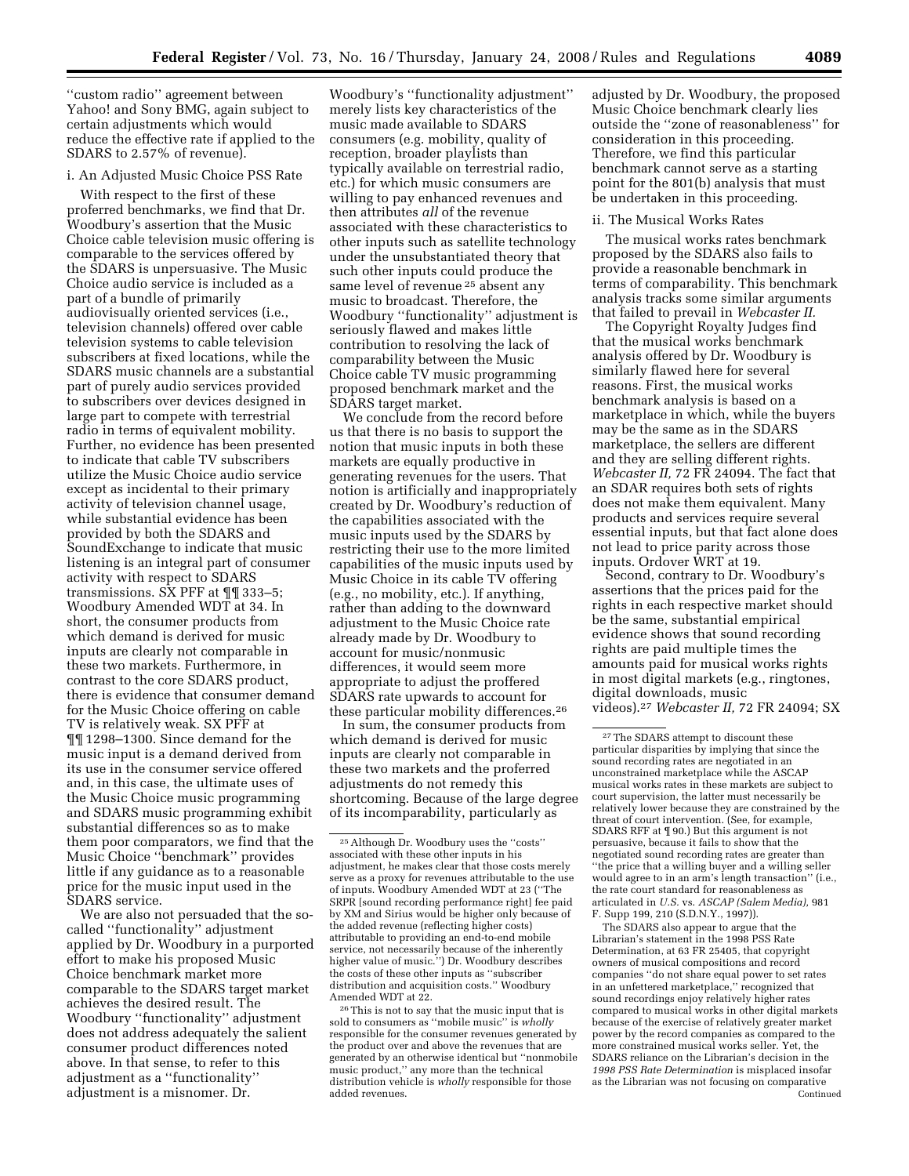''custom radio'' agreement between Yahoo! and Sony BMG, again subject to certain adjustments which would reduce the effective rate if applied to the SDARS to 2.57% of revenue).

## i. An Adjusted Music Choice PSS Rate

With respect to the first of these proferred benchmarks, we find that Dr. Woodbury's assertion that the Music Choice cable television music offering is comparable to the services offered by the SDARS is unpersuasive. The Music Choice audio service is included as a part of a bundle of primarily audiovisually oriented services (i.e., television channels) offered over cable television systems to cable television subscribers at fixed locations, while the SDARS music channels are a substantial part of purely audio services provided to subscribers over devices designed in large part to compete with terrestrial radio in terms of equivalent mobility. Further, no evidence has been presented to indicate that cable TV subscribers utilize the Music Choice audio service except as incidental to their primary activity of television channel usage, while substantial evidence has been provided by both the SDARS and SoundExchange to indicate that music listening is an integral part of consumer activity with respect to SDARS transmissions. SX PFF at ¶¶ 333–5; Woodbury Amended WDT at 34. In short, the consumer products from which demand is derived for music inputs are clearly not comparable in these two markets. Furthermore, in contrast to the core SDARS product, there is evidence that consumer demand for the Music Choice offering on cable TV is relatively weak. SX PFF at ¶¶ 1298–1300. Since demand for the music input is a demand derived from its use in the consumer service offered and, in this case, the ultimate uses of the Music Choice music programming and SDARS music programming exhibit substantial differences so as to make them poor comparators, we find that the Music Choice ''benchmark'' provides little if any guidance as to a reasonable price for the music input used in the SDARS service.

We are also not persuaded that the socalled ''functionality'' adjustment applied by Dr. Woodbury in a purported effort to make his proposed Music Choice benchmark market more comparable to the SDARS target market achieves the desired result. The Woodbury ''functionality'' adjustment does not address adequately the salient consumer product differences noted above. In that sense, to refer to this adjustment as a ''functionality'' adjustment is a misnomer. Dr.

Woodbury's ''functionality adjustment'' merely lists key characteristics of the music made available to SDARS consumers (e.g. mobility, quality of reception, broader playlists than typically available on terrestrial radio, etc.) for which music consumers are willing to pay enhanced revenues and then attributes *all* of the revenue associated with these characteristics to other inputs such as satellite technology under the unsubstantiated theory that such other inputs could produce the same level of revenue 25 absent any music to broadcast. Therefore, the Woodbury ''functionality'' adjustment is seriously flawed and makes little contribution to resolving the lack of comparability between the Music Choice cable TV music programming proposed benchmark market and the SDARS target market.

We conclude from the record before us that there is no basis to support the notion that music inputs in both these markets are equally productive in generating revenues for the users. That notion is artificially and inappropriately created by Dr. Woodbury's reduction of the capabilities associated with the music inputs used by the SDARS by restricting their use to the more limited capabilities of the music inputs used by Music Choice in its cable TV offering (e.g., no mobility, etc.). If anything, rather than adding to the downward adjustment to the Music Choice rate already made by Dr. Woodbury to account for music/nonmusic differences, it would seem more appropriate to adjust the proffered SDARS rate upwards to account for these particular mobility differences.26

In sum, the consumer products from which demand is derived for music inputs are clearly not comparable in these two markets and the proferred adjustments do not remedy this shortcoming. Because of the large degree of its incomparability, particularly as

26This is not to say that the music input that is sold to consumers as ''mobile music'' is *wholly*  responsible for the consumer revenues generated by the product over and above the revenues that are generated by an otherwise identical but ''nonmobile music product,'' any more than the technical distribution vehicle is *wholly* responsible for those added revenues.

adjusted by Dr. Woodbury, the proposed Music Choice benchmark clearly lies outside the ''zone of reasonableness'' for consideration in this proceeding. Therefore, we find this particular benchmark cannot serve as a starting point for the 801(b) analysis that must be undertaken in this proceeding.

# ii. The Musical Works Rates

The musical works rates benchmark proposed by the SDARS also fails to provide a reasonable benchmark in terms of comparability. This benchmark analysis tracks some similar arguments that failed to prevail in *Webcaster II.* 

The Copyright Royalty Judges find that the musical works benchmark analysis offered by Dr. Woodbury is similarly flawed here for several reasons. First, the musical works benchmark analysis is based on a marketplace in which, while the buyers may be the same as in the SDARS marketplace, the sellers are different and they are selling different rights. *Webcaster II,* 72 FR 24094. The fact that an SDAR requires both sets of rights does not make them equivalent. Many products and services require several essential inputs, but that fact alone does not lead to price parity across those inputs. Ordover WRT at 19.

Second, contrary to Dr. Woodbury's assertions that the prices paid for the rights in each respective market should be the same, substantial empirical evidence shows that sound recording rights are paid multiple times the amounts paid for musical works rights in most digital markets (e.g., ringtones, digital downloads, music videos).27 *Webcaster II,* 72 FR 24094; SX

The SDARS also appear to argue that the Librarian's statement in the 1998 PSS Rate Determination, at 63 FR 25405, that copyright owners of musical compositions and record companies ''do not share equal power to set rates in an unfettered marketplace,'' recognized that sound recordings enjoy relatively higher rates compared to musical works in other digital markets because of the exercise of relatively greater market power by the record companies as compared to the more constrained musical works seller. Yet, the SDARS reliance on the Librarian's decision in the *1998 PSS Rate Determination* is misplaced insofar as the Librarian was not focusing on comparative Continued

<sup>25</sup>Although Dr. Woodbury uses the ''costs'' associated with these other inputs in his adjustment, he makes clear that those costs merely serve as a proxy for revenues attributable to the use of inputs. Woodbury Amended WDT at 23 (''The SRPR [sound recording performance right] fee paid by XM and Sirius would be higher only because of the added revenue (reflecting higher costs) attributable to providing an end-to-end mobile service, not necessarily because of the inherently higher value of music.'') Dr. Woodbury describes the costs of these other inputs as ''subscriber distribution and acquisition costs.'' Woodbury Amended WDT at 22.

<sup>&</sup>lt;sup>27</sup>The SDARS attempt to discount these particular disparities by implying that since the sound recording rates are negotiated in an unconstrained marketplace while the ASCAP musical works rates in these markets are subject to court supervision, the latter must necessarily be relatively lower because they are constrained by the threat of court intervention. (See, for example, SDARS RFF at ¶ 90.) But this argument is not persuasive, because it fails to show that the negotiated sound recording rates are greater than ''the price that a willing buyer and a willing seller would agree to in an arm's length transaction'' (i.e., the rate court standard for reasonableness as articulated in *U.S.* vs. *ASCAP (Salem Media),* 981 F. Supp 199, 210 (S.D.N.Y., 1997)).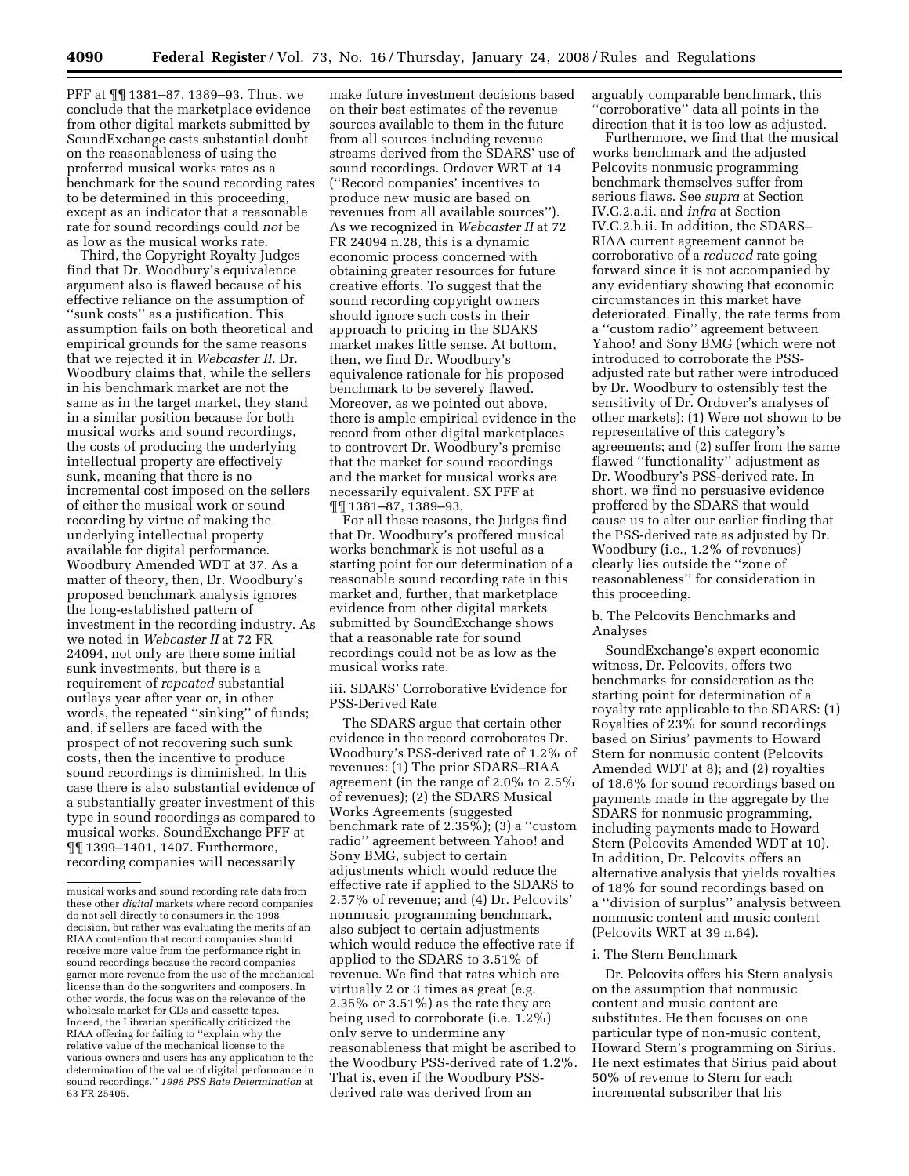PFF at ¶¶ 1381–87, 1389–93. Thus, we conclude that the marketplace evidence from other digital markets submitted by SoundExchange casts substantial doubt on the reasonableness of using the proferred musical works rates as a benchmark for the sound recording rates to be determined in this proceeding, except as an indicator that a reasonable rate for sound recordings could *not* be as low as the musical works rate.

Third, the Copyright Royalty Judges find that Dr. Woodbury's equivalence argument also is flawed because of his effective reliance on the assumption of ''sunk costs'' as a justification. This assumption fails on both theoretical and empirical grounds for the same reasons that we rejected it in *Webcaster II.* Dr. Woodbury claims that, while the sellers in his benchmark market are not the same as in the target market, they stand in a similar position because for both musical works and sound recordings, the costs of producing the underlying intellectual property are effectively sunk, meaning that there is no incremental cost imposed on the sellers of either the musical work or sound recording by virtue of making the underlying intellectual property available for digital performance. Woodbury Amended WDT at 37. As a matter of theory, then, Dr. Woodbury's proposed benchmark analysis ignores the long-established pattern of investment in the recording industry. As we noted in *Webcaster II* at 72 FR 24094, not only are there some initial sunk investments, but there is a requirement of *repeated* substantial outlays year after year or, in other words, the repeated ''sinking'' of funds; and, if sellers are faced with the prospect of not recovering such sunk costs, then the incentive to produce sound recordings is diminished. In this case there is also substantial evidence of a substantially greater investment of this type in sound recordings as compared to musical works. SoundExchange PFF at ¶¶ 1399–1401, 1407. Furthermore, recording companies will necessarily

make future investment decisions based on their best estimates of the revenue sources available to them in the future from all sources including revenue streams derived from the SDARS' use of sound recordings. Ordover WRT at 14 (''Record companies' incentives to produce new music are based on revenues from all available sources''). As we recognized in *Webcaster II* at 72 FR 24094 n.28, this is a dynamic economic process concerned with obtaining greater resources for future creative efforts. To suggest that the sound recording copyright owners should ignore such costs in their approach to pricing in the SDARS market makes little sense. At bottom, then, we find Dr. Woodbury's equivalence rationale for his proposed benchmark to be severely flawed. Moreover, as we pointed out above, there is ample empirical evidence in the record from other digital marketplaces to controvert Dr. Woodbury's premise that the market for sound recordings and the market for musical works are necessarily equivalent. SX PFF at ¶¶ 1381–87, 1389–93.

For all these reasons, the Judges find that Dr. Woodbury's proffered musical works benchmark is not useful as a starting point for our determination of a reasonable sound recording rate in this market and, further, that marketplace evidence from other digital markets submitted by SoundExchange shows that a reasonable rate for sound recordings could not be as low as the musical works rate.

iii. SDARS' Corroborative Evidence for PSS-Derived Rate

The SDARS argue that certain other evidence in the record corroborates Dr. Woodbury's PSS-derived rate of 1.2% of revenues: (1) The prior SDARS–RIAA agreement (in the range of 2.0% to 2.5% of revenues); (2) the SDARS Musical Works Agreements (suggested benchmark rate of 2.35%); (3) a ''custom radio'' agreement between Yahoo! and Sony BMG, subject to certain adjustments which would reduce the effective rate if applied to the SDARS to 2.57% of revenue; and (4) Dr. Pelcovits' nonmusic programming benchmark, also subject to certain adjustments which would reduce the effective rate if applied to the SDARS to 3.51% of revenue. We find that rates which are virtually 2 or 3 times as great (e.g. 2.35% or 3.51%) as the rate they are being used to corroborate (i.e. 1.2%) only serve to undermine any reasonableness that might be ascribed to the Woodbury PSS-derived rate of 1.2%. That is, even if the Woodbury PSSderived rate was derived from an

arguably comparable benchmark, this ''corroborative'' data all points in the direction that it is too low as adjusted.

Furthermore, we find that the musical works benchmark and the adjusted Pelcovits nonmusic programming benchmark themselves suffer from serious flaws. See *supra* at Section IV.C.2.a.ii. and *infra* at Section IV.C.2.b.ii. In addition, the SDARS– RIAA current agreement cannot be corroborative of a *reduced* rate going forward since it is not accompanied by any evidentiary showing that economic circumstances in this market have deteriorated. Finally, the rate terms from a ''custom radio'' agreement between Yahoo! and Sony BMG (which were not introduced to corroborate the PSSadjusted rate but rather were introduced by Dr. Woodbury to ostensibly test the sensitivity of Dr. Ordover's analyses of other markets): (1) Were not shown to be representative of this category's agreements; and (2) suffer from the same flawed ''functionality'' adjustment as Dr. Woodbury's PSS-derived rate. In short, we find no persuasive evidence proffered by the SDARS that would cause us to alter our earlier finding that the PSS-derived rate as adjusted by Dr. Woodbury (i.e., 1.2% of revenues) clearly lies outside the ''zone of reasonableness'' for consideration in this proceeding.

b. The Pelcovits Benchmarks and Analyses

SoundExchange's expert economic witness, Dr. Pelcovits, offers two benchmarks for consideration as the starting point for determination of a royalty rate applicable to the SDARS: (1) Royalties of 23% for sound recordings based on Sirius' payments to Howard Stern for nonmusic content (Pelcovits Amended WDT at 8); and (2) royalties of 18.6% for sound recordings based on payments made in the aggregate by the SDARS for nonmusic programming, including payments made to Howard Stern (Pelcovits Amended WDT at 10). In addition, Dr. Pelcovits offers an alternative analysis that yields royalties of 18% for sound recordings based on a ''division of surplus'' analysis between nonmusic content and music content (Pelcovits WRT at 39 n.64).

### i. The Stern Benchmark

Dr. Pelcovits offers his Stern analysis on the assumption that nonmusic content and music content are substitutes. He then focuses on one particular type of non-music content, Howard Stern's programming on Sirius. He next estimates that Sirius paid about 50% of revenue to Stern for each incremental subscriber that his

musical works and sound recording rate data from these other *digital* markets where record companies do not sell directly to consumers in the 1998 decision, but rather was evaluating the merits of an RIAA contention that record companies should receive more value from the performance right in sound recordings because the record companies garner more revenue from the use of the mechanical license than do the songwriters and composers. In other words, the focus was on the relevance of the wholesale market for CDs and cassette tapes. Indeed, the Librarian specifically criticized the RIAA offering for failing to ''explain why the relative value of the mechanical license to the various owners and users has any application to the determination of the value of digital performance in sound recordings.'' *1998 PSS Rate Determination* at 63 FR 25405.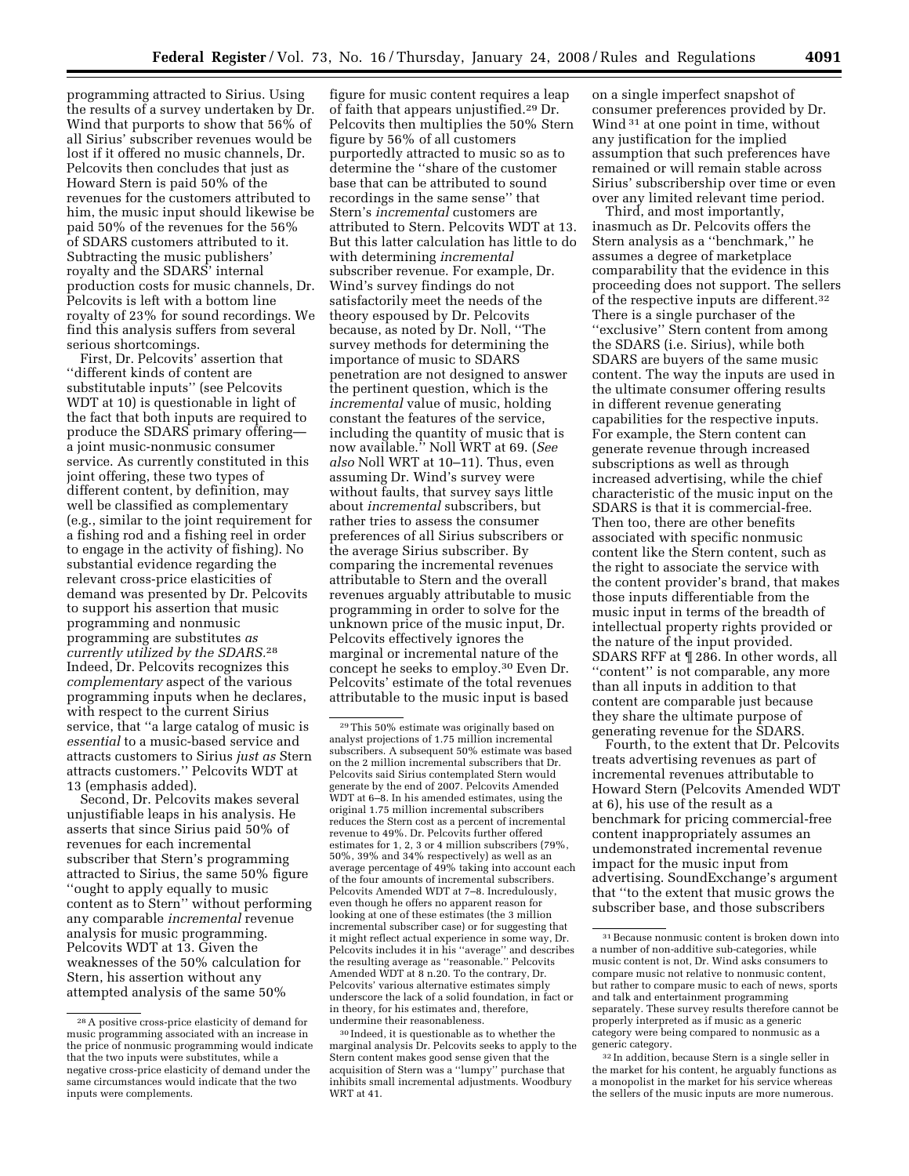programming attracted to Sirius. Using the results of a survey undertaken by Dr. Wind that purports to show that 56% of all Sirius' subscriber revenues would be lost if it offered no music channels, Dr. Pelcovits then concludes that just as Howard Stern is paid 50% of the revenues for the customers attributed to him, the music input should likewise be paid 50% of the revenues for the 56% of SDARS customers attributed to it. Subtracting the music publishers' royalty and the SDARS' internal production costs for music channels, Dr. Pelcovits is left with a bottom line royalty of 23% for sound recordings. We find this analysis suffers from several serious shortcomings.

First, Dr. Pelcovits' assertion that ''different kinds of content are substitutable inputs'' (see Pelcovits WDT at 10) is questionable in light of the fact that both inputs are required to produce the SDARS primary offering a joint music-nonmusic consumer service. As currently constituted in this joint offering, these two types of different content, by definition, may well be classified as complementary (e.g., similar to the joint requirement for a fishing rod and a fishing reel in order to engage in the activity of fishing). No substantial evidence regarding the relevant cross-price elasticities of demand was presented by Dr. Pelcovits to support his assertion that music programming and nonmusic programming are substitutes *as currently utilized by the SDARS.*28 Indeed, Dr. Pelcovits recognizes this *complementary* aspect of the various programming inputs when he declares, with respect to the current Sirius service, that ''a large catalog of music is *essential* to a music-based service and attracts customers to Sirius *just as* Stern attracts customers.'' Pelcovits WDT at 13 (emphasis added).

Second, Dr. Pelcovits makes several unjustifiable leaps in his analysis. He asserts that since Sirius paid 50% of revenues for each incremental subscriber that Stern's programming attracted to Sirius, the same 50% figure ''ought to apply equally to music content as to Stern'' without performing any comparable *incremental* revenue analysis for music programming. Pelcovits WDT at 13. Given the weaknesses of the 50% calculation for Stern, his assertion without any attempted analysis of the same 50%

figure for music content requires a leap of faith that appears unjustified.29 Dr. Pelcovits then multiplies the 50% Stern figure by 56% of all customers purportedly attracted to music so as to determine the ''share of the customer base that can be attributed to sound recordings in the same sense'' that Stern's *incremental* customers are attributed to Stern. Pelcovits WDT at 13. But this latter calculation has little to do with determining *incremental*  subscriber revenue. For example, Dr. Wind's survey findings do not satisfactorily meet the needs of the theory espoused by Dr. Pelcovits because, as noted by Dr. Noll, ''The survey methods for determining the importance of music to SDARS penetration are not designed to answer the pertinent question, which is the *incremental* value of music, holding constant the features of the service, including the quantity of music that is now available.'' Noll WRT at 69. (*See also* Noll WRT at 10–11). Thus, even assuming Dr. Wind's survey were without faults, that survey says little about *incremental* subscribers, but rather tries to assess the consumer preferences of all Sirius subscribers or the average Sirius subscriber. By comparing the incremental revenues attributable to Stern and the overall revenues arguably attributable to music programming in order to solve for the unknown price of the music input, Dr. Pelcovits effectively ignores the marginal or incremental nature of the concept he seeks to employ.30 Even Dr. Pelcovits' estimate of the total revenues attributable to the music input is based

on a single imperfect snapshot of consumer preferences provided by Dr. Wind <sup>31</sup> at one point in time, without any justification for the implied assumption that such preferences have remained or will remain stable across Sirius' subscribership over time or even over any limited relevant time period.

Third, and most importantly, inasmuch as Dr. Pelcovits offers the Stern analysis as a ''benchmark,'' he assumes a degree of marketplace comparability that the evidence in this proceeding does not support. The sellers of the respective inputs are different.32 There is a single purchaser of the ''exclusive'' Stern content from among the SDARS (i.e. Sirius), while both SDARS are buyers of the same music content. The way the inputs are used in the ultimate consumer offering results in different revenue generating capabilities for the respective inputs. For example, the Stern content can generate revenue through increased subscriptions as well as through increased advertising, while the chief characteristic of the music input on the SDARS is that it is commercial-free. Then too, there are other benefits associated with specific nonmusic content like the Stern content, such as the right to associate the service with the content provider's brand, that makes those inputs differentiable from the music input in terms of the breadth of intellectual property rights provided or the nature of the input provided. SDARS RFF at ¶ 286. In other words, all ''content'' is not comparable, any more than all inputs in addition to that content are comparable just because they share the ultimate purpose of generating revenue for the SDARS.

Fourth, to the extent that Dr. Pelcovits treats advertising revenues as part of incremental revenues attributable to Howard Stern (Pelcovits Amended WDT at 6), his use of the result as a benchmark for pricing commercial-free content inappropriately assumes an undemonstrated incremental revenue impact for the music input from advertising. SoundExchange's argument that ''to the extent that music grows the subscriber base, and those subscribers

32 In addition, because Stern is a single seller in the market for his content, he arguably functions as a monopolist in the market for his service whereas the sellers of the music inputs are more numerous.

<sup>28</sup>A positive cross-price elasticity of demand for music programming associated with an increase in the price of nonmusic programming would indicate that the two inputs were substitutes, while a negative cross-price elasticity of demand under the same circumstances would indicate that the two inputs were complements.

<sup>29</sup>This 50% estimate was originally based on analyst projections of 1.75 million incremental subscribers. A subsequent 50% estimate was based on the 2 million incremental subscribers that Dr. Pelcovits said Sirius contemplated Stern would generate by the end of 2007. Pelcovits Amended WDT at 6–8. In his amended estimates, using the original 1.75 million incremental subscribers reduces the Stern cost as a percent of incremental revenue to 49%. Dr. Pelcovits further offered estimates for 1, 2, 3 or 4 million subscribers (79%, 50%, 39% and 34% respectively) as well as an average percentage of 49% taking into account each of the four amounts of incremental subscribers. Pelcovits Amended WDT at 7–8. Incredulously, even though he offers no apparent reason for looking at one of these estimates (the 3 million incremental subscriber case) or for suggesting that it might reflect actual experience in some way, Dr. Pelcovits includes it in his ''average'' and describes the resulting average as ''reasonable.'' Pelcovits Amended WDT at 8 n.20. To the contrary, Dr. Pelcovits' various alternative estimates simply underscore the lack of a solid foundation, in fact or in theory, for his estimates and, therefore, undermine their reasonableness.

<sup>30</sup> Indeed, it is questionable as to whether the marginal analysis Dr. Pelcovits seeks to apply to the Stern content makes good sense given that the acquisition of Stern was a ''lumpy'' purchase that inhibits small incremental adjustments. Woodbury WRT at 41.

<sup>31</sup>Because nonmusic content is broken down into a number of non-additive sub-categories, while music content is not, Dr. Wind asks consumers to compare music not relative to nonmusic content, but rather to compare music to each of news, sports and talk and entertainment programming separately. These survey results therefore cannot be properly interpreted as if music as a generic category were being compared to nonmusic as a generic category.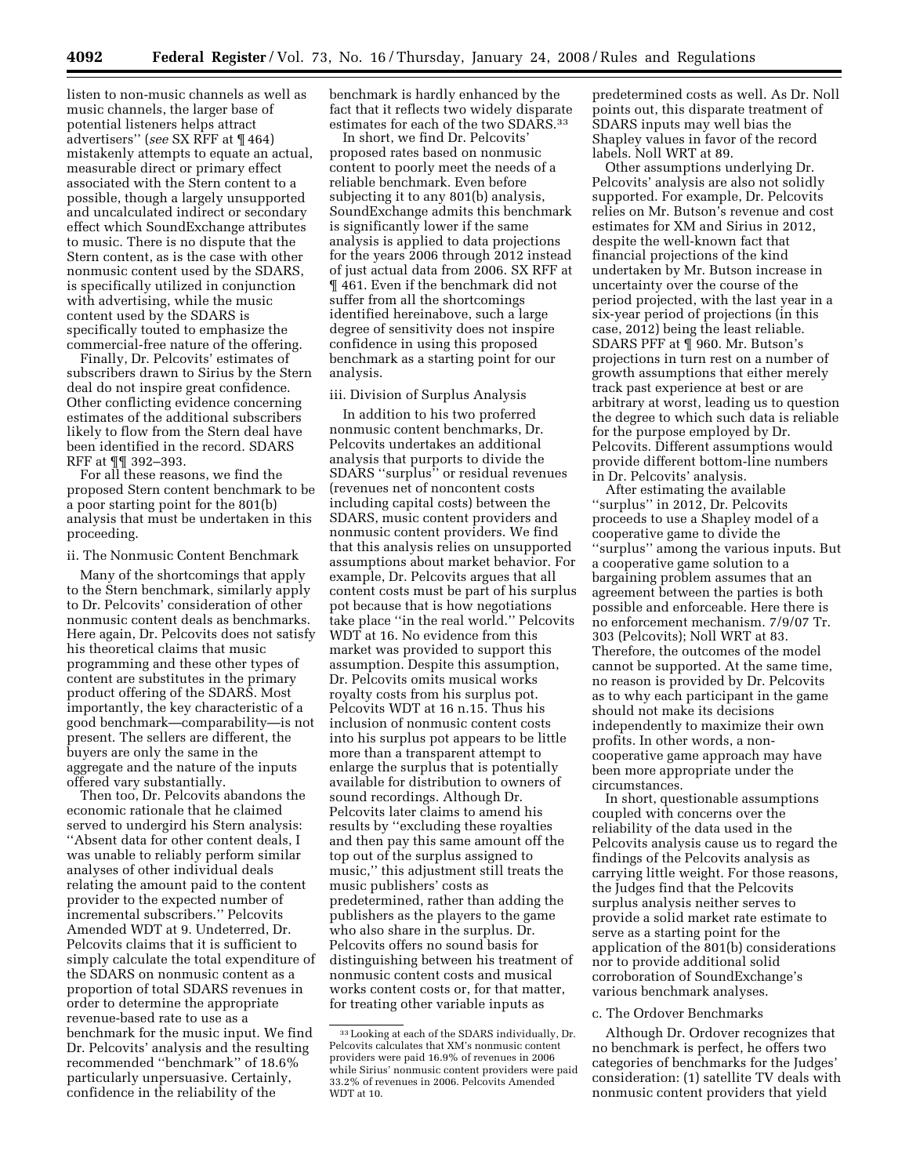listen to non-music channels as well as music channels, the larger base of potential listeners helps attract advertisers'' (*see* SX RFF at ¶ 464) mistakenly attempts to equate an actual, measurable direct or primary effect associated with the Stern content to a possible, though a largely unsupported and uncalculated indirect or secondary effect which SoundExchange attributes to music. There is no dispute that the Stern content, as is the case with other nonmusic content used by the SDARS, is specifically utilized in conjunction with advertising, while the music content used by the SDARS is specifically touted to emphasize the commercial-free nature of the offering.

Finally, Dr. Pelcovits' estimates of subscribers drawn to Sirius by the Stern deal do not inspire great confidence. Other conflicting evidence concerning estimates of the additional subscribers likely to flow from the Stern deal have been identified in the record. SDARS RFF at ¶¶ 392–393.

For all these reasons, we find the proposed Stern content benchmark to be a poor starting point for the 801(b) analysis that must be undertaken in this proceeding.

#### ii. The Nonmusic Content Benchmark

Many of the shortcomings that apply to the Stern benchmark, similarly apply to Dr. Pelcovits' consideration of other nonmusic content deals as benchmarks. Here again, Dr. Pelcovits does not satisfy his theoretical claims that music programming and these other types of content are substitutes in the primary product offering of the SDARS. Most importantly, the key characteristic of a good benchmark—comparability—is not present. The sellers are different, the buyers are only the same in the aggregate and the nature of the inputs offered vary substantially.

Then too, Dr. Pelcovits abandons the economic rationale that he claimed served to undergird his Stern analysis: ''Absent data for other content deals, I was unable to reliably perform similar analyses of other individual deals relating the amount paid to the content provider to the expected number of incremental subscribers.'' Pelcovits Amended WDT at 9. Undeterred, Dr. Pelcovits claims that it is sufficient to simply calculate the total expenditure of the SDARS on nonmusic content as a proportion of total SDARS revenues in order to determine the appropriate revenue-based rate to use as a benchmark for the music input. We find Dr. Pelcovits' analysis and the resulting recommended ''benchmark'' of 18.6% particularly unpersuasive. Certainly, confidence in the reliability of the

benchmark is hardly enhanced by the fact that it reflects two widely disparate estimates for each of the two SDARS.33

In short, we find Dr. Pelcovits' proposed rates based on nonmusic content to poorly meet the needs of a reliable benchmark. Even before subjecting it to any 801(b) analysis, SoundExchange admits this benchmark is significantly lower if the same analysis is applied to data projections for the years 2006 through 2012 instead of just actual data from 2006. SX RFF at ¶ 461. Even if the benchmark did not suffer from all the shortcomings identified hereinabove, such a large degree of sensitivity does not inspire confidence in using this proposed benchmark as a starting point for our analysis.

#### iii. Division of Surplus Analysis

In addition to his two proferred nonmusic content benchmarks, Dr. Pelcovits undertakes an additional analysis that purports to divide the SDARS ''surplus'' or residual revenues (revenues net of noncontent costs including capital costs) between the SDARS, music content providers and nonmusic content providers. We find that this analysis relies on unsupported assumptions about market behavior. For example, Dr. Pelcovits argues that all content costs must be part of his surplus pot because that is how negotiations take place ''in the real world.'' Pelcovits WDT at 16. No evidence from this market was provided to support this assumption. Despite this assumption, Dr. Pelcovits omits musical works royalty costs from his surplus pot. Pelcovits WDT at 16 n.15. Thus his inclusion of nonmusic content costs into his surplus pot appears to be little more than a transparent attempt to enlarge the surplus that is potentially available for distribution to owners of sound recordings. Although Dr. Pelcovits later claims to amend his results by ''excluding these royalties and then pay this same amount off the top out of the surplus assigned to music,'' this adjustment still treats the music publishers' costs as predetermined, rather than adding the publishers as the players to the game who also share in the surplus. Dr. Pelcovits offers no sound basis for distinguishing between his treatment of nonmusic content costs and musical works content costs or, for that matter, for treating other variable inputs as

predetermined costs as well. As Dr. Noll points out, this disparate treatment of SDARS inputs may well bias the Shapley values in favor of the record labels. Noll WRT at 89.

Other assumptions underlying Dr. Pelcovits' analysis are also not solidly supported. For example, Dr. Pelcovits relies on Mr. Butson's revenue and cost estimates for XM and Sirius in 2012, despite the well-known fact that financial projections of the kind undertaken by Mr. Butson increase in uncertainty over the course of the period projected, with the last year in a six-year period of projections (in this case, 2012) being the least reliable. SDARS PFF at ¶ 960. Mr. Butson's projections in turn rest on a number of growth assumptions that either merely track past experience at best or are arbitrary at worst, leading us to question the degree to which such data is reliable for the purpose employed by Dr. Pelcovits. Different assumptions would provide different bottom-line numbers in Dr. Pelcovits' analysis.

After estimating the available ''surplus'' in 2012, Dr. Pelcovits proceeds to use a Shapley model of a cooperative game to divide the ''surplus'' among the various inputs. But a cooperative game solution to a bargaining problem assumes that an agreement between the parties is both possible and enforceable. Here there is no enforcement mechanism. 7/9/07 Tr. 303 (Pelcovits); Noll WRT at 83. Therefore, the outcomes of the model cannot be supported. At the same time, no reason is provided by Dr. Pelcovits as to why each participant in the game should not make its decisions independently to maximize their own profits. In other words, a noncooperative game approach may have been more appropriate under the circumstances.

In short, questionable assumptions coupled with concerns over the reliability of the data used in the Pelcovits analysis cause us to regard the findings of the Pelcovits analysis as carrying little weight. For those reasons, the Judges find that the Pelcovits surplus analysis neither serves to provide a solid market rate estimate to serve as a starting point for the application of the 801(b) considerations nor to provide additional solid corroboration of SoundExchange's various benchmark analyses.

#### c. The Ordover Benchmarks

Although Dr. Ordover recognizes that no benchmark is perfect, he offers two categories of benchmarks for the Judges' consideration: (1) satellite TV deals with nonmusic content providers that yield

<sup>33</sup>Looking at each of the SDARS individually, Dr. Pelcovits calculates that XM's nonmusic content providers were paid 16.9% of revenues in 2006 while Sirius' nonmusic content providers were paid 33.2% of revenues in 2006. Pelcovits Amended WDT at 10.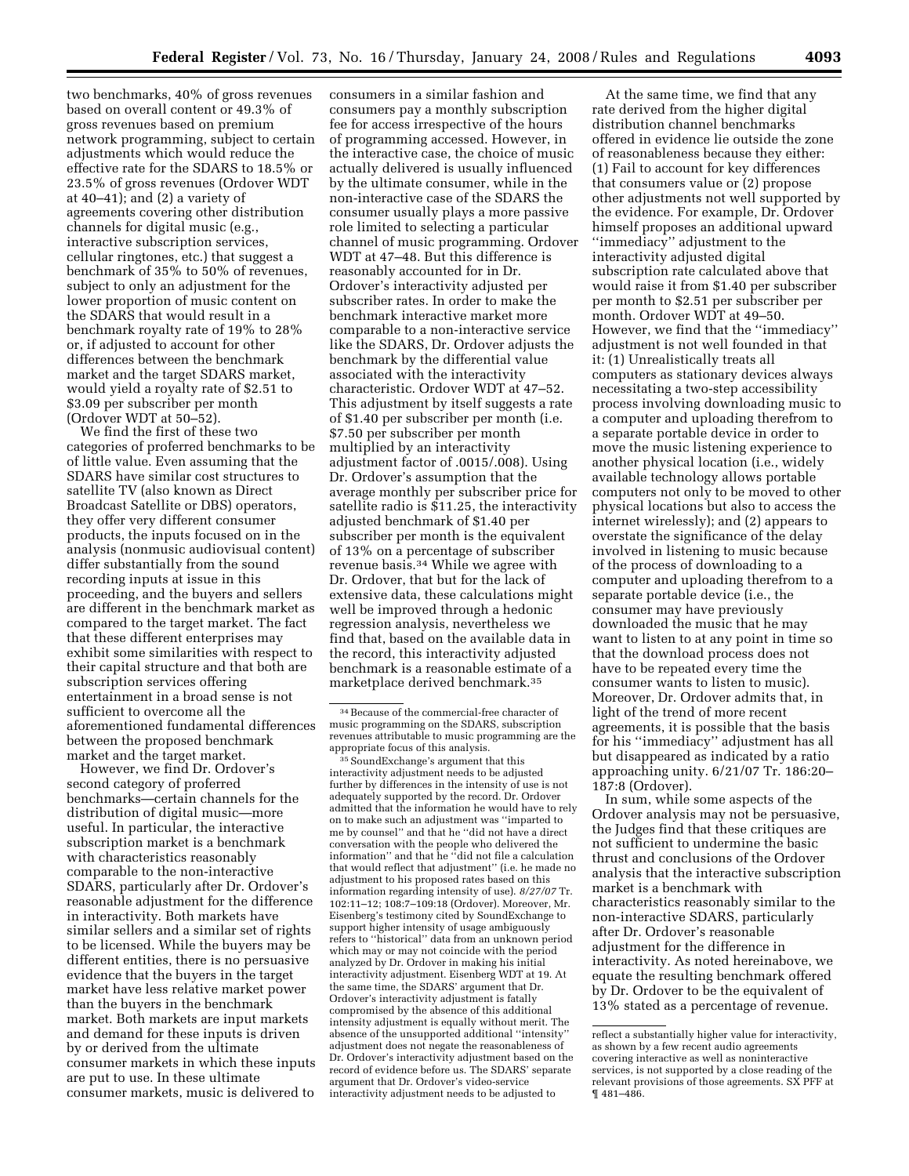two benchmarks, 40% of gross revenues based on overall content or 49.3% of gross revenues based on premium network programming, subject to certain adjustments which would reduce the effective rate for the SDARS to 18.5% or 23.5% of gross revenues (Ordover WDT at 40–41); and (2) a variety of agreements covering other distribution channels for digital music (e.g., interactive subscription services, cellular ringtones, etc.) that suggest a benchmark of 35% to 50% of revenues, subject to only an adjustment for the lower proportion of music content on the SDARS that would result in a benchmark royalty rate of 19% to 28% or, if adjusted to account for other differences between the benchmark market and the target SDARS market, would yield a royalty rate of \$2.51 to \$3.09 per subscriber per month (Ordover WDT at 50–52).

We find the first of these two categories of proferred benchmarks to be of little value. Even assuming that the SDARS have similar cost structures to satellite TV (also known as Direct Broadcast Satellite or DBS) operators, they offer very different consumer products, the inputs focused on in the analysis (nonmusic audiovisual content) differ substantially from the sound recording inputs at issue in this proceeding, and the buyers and sellers are different in the benchmark market as compared to the target market. The fact that these different enterprises may exhibit some similarities with respect to their capital structure and that both are subscription services offering entertainment in a broad sense is not sufficient to overcome all the aforementioned fundamental differences between the proposed benchmark market and the target market.

However, we find Dr. Ordover's second category of proferred benchmarks—certain channels for the distribution of digital music—more useful. In particular, the interactive subscription market is a benchmark with characteristics reasonably comparable to the non-interactive SDARS, particularly after Dr. Ordover's reasonable adjustment for the difference in interactivity. Both markets have similar sellers and a similar set of rights to be licensed. While the buyers may be different entities, there is no persuasive evidence that the buyers in the target market have less relative market power than the buyers in the benchmark market. Both markets are input markets and demand for these inputs is driven by or derived from the ultimate consumer markets in which these inputs are put to use. In these ultimate consumer markets, music is delivered to

consumers in a similar fashion and consumers pay a monthly subscription fee for access irrespective of the hours of programming accessed. However, in the interactive case, the choice of music actually delivered is usually influenced by the ultimate consumer, while in the non-interactive case of the SDARS the consumer usually plays a more passive role limited to selecting a particular channel of music programming. Ordover WDT at 47–48. But this difference is reasonably accounted for in Dr. Ordover's interactivity adjusted per subscriber rates. In order to make the benchmark interactive market more comparable to a non-interactive service like the SDARS, Dr. Ordover adjusts the benchmark by the differential value associated with the interactivity characteristic. Ordover WDT at 47–52. This adjustment by itself suggests a rate of \$1.40 per subscriber per month (i.e. \$7.50 per subscriber per month multiplied by an interactivity adjustment factor of .0015/.008). Using Dr. Ordover's assumption that the average monthly per subscriber price for satellite radio is \$11.25, the interactivity adjusted benchmark of \$1.40 per subscriber per month is the equivalent of 13% on a percentage of subscriber revenue basis.34 While we agree with Dr. Ordover, that but for the lack of extensive data, these calculations might well be improved through a hedonic regression analysis, nevertheless we find that, based on the available data in the record, this interactivity adjusted benchmark is a reasonable estimate of a marketplace derived benchmark.35

At the same time, we find that any rate derived from the higher digital distribution channel benchmarks offered in evidence lie outside the zone of reasonableness because they either: (1) Fail to account for key differences that consumers value or (2) propose other adjustments not well supported by the evidence. For example, Dr. Ordover himself proposes an additional upward ''immediacy'' adjustment to the interactivity adjusted digital subscription rate calculated above that would raise it from \$1.40 per subscriber per month to \$2.51 per subscriber per month. Ordover WDT at 49–50. However, we find that the ''immediacy'' adjustment is not well founded in that it: (1) Unrealistically treats all computers as stationary devices always necessitating a two-step accessibility process involving downloading music to a computer and uploading therefrom to a separate portable device in order to move the music listening experience to another physical location (i.e., widely available technology allows portable computers not only to be moved to other physical locations but also to access the internet wirelessly); and (2) appears to overstate the significance of the delay involved in listening to music because of the process of downloading to a computer and uploading therefrom to a separate portable device (i.e., the consumer may have previously downloaded the music that he may want to listen to at any point in time so that the download process does not have to be repeated every time the consumer wants to listen to music). Moreover, Dr. Ordover admits that, in light of the trend of more recent agreements, it is possible that the basis for his ''immediacy'' adjustment has all but disappeared as indicated by a ratio approaching unity. 6/21/07 Tr. 186:20– 187:8 (Ordover).

In sum, while some aspects of the Ordover analysis may not be persuasive, the Judges find that these critiques are not sufficient to undermine the basic thrust and conclusions of the Ordover analysis that the interactive subscription market is a benchmark with characteristics reasonably similar to the non-interactive SDARS, particularly after Dr. Ordover's reasonable adjustment for the difference in interactivity. As noted hereinabove, we equate the resulting benchmark offered by Dr. Ordover to be the equivalent of 13% stated as a percentage of revenue.

<sup>34</sup>Because of the commercial-free character of music programming on the SDARS, subscription revenues attributable to music programming are the appropriate focus of this analysis.

<sup>&</sup>lt;sup>35</sup> SoundExchange's argument that this interactivity adjustment needs to be adjusted further by differences in the intensity of use is not adequately supported by the record. Dr. Ordover admitted that the information he would have to rely on to make such an adjustment was ''imparted to me by counsel'' and that he ''did not have a direct conversation with the people who delivered the information'' and that he ''did not file a calculation that would reflect that adjustment'' (i.e. he made no adjustment to his proposed rates based on this information regarding intensity of use). *8/27/07* Tr. 102:11–12; 108:7–109:18 (Ordover). Moreover, Mr. Eisenberg's testimony cited by SoundExchange to support higher intensity of usage ambiguously refers to ''historical'' data from an unknown period which may or may not coincide with the period analyzed by Dr. Ordover in making his initial interactivity adjustment. Eisenberg WDT at 19. At the same time, the SDARS' argument that Dr. Ordover's interactivity adjustment is fatally compromised by the absence of this additional intensity adjustment is equally without merit. The absence of the unsupported additional "intensity adjustment does not negate the reasonableness of Dr. Ordover's interactivity adjustment based on the record of evidence before us. The SDARS' separate argument that Dr. Ordover's video-service interactivity adjustment needs to be adjusted to

reflect a substantially higher value for interactivity, as shown by a few recent audio agreements covering interactive as well as noninteractive services, is not supported by a close reading of the relevant provisions of those agreements. SX PFF at ¶ 481–486.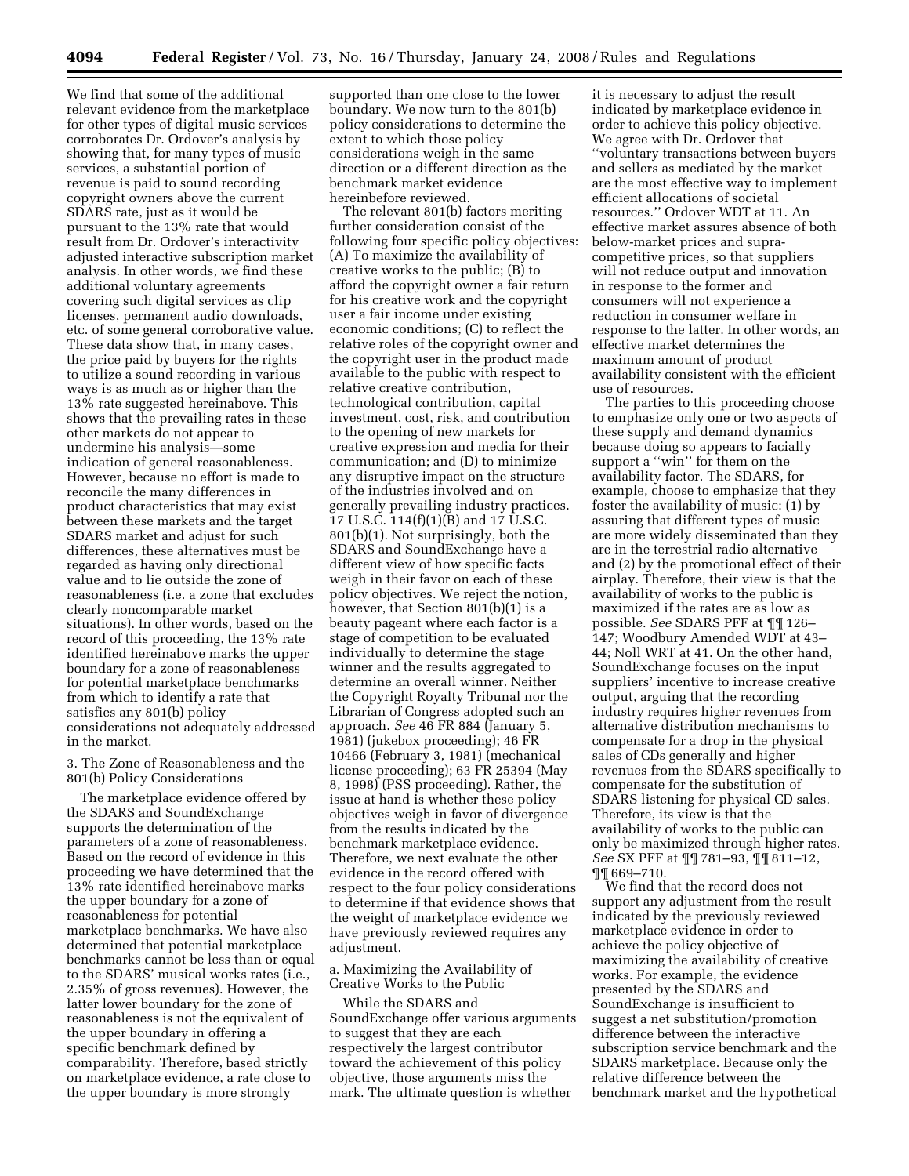We find that some of the additional relevant evidence from the marketplace for other types of digital music services corroborates Dr. Ordover's analysis by showing that, for many types of music services, a substantial portion of revenue is paid to sound recording copyright owners above the current SDARS rate, just as it would be pursuant to the 13% rate that would result from Dr. Ordover's interactivity adjusted interactive subscription market analysis. In other words, we find these additional voluntary agreements covering such digital services as clip licenses, permanent audio downloads, etc. of some general corroborative value. These data show that, in many cases, the price paid by buyers for the rights to utilize a sound recording in various ways is as much as or higher than the 13% rate suggested hereinabove. This shows that the prevailing rates in these other markets do not appear to undermine his analysis—some indication of general reasonableness. However, because no effort is made to reconcile the many differences in product characteristics that may exist between these markets and the target SDARS market and adjust for such differences, these alternatives must be regarded as having only directional value and to lie outside the zone of reasonableness (i.e. a zone that excludes clearly noncomparable market situations). In other words, based on the record of this proceeding, the 13% rate identified hereinabove marks the upper boundary for a zone of reasonableness for potential marketplace benchmarks from which to identify a rate that satisfies any 801(b) policy considerations not adequately addressed in the market.

3. The Zone of Reasonableness and the 801(b) Policy Considerations

The marketplace evidence offered by the SDARS and SoundExchange supports the determination of the parameters of a zone of reasonableness. Based on the record of evidence in this proceeding we have determined that the 13% rate identified hereinabove marks the upper boundary for a zone of reasonableness for potential marketplace benchmarks. We have also determined that potential marketplace benchmarks cannot be less than or equal to the SDARS' musical works rates (i.e., 2.35% of gross revenues). However, the latter lower boundary for the zone of reasonableness is not the equivalent of the upper boundary in offering a specific benchmark defined by comparability. Therefore, based strictly on marketplace evidence, a rate close to the upper boundary is more strongly

supported than one close to the lower boundary. We now turn to the 801(b) policy considerations to determine the extent to which those policy considerations weigh in the same direction or a different direction as the benchmark market evidence hereinbefore reviewed.

The relevant 801(b) factors meriting further consideration consist of the following four specific policy objectives: (A) To maximize the availability of creative works to the public; (B) to afford the copyright owner a fair return for his creative work and the copyright user a fair income under existing economic conditions; (C) to reflect the relative roles of the copyright owner and the copyright user in the product made available to the public with respect to relative creative contribution, technological contribution, capital investment, cost, risk, and contribution to the opening of new markets for creative expression and media for their communication; and (D) to minimize any disruptive impact on the structure of the industries involved and on generally prevailing industry practices. 17 U.S.C. 114(f)(1)(B) and 17 U.S.C. 801(b)(1). Not surprisingly, both the SDARS and SoundExchange have a different view of how specific facts weigh in their favor on each of these policy objectives. We reject the notion, however, that Section 801(b)(1) is a beauty pageant where each factor is a stage of competition to be evaluated individually to determine the stage winner and the results aggregated to determine an overall winner. Neither the Copyright Royalty Tribunal nor the Librarian of Congress adopted such an approach. *See* 46 FR 884 (January 5, 1981) (jukebox proceeding); 46 FR 10466 (February 3, 1981) (mechanical license proceeding); 63 FR 25394 (May 8, 1998) (PSS proceeding). Rather, the issue at hand is whether these policy objectives weigh in favor of divergence from the results indicated by the benchmark marketplace evidence. Therefore, we next evaluate the other evidence in the record offered with respect to the four policy considerations to determine if that evidence shows that the weight of marketplace evidence we have previously reviewed requires any adjustment.

a. Maximizing the Availability of Creative Works to the Public

While the SDARS and SoundExchange offer various arguments to suggest that they are each respectively the largest contributor toward the achievement of this policy objective, those arguments miss the mark. The ultimate question is whether

it is necessary to adjust the result indicated by marketplace evidence in order to achieve this policy objective. We agree with Dr. Ordover that ''voluntary transactions between buyers and sellers as mediated by the market are the most effective way to implement efficient allocations of societal resources.'' Ordover WDT at 11. An effective market assures absence of both below-market prices and supracompetitive prices, so that suppliers will not reduce output and innovation in response to the former and consumers will not experience a reduction in consumer welfare in response to the latter. In other words, an effective market determines the maximum amount of product availability consistent with the efficient use of resources.

The parties to this proceeding choose to emphasize only one or two aspects of these supply and demand dynamics because doing so appears to facially support a "win" for them on the availability factor. The SDARS, for example, choose to emphasize that they foster the availability of music: (1) by assuring that different types of music are more widely disseminated than they are in the terrestrial radio alternative and (2) by the promotional effect of their airplay. Therefore, their view is that the availability of works to the public is maximized if the rates are as low as possible. *See* SDARS PFF at ¶¶ 126– 147; Woodbury Amended WDT at 43– 44; Noll WRT at 41. On the other hand, SoundExchange focuses on the input suppliers' incentive to increase creative output, arguing that the recording industry requires higher revenues from alternative distribution mechanisms to compensate for a drop in the physical sales of CDs generally and higher revenues from the SDARS specifically to compensate for the substitution of SDARS listening for physical CD sales. Therefore, its view is that the availability of works to the public can only be maximized through higher rates. *See* SX PFF at ¶¶ 781–93, ¶¶ 811–12, ¶¶ 669–710.

We find that the record does not support any adjustment from the result indicated by the previously reviewed marketplace evidence in order to achieve the policy objective of maximizing the availability of creative works. For example, the evidence presented by the SDARS and SoundExchange is insufficient to suggest a net substitution/promotion difference between the interactive subscription service benchmark and the SDARS marketplace. Because only the relative difference between the benchmark market and the hypothetical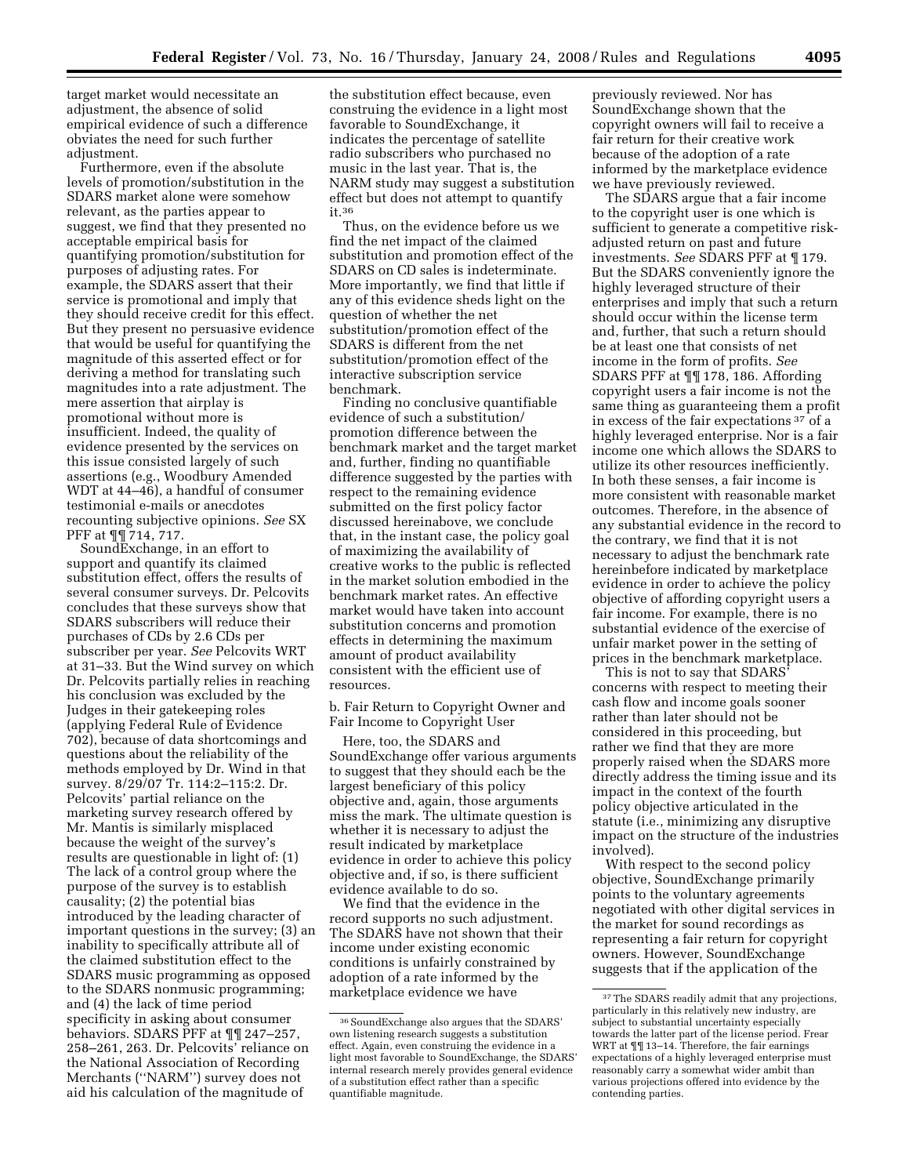target market would necessitate an adjustment, the absence of solid empirical evidence of such a difference obviates the need for such further adjustment.

Furthermore, even if the absolute levels of promotion/substitution in the SDARS market alone were somehow relevant, as the parties appear to suggest, we find that they presented no acceptable empirical basis for quantifying promotion/substitution for purposes of adjusting rates. For example, the SDARS assert that their service is promotional and imply that they should receive credit for this effect. But they present no persuasive evidence that would be useful for quantifying the magnitude of this asserted effect or for deriving a method for translating such magnitudes into a rate adjustment. The mere assertion that airplay is promotional without more is insufficient. Indeed, the quality of evidence presented by the services on this issue consisted largely of such assertions (e.g., Woodbury Amended WDT at 44–46), a handful of consumer testimonial e-mails or anecdotes recounting subjective opinions. *See* SX PFF at ¶¶ 714, 717.

SoundExchange, in an effort to support and quantify its claimed substitution effect, offers the results of several consumer surveys. Dr. Pelcovits concludes that these surveys show that SDARS subscribers will reduce their purchases of CDs by 2.6 CDs per subscriber per year. *See* Pelcovits WRT at 31–33. But the Wind survey on which Dr. Pelcovits partially relies in reaching his conclusion was excluded by the Judges in their gatekeeping roles (applying Federal Rule of Evidence 702), because of data shortcomings and questions about the reliability of the methods employed by Dr. Wind in that survey. 8/29/07 Tr. 114:2–115:2. Dr. Pelcovits' partial reliance on the marketing survey research offered by Mr. Mantis is similarly misplaced because the weight of the survey's results are questionable in light of: (1) The lack of a control group where the purpose of the survey is to establish causality; (2) the potential bias introduced by the leading character of important questions in the survey; (3) an inability to specifically attribute all of the claimed substitution effect to the SDARS music programming as opposed to the SDARS nonmusic programming; and (4) the lack of time period specificity in asking about consumer behaviors. SDARS PFF at ¶¶ 247–257, 258–261, 263. Dr. Pelcovits' reliance on the National Association of Recording Merchants (''NARM'') survey does not aid his calculation of the magnitude of

the substitution effect because, even construing the evidence in a light most favorable to SoundExchange, it indicates the percentage of satellite radio subscribers who purchased no music in the last year. That is, the NARM study may suggest a substitution effect but does not attempt to quantify it.36

Thus, on the evidence before us we find the net impact of the claimed substitution and promotion effect of the SDARS on CD sales is indeterminate. More importantly, we find that little if any of this evidence sheds light on the question of whether the net substitution/promotion effect of the SDARS is different from the net substitution/promotion effect of the interactive subscription service benchmark.

Finding no conclusive quantifiable evidence of such a substitution/ promotion difference between the benchmark market and the target market and, further, finding no quantifiable difference suggested by the parties with respect to the remaining evidence submitted on the first policy factor discussed hereinabove, we conclude that, in the instant case, the policy goal of maximizing the availability of creative works to the public is reflected in the market solution embodied in the benchmark market rates. An effective market would have taken into account substitution concerns and promotion effects in determining the maximum amount of product availability consistent with the efficient use of resources.

b. Fair Return to Copyright Owner and Fair Income to Copyright User

Here, too, the SDARS and SoundExchange offer various arguments to suggest that they should each be the largest beneficiary of this policy objective and, again, those arguments miss the mark. The ultimate question is whether it is necessary to adjust the result indicated by marketplace evidence in order to achieve this policy objective and, if so, is there sufficient evidence available to do so.

We find that the evidence in the record supports no such adjustment. The SDARS have not shown that their income under existing economic conditions is unfairly constrained by adoption of a rate informed by the marketplace evidence we have

previously reviewed. Nor has SoundExchange shown that the copyright owners will fail to receive a fair return for their creative work because of the adoption of a rate informed by the marketplace evidence we have previously reviewed.

The SDARS argue that a fair income to the copyright user is one which is sufficient to generate a competitive riskadjusted return on past and future investments. *See* SDARS PFF at ¶ 179. But the SDARS conveniently ignore the highly leveraged structure of their enterprises and imply that such a return should occur within the license term and, further, that such a return should be at least one that consists of net income in the form of profits. *See*  SDARS PFF at ¶¶ 178, 186. Affording copyright users a fair income is not the same thing as guaranteeing them a profit in excess of the fair expectations 37 of a highly leveraged enterprise. Nor is a fair income one which allows the SDARS to utilize its other resources inefficiently. In both these senses, a fair income is more consistent with reasonable market outcomes. Therefore, in the absence of any substantial evidence in the record to the contrary, we find that it is not necessary to adjust the benchmark rate hereinbefore indicated by marketplace evidence in order to achieve the policy objective of affording copyright users a fair income. For example, there is no substantial evidence of the exercise of unfair market power in the setting of prices in the benchmark marketplace.

This is not to say that SDARS' concerns with respect to meeting their cash flow and income goals sooner rather than later should not be considered in this proceeding, but rather we find that they are more properly raised when the SDARS more directly address the timing issue and its impact in the context of the fourth policy objective articulated in the statute (i.e., minimizing any disruptive impact on the structure of the industries involved).

With respect to the second policy objective, SoundExchange primarily points to the voluntary agreements negotiated with other digital services in the market for sound recordings as representing a fair return for copyright owners. However, SoundExchange suggests that if the application of the

<sup>36</sup>SoundExchange also argues that the SDARS' own listening research suggests a substitution effect. Again, even construing the evidence in a light most favorable to SoundExchange, the SDARS' internal research merely provides general evidence of a substitution effect rather than a specific quantifiable magnitude.

<sup>&</sup>lt;sup>37</sup>The SDARS readily admit that any projections, particularly in this relatively new industry, are subject to substantial uncertainty especially towards the latter part of the license period. Frear WRT at ¶¶ 13–14. Therefore, the fair earnings expectations of a highly leveraged enterprise must reasonably carry a somewhat wider ambit than various projections offered into evidence by the contending parties.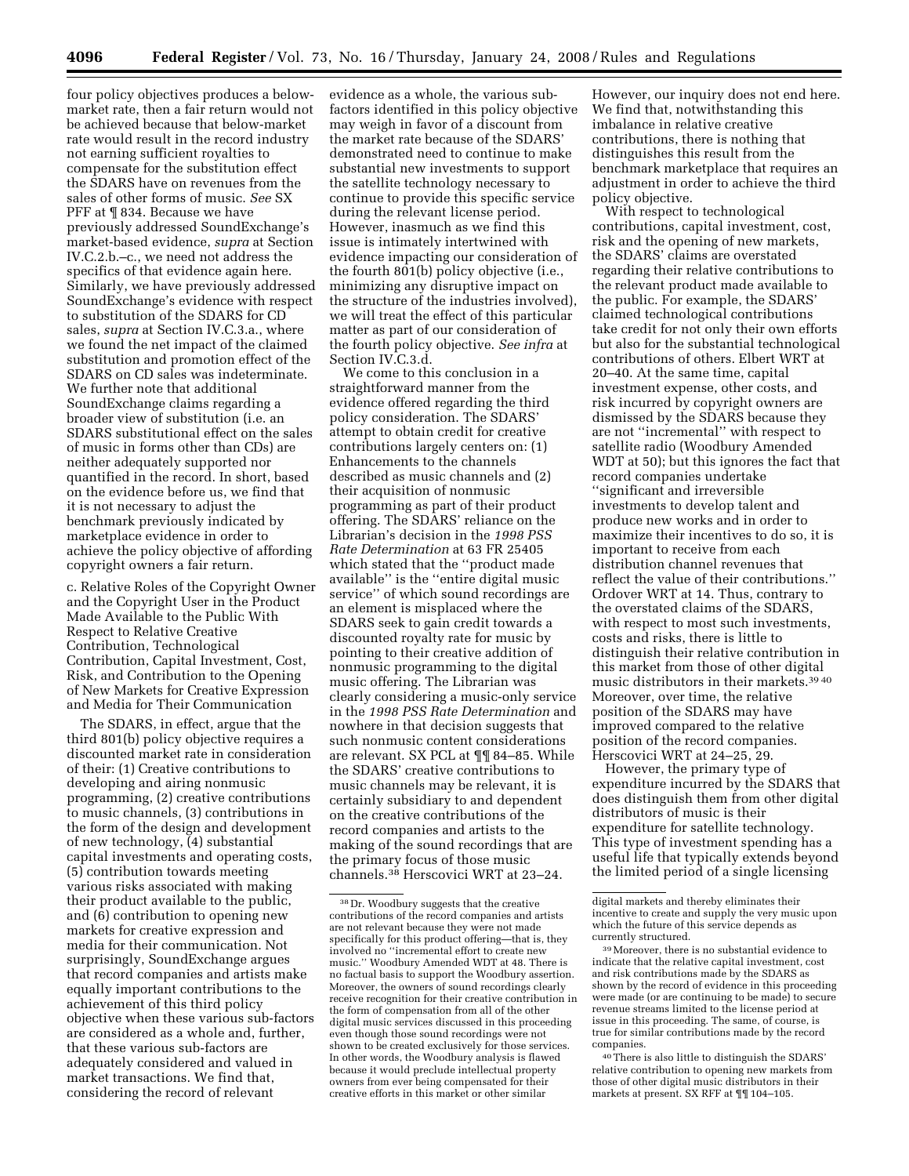four policy objectives produces a belowmarket rate, then a fair return would not be achieved because that below-market rate would result in the record industry not earning sufficient royalties to compensate for the substitution effect the SDARS have on revenues from the sales of other forms of music. *See* SX PFF at ¶ 834. Because we have previously addressed SoundExchange's market-based evidence, *supra* at Section IV.C.2.b.–c., we need not address the specifics of that evidence again here. Similarly, we have previously addressed SoundExchange's evidence with respect to substitution of the SDARS for CD sales, *supra* at Section IV.C.3.a., where we found the net impact of the claimed substitution and promotion effect of the SDARS on CD sales was indeterminate. We further note that additional SoundExchange claims regarding a broader view of substitution (i.e. an SDARS substitutional effect on the sales of music in forms other than CDs) are neither adequately supported nor quantified in the record. In short, based on the evidence before us, we find that it is not necessary to adjust the benchmark previously indicated by marketplace evidence in order to achieve the policy objective of affording copyright owners a fair return.

c. Relative Roles of the Copyright Owner and the Copyright User in the Product Made Available to the Public With Respect to Relative Creative Contribution, Technological Contribution, Capital Investment, Cost, Risk, and Contribution to the Opening of New Markets for Creative Expression and Media for Their Communication

The SDARS, in effect, argue that the third 801(b) policy objective requires a discounted market rate in consideration of their: (1) Creative contributions to developing and airing nonmusic programming, (2) creative contributions to music channels, (3) contributions in the form of the design and development of new technology, (4) substantial capital investments and operating costs, (5) contribution towards meeting various risks associated with making their product available to the public, and (6) contribution to opening new markets for creative expression and media for their communication. Not surprisingly, SoundExchange argues that record companies and artists make equally important contributions to the achievement of this third policy objective when these various sub-factors are considered as a whole and, further, that these various sub-factors are adequately considered and valued in market transactions. We find that, considering the record of relevant

evidence as a whole, the various subfactors identified in this policy objective may weigh in favor of a discount from the market rate because of the SDARS' demonstrated need to continue to make substantial new investments to support the satellite technology necessary to continue to provide this specific service during the relevant license period. However, inasmuch as we find this issue is intimately intertwined with evidence impacting our consideration of the fourth 801(b) policy objective (i.e., minimizing any disruptive impact on the structure of the industries involved), we will treat the effect of this particular matter as part of our consideration of the fourth policy objective. *See infra* at Section IV.C.3.d.

We come to this conclusion in a straightforward manner from the evidence offered regarding the third policy consideration. The SDARS' attempt to obtain credit for creative contributions largely centers on: (1) Enhancements to the channels described as music channels and (2) their acquisition of nonmusic programming as part of their product offering. The SDARS' reliance on the Librarian's decision in the *1998 PSS Rate Determination* at 63 FR 25405 which stated that the ''product made available'' is the ''entire digital music service'' of which sound recordings are an element is misplaced where the SDARS seek to gain credit towards a discounted royalty rate for music by pointing to their creative addition of nonmusic programming to the digital music offering. The Librarian was clearly considering a music-only service in the *1998 PSS Rate Determination* and nowhere in that decision suggests that such nonmusic content considerations are relevant. SX PCL at ¶¶ 84–85. While the SDARS' creative contributions to music channels may be relevant, it is certainly subsidiary to and dependent on the creative contributions of the record companies and artists to the making of the sound recordings that are the primary focus of those music channels.38 Herscovici WRT at 23–24.

However, our inquiry does not end here. We find that, notwithstanding this imbalance in relative creative contributions, there is nothing that distinguishes this result from the benchmark marketplace that requires an adjustment in order to achieve the third policy objective.

With respect to technological contributions, capital investment, cost, risk and the opening of new markets, the SDARS' claims are overstated regarding their relative contributions to the relevant product made available to the public. For example, the SDARS' claimed technological contributions take credit for not only their own efforts but also for the substantial technological contributions of others. Elbert WRT at 20–40. At the same time, capital investment expense, other costs, and risk incurred by copyright owners are dismissed by the SDARS because they are not ''incremental'' with respect to satellite radio (Woodbury Amended WDT at 50); but this ignores the fact that record companies undertake ''significant and irreversible investments to develop talent and produce new works and in order to maximize their incentives to do so, it is important to receive from each distribution channel revenues that reflect the value of their contributions.'' Ordover WRT at 14. Thus, contrary to the overstated claims of the SDARS, with respect to most such investments, costs and risks, there is little to distinguish their relative contribution in this market from those of other digital music distributors in their markets.39 40 Moreover, over time, the relative position of the SDARS may have improved compared to the relative position of the record companies. Herscovici WRT at 24–25, 29.

However, the primary type of expenditure incurred by the SDARS that does distinguish them from other digital distributors of music is their expenditure for satellite technology. This type of investment spending has a useful life that typically extends beyond the limited period of a single licensing

40There is also little to distinguish the SDARS' relative contribution to opening new markets from those of other digital music distributors in their markets at present. SX RFF at ¶¶ 104–105.

<sup>38</sup> Dr. Woodbury suggests that the creative contributions of the record companies and artists are not relevant because they were not made specifically for this product offering—that is, they involved no ''incremental effort to create new music.'' Woodbury Amended WDT at 48. There is no factual basis to support the Woodbury assertion. Moreover, the owners of sound recordings clearly receive recognition for their creative contribution in the form of compensation from all of the other digital music services discussed in this proceeding even though those sound recordings were not shown to be created exclusively for those services. In other words, the Woodbury analysis is flawed because it would preclude intellectual property owners from ever being compensated for their creative efforts in this market or other similar

digital markets and thereby eliminates their incentive to create and supply the very music upon which the future of this service depends as currently structured.

<sup>39</sup>Moreover, there is no substantial evidence to indicate that the relative capital investment, cost and risk contributions made by the SDARS as shown by the record of evidence in this proceeding were made (or are continuing to be made) to secure revenue streams limited to the license period at issue in this proceeding. The same, of course, is true for similar contributions made by the record companies.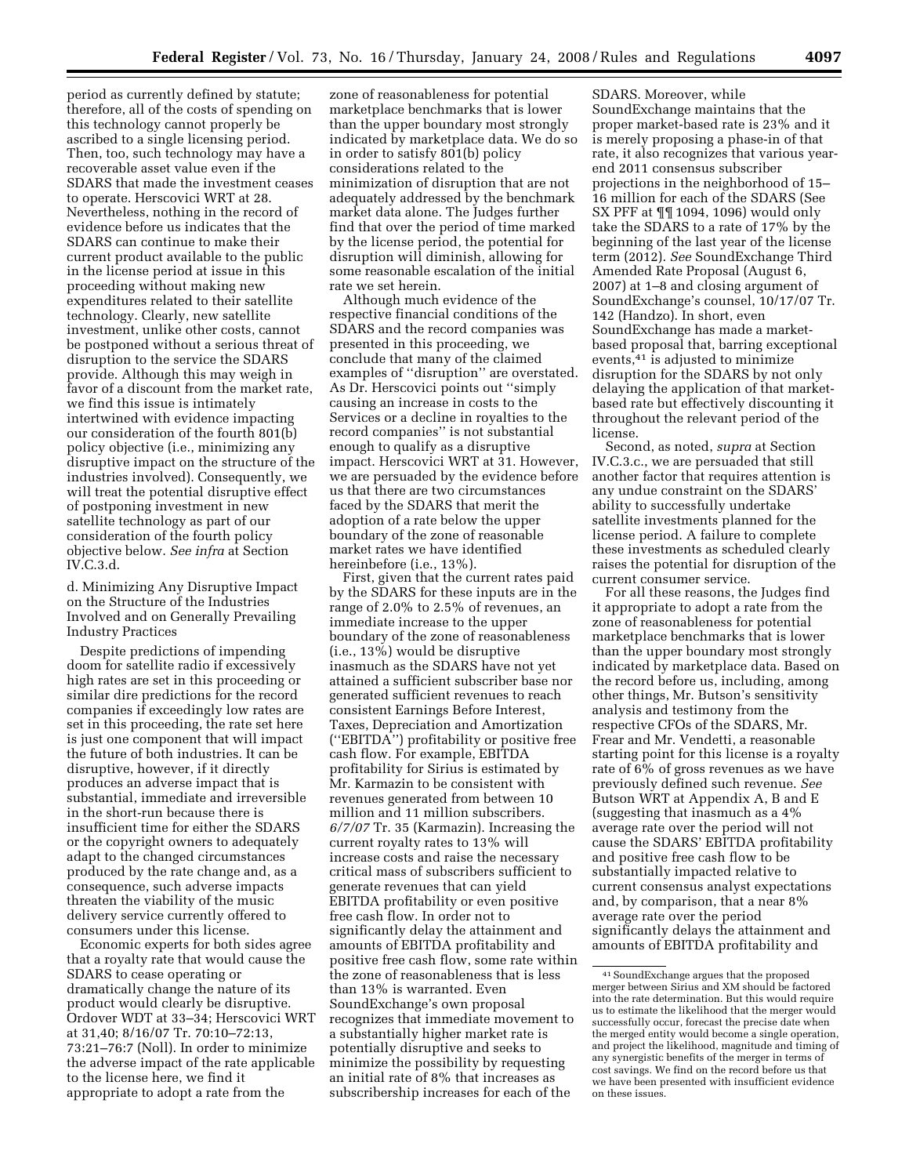period as currently defined by statute; therefore, all of the costs of spending on this technology cannot properly be ascribed to a single licensing period. Then, too, such technology may have a recoverable asset value even if the SDARS that made the investment ceases to operate. Herscovici WRT at 28. Nevertheless, nothing in the record of evidence before us indicates that the SDARS can continue to make their current product available to the public in the license period at issue in this proceeding without making new expenditures related to their satellite technology. Clearly, new satellite investment, unlike other costs, cannot be postponed without a serious threat of disruption to the service the SDARS provide. Although this may weigh in favor of a discount from the market rate, we find this issue is intimately intertwined with evidence impacting our consideration of the fourth 801(b) policy objective (i.e., minimizing any disruptive impact on the structure of the industries involved). Consequently, we will treat the potential disruptive effect of postponing investment in new satellite technology as part of our consideration of the fourth policy objective below. *See infra* at Section IV.C.3.d.

d. Minimizing Any Disruptive Impact on the Structure of the Industries Involved and on Generally Prevailing Industry Practices

Despite predictions of impending doom for satellite radio if excessively high rates are set in this proceeding or similar dire predictions for the record companies if exceedingly low rates are set in this proceeding, the rate set here is just one component that will impact the future of both industries. It can be disruptive, however, if it directly produces an adverse impact that is substantial, immediate and irreversible in the short-run because there is insufficient time for either the SDARS or the copyright owners to adequately adapt to the changed circumstances produced by the rate change and, as a consequence, such adverse impacts threaten the viability of the music delivery service currently offered to consumers under this license.

Economic experts for both sides agree that a royalty rate that would cause the SDARS to cease operating or dramatically change the nature of its product would clearly be disruptive. Ordover WDT at 33–34; Herscovici WRT at 31,40; 8/16/07 Tr. 70:10–72:13, 73:21–76:7 (Noll). In order to minimize the adverse impact of the rate applicable to the license here, we find it appropriate to adopt a rate from the

zone of reasonableness for potential marketplace benchmarks that is lower than the upper boundary most strongly indicated by marketplace data. We do so in order to satisfy 801(b) policy considerations related to the minimization of disruption that are not adequately addressed by the benchmark market data alone. The Judges further find that over the period of time marked by the license period, the potential for disruption will diminish, allowing for some reasonable escalation of the initial rate we set herein.

Although much evidence of the respective financial conditions of the SDARS and the record companies was presented in this proceeding, we conclude that many of the claimed examples of ''disruption'' are overstated. As Dr. Herscovici points out ''simply causing an increase in costs to the Services or a decline in royalties to the record companies'' is not substantial enough to qualify as a disruptive impact. Herscovici WRT at 31. However, we are persuaded by the evidence before us that there are two circumstances faced by the SDARS that merit the adoption of a rate below the upper boundary of the zone of reasonable market rates we have identified hereinbefore (i.e., 13%).

First, given that the current rates paid by the SDARS for these inputs are in the range of 2.0% to 2.5% of revenues, an immediate increase to the upper boundary of the zone of reasonableness (i.e., 13%) would be disruptive inasmuch as the SDARS have not yet attained a sufficient subscriber base nor generated sufficient revenues to reach consistent Earnings Before Interest, Taxes, Depreciation and Amortization (''EBITDA'') profitability or positive free cash flow. For example, EBITDA profitability for Sirius is estimated by Mr. Karmazin to be consistent with revenues generated from between 10 million and 11 million subscribers. *6/7/07* Tr. 35 (Karmazin). Increasing the current royalty rates to 13% will increase costs and raise the necessary critical mass of subscribers sufficient to generate revenues that can yield EBITDA profitability or even positive free cash flow. In order not to significantly delay the attainment and amounts of EBITDA profitability and positive free cash flow, some rate within the zone of reasonableness that is less than 13% is warranted. Even SoundExchange's own proposal recognizes that immediate movement to a substantially higher market rate is potentially disruptive and seeks to minimize the possibility by requesting an initial rate of 8% that increases as subscribership increases for each of the

SDARS. Moreover, while SoundExchange maintains that the proper market-based rate is 23% and it is merely proposing a phase-in of that rate, it also recognizes that various yearend 2011 consensus subscriber projections in the neighborhood of 15– 16 million for each of the SDARS (See SX PFF at ¶¶ 1094, 1096) would only take the SDARS to a rate of 17% by the beginning of the last year of the license term (2012). *See* SoundExchange Third Amended Rate Proposal (August 6, 2007) at 1–8 and closing argument of SoundExchange's counsel, 10/17/07 Tr. 142 (Handzo). In short, even SoundExchange has made a marketbased proposal that, barring exceptional events,41 is adjusted to minimize disruption for the SDARS by not only delaying the application of that marketbased rate but effectively discounting it throughout the relevant period of the license.

Second, as noted, *supra* at Section IV.C.3.c., we are persuaded that still another factor that requires attention is any undue constraint on the SDARS' ability to successfully undertake satellite investments planned for the license period. A failure to complete these investments as scheduled clearly raises the potential for disruption of the current consumer service.

For all these reasons, the Judges find it appropriate to adopt a rate from the zone of reasonableness for potential marketplace benchmarks that is lower than the upper boundary most strongly indicated by marketplace data. Based on the record before us, including, among other things, Mr. Butson's sensitivity analysis and testimony from the respective CFOs of the SDARS, Mr. Frear and Mr. Vendetti, a reasonable starting point for this license is a royalty rate of 6% of gross revenues as we have previously defined such revenue. *See*  Butson WRT at Appendix A, B and E (suggesting that inasmuch as a 4% average rate over the period will not cause the SDARS' EBITDA profitability and positive free cash flow to be substantially impacted relative to current consensus analyst expectations and, by comparison, that a near 8% average rate over the period significantly delays the attainment and amounts of EBITDA profitability and

<sup>41</sup>SoundExchange argues that the proposed merger between Sirius and XM should be factored into the rate determination. But this would require us to estimate the likelihood that the merger would successfully occur, forecast the precise date when the merged entity would become a single operation, and project the likelihood, magnitude and timing of any synergistic benefits of the merger in terms of cost savings. We find on the record before us that we have been presented with insufficient evidence on these issues.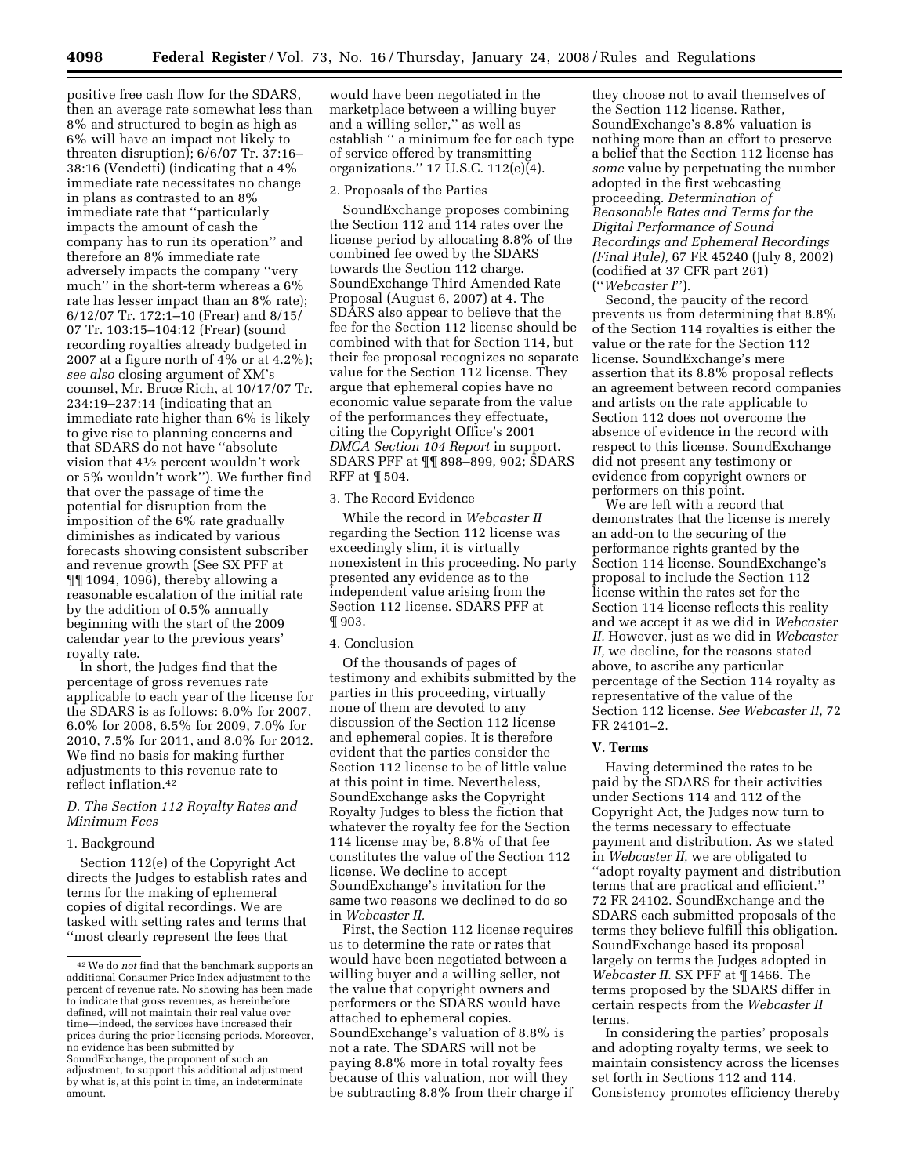positive free cash flow for the SDARS, then an average rate somewhat less than 8% and structured to begin as high as 6% will have an impact not likely to threaten disruption); 6/6/07 Tr. 37:16– 38:16 (Vendetti) (indicating that a 4% immediate rate necessitates no change in plans as contrasted to an 8% immediate rate that ''particularly impacts the amount of cash the company has to run its operation'' and therefore an 8% immediate rate adversely impacts the company ''very much'' in the short-term whereas a 6% rate has lesser impact than an 8% rate); 6/12/07 Tr. 172:1–10 (Frear) and 8/15/ 07 Tr. 103:15–104:12 (Frear) (sound recording royalties already budgeted in 2007 at a figure north of  $4\%$  or at  $4.2\%$ ); *see also* closing argument of XM's counsel, Mr. Bruce Rich, at 10/17/07 Tr. 234:19–237:14 (indicating that an immediate rate higher than 6% is likely to give rise to planning concerns and that SDARS do not have ''absolute vision that 41⁄2 percent wouldn't work or 5% wouldn't work''). We further find that over the passage of time the potential for disruption from the imposition of the 6% rate gradually diminishes as indicated by various forecasts showing consistent subscriber and revenue growth (See SX PFF at ¶¶ 1094, 1096), thereby allowing a reasonable escalation of the initial rate by the addition of 0.5% annually beginning with the start of the 2009 calendar year to the previous years' royalty rate.

In short, the Judges find that the percentage of gross revenues rate applicable to each year of the license for the SDARS is as follows: 6.0% for 2007, 6.0% for 2008, 6.5% for 2009, 7.0% for 2010, 7.5% for 2011, and 8.0% for 2012. We find no basis for making further adjustments to this revenue rate to reflect inflation.42

# *D. The Section 112 Royalty Rates and Minimum Fees*

## 1. Background

Section 112(e) of the Copyright Act directs the Judges to establish rates and terms for the making of ephemeral copies of digital recordings. We are tasked with setting rates and terms that ''most clearly represent the fees that

would have been negotiated in the marketplace between a willing buyer and a willing seller,'' as well as establish '' a minimum fee for each type of service offered by transmitting organizations.'' 17 U.S.C. 112(e)(4).

#### 2. Proposals of the Parties

SoundExchange proposes combining the Section 112 and 114 rates over the license period by allocating 8.8% of the combined fee owed by the SDARS towards the Section 112 charge. SoundExchange Third Amended Rate Proposal (August 6, 2007) at 4. The SDARS also appear to believe that the fee for the Section 112 license should be combined with that for Section 114, but their fee proposal recognizes no separate value for the Section 112 license. They argue that ephemeral copies have no economic value separate from the value of the performances they effectuate, citing the Copyright Office's 2001 *DMCA Section 104 Report* in support. SDARS PFF at ¶¶ 898–899, 902; SDARS RFF at ¶ 504.

# 3. The Record Evidence

While the record in *Webcaster II*  regarding the Section 112 license was exceedingly slim, it is virtually nonexistent in this proceeding. No party presented any evidence as to the independent value arising from the Section 112 license. SDARS PFF at ¶ 903.

# 4. Conclusion

Of the thousands of pages of testimony and exhibits submitted by the parties in this proceeding, virtually none of them are devoted to any discussion of the Section 112 license and ephemeral copies. It is therefore evident that the parties consider the Section 112 license to be of little value at this point in time. Nevertheless, SoundExchange asks the Copyright Royalty Judges to bless the fiction that whatever the royalty fee for the Section 114 license may be, 8.8% of that fee constitutes the value of the Section 112 license. We decline to accept SoundExchange's invitation for the same two reasons we declined to do so in *Webcaster II.* 

First, the Section 112 license requires us to determine the rate or rates that would have been negotiated between a willing buyer and a willing seller, not the value that copyright owners and performers or the SDARS would have attached to ephemeral copies. SoundExchange's valuation of 8.8% is not a rate. The SDARS will not be paying 8.8% more in total royalty fees because of this valuation, nor will they be subtracting 8.8% from their charge if

they choose not to avail themselves of the Section 112 license. Rather, SoundExchange's 8.8% valuation is nothing more than an effort to preserve a belief that the Section 112 license has *some* value by perpetuating the number adopted in the first webcasting proceeding. *Determination of Reasonable Rates and Terms for the Digital Performance of Sound Recordings and Ephemeral Recordings (Final Rule),* 67 FR 45240 (July 8, 2002) (codified at 37 CFR part 261) (''*Webcaster I*'').

Second, the paucity of the record prevents us from determining that 8.8% of the Section 114 royalties is either the value or the rate for the Section 112 license. SoundExchange's mere assertion that its 8.8% proposal reflects an agreement between record companies and artists on the rate applicable to Section 112 does not overcome the absence of evidence in the record with respect to this license. SoundExchange did not present any testimony or evidence from copyright owners or performers on this point.

We are left with a record that demonstrates that the license is merely an add-on to the securing of the performance rights granted by the Section 114 license. SoundExchange's proposal to include the Section 112 license within the rates set for the Section 114 license reflects this reality and we accept it as we did in *Webcaster II.* However, just as we did in *Webcaster II,* we decline, for the reasons stated above, to ascribe any particular percentage of the Section 114 royalty as representative of the value of the Section 112 license. *See Webcaster II,* 72 FR 24101–2.

#### **V. Terms**

Having determined the rates to be paid by the SDARS for their activities under Sections 114 and 112 of the Copyright Act, the Judges now turn to the terms necessary to effectuate payment and distribution. As we stated in *Webcaster II,* we are obligated to ''adopt royalty payment and distribution terms that are practical and efficient.'' 72 FR 24102. SoundExchange and the SDARS each submitted proposals of the terms they believe fulfill this obligation. SoundExchange based its proposal largely on terms the Judges adopted in *Webcaster II.* SX PFF at ¶ 1466. The terms proposed by the SDARS differ in certain respects from the *Webcaster II*  terms.

In considering the parties' proposals and adopting royalty terms, we seek to maintain consistency across the licenses set forth in Sections 112 and 114. Consistency promotes efficiency thereby

<sup>42</sup>We do *not* find that the benchmark supports an additional Consumer Price Index adjustment to the percent of revenue rate. No showing has been made to indicate that gross revenues, as hereinbefore defined, will not maintain their real value over time—indeed, the services have increased their prices during the prior licensing periods. Moreover, no evidence has been submitted by SoundExchange, the proponent of such an adjustment, to support this additional adjustment by what is, at this point in time, an indeterminate amount.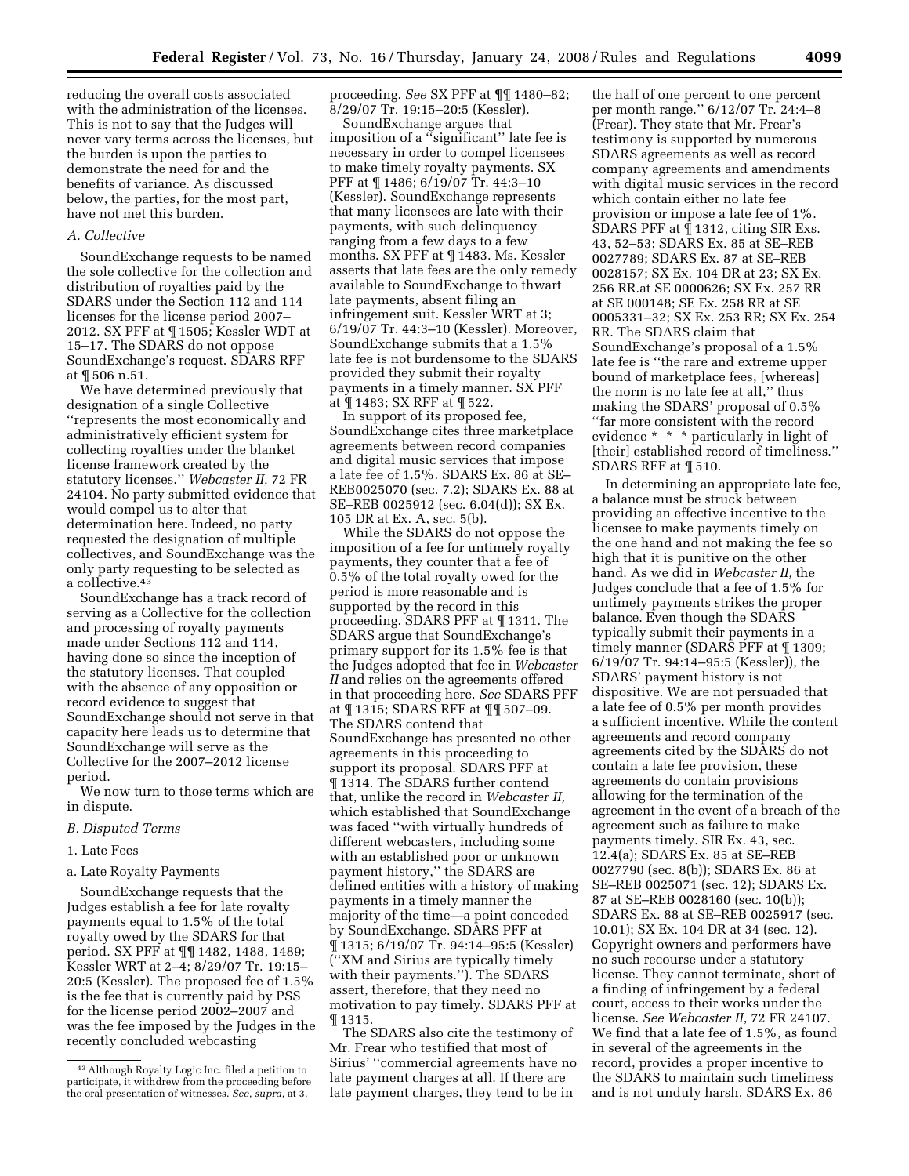reducing the overall costs associated with the administration of the licenses. This is not to say that the Judges will never vary terms across the licenses, but the burden is upon the parties to demonstrate the need for and the benefits of variance. As discussed below, the parties, for the most part, have not met this burden.

### *A. Collective*

SoundExchange requests to be named the sole collective for the collection and distribution of royalties paid by the SDARS under the Section 112 and 114 licenses for the license period 2007– 2012. SX PFF at ¶ 1505; Kessler WDT at 15–17. The SDARS do not oppose SoundExchange's request. SDARS RFF at ¶ 506 n.51.

We have determined previously that designation of a single Collective ''represents the most economically and administratively efficient system for collecting royalties under the blanket license framework created by the statutory licenses.'' *Webcaster II,* 72 FR 24104. No party submitted evidence that would compel us to alter that determination here. Indeed, no party requested the designation of multiple collectives, and SoundExchange was the only party requesting to be selected as a collective.43

SoundExchange has a track record of serving as a Collective for the collection and processing of royalty payments made under Sections 112 and 114, having done so since the inception of the statutory licenses. That coupled with the absence of any opposition or record evidence to suggest that SoundExchange should not serve in that capacity here leads us to determine that SoundExchange will serve as the Collective for the 2007–2012 license period.

We now turn to those terms which are in dispute.

#### *B. Disputed Terms*

# 1. Late Fees

#### a. Late Royalty Payments

SoundExchange requests that the Judges establish a fee for late royalty payments equal to 1.5% of the total royalty owed by the SDARS for that period. SX PFF at ¶¶ 1482, 1488, 1489; Kessler WRT at 2–4; 8/29/07 Tr. 19:15– 20:5 (Kessler). The proposed fee of 1.5% is the fee that is currently paid by PSS for the license period 2002–2007 and was the fee imposed by the Judges in the recently concluded webcasting

proceeding. *See* SX PFF at ¶¶ 1480–82; 8/29/07 Tr. 19:15–20:5 (Kessler).

SoundExchange argues that imposition of a ''significant'' late fee is necessary in order to compel licensees to make timely royalty payments. SX PFF at ¶ 1486; 6/19/07 Tr. 44:3–10 (Kessler). SoundExchange represents that many licensees are late with their payments, with such delinquency ranging from a few days to a few months. SX PFF at ¶ 1483. Ms. Kessler asserts that late fees are the only remedy available to SoundExchange to thwart late payments, absent filing an infringement suit. Kessler WRT at 3; 6/19/07 Tr. 44:3–10 (Kessler). Moreover, SoundExchange submits that a 1.5% late fee is not burdensome to the SDARS provided they submit their royalty payments in a timely manner. SX PFF at ¶ 1483; SX RFF at ¶ 522.

In support of its proposed fee, SoundExchange cites three marketplace agreements between record companies and digital music services that impose a late fee of 1.5%. SDARS Ex. 86 at SE– REB0025070 (sec. 7.2); SDARS Ex. 88 at SE–REB 0025912 (sec. 6.04(d)); SX Ex. 105 DR at Ex. A, sec. 5(b).

While the SDARS do not oppose the imposition of a fee for untimely royalty payments, they counter that a fee of 0.5% of the total royalty owed for the period is more reasonable and is supported by the record in this proceeding. SDARS PFF at ¶ 1311. The SDARS argue that SoundExchange's primary support for its 1.5% fee is that the Judges adopted that fee in *Webcaster II* and relies on the agreements offered in that proceeding here. *See* SDARS PFF at ¶ 1315; SDARS RFF at ¶¶ 507–09. The SDARS contend that SoundExchange has presented no other agreements in this proceeding to support its proposal. SDARS PFF at ¶ 1314. The SDARS further contend that, unlike the record in *Webcaster II,*  which established that SoundExchange was faced ''with virtually hundreds of different webcasters, including some with an established poor or unknown payment history,'' the SDARS are defined entities with a history of making payments in a timely manner the majority of the time—a point conceded by SoundExchange. SDARS PFF at ¶ 1315; 6/19/07 Tr. 94:14–95:5 (Kessler) (''XM and Sirius are typically timely with their payments.''). The SDARS assert, therefore, that they need no motivation to pay timely. SDARS PFF at ¶ 1315.

The SDARS also cite the testimony of Mr. Frear who testified that most of Sirius' ''commercial agreements have no late payment charges at all. If there are late payment charges, they tend to be in

the half of one percent to one percent per month range.'' 6/12/07 Tr. 24:4–8 (Frear). They state that Mr. Frear's testimony is supported by numerous SDARS agreements as well as record company agreements and amendments with digital music services in the record which contain either no late fee provision or impose a late fee of 1%. SDARS PFF at ¶ 1312, citing SIR Exs. 43, 52–53; SDARS Ex. 85 at SE–REB 0027789; SDARS Ex. 87 at SE–REB 0028157; SX Ex. 104 DR at 23; SX Ex. 256 RR.at SE 0000626; SX Ex. 257 RR at SE 000148; SE Ex. 258 RR at SE 0005331–32; SX Ex. 253 RR; SX Ex. 254 RR. The SDARS claim that SoundExchange's proposal of a 1.5% late fee is ''the rare and extreme upper bound of marketplace fees, [whereas] the norm is no late fee at all,'' thus making the SDARS' proposal of 0.5% ''far more consistent with the record evidence \* \* \* particularly in light of [their] established record of timeliness." SDARS RFF at ¶ 510.

In determining an appropriate late fee, a balance must be struck between providing an effective incentive to the licensee to make payments timely on the one hand and not making the fee so high that it is punitive on the other hand. As we did in *Webcaster II,* the Judges conclude that a fee of 1.5% for untimely payments strikes the proper balance. Even though the SDARS typically submit their payments in a timely manner (SDARS PFF at ¶ 1309; 6/19/07 Tr. 94:14–95:5 (Kessler)), the SDARS' payment history is not dispositive. We are not persuaded that a late fee of 0.5% per month provides a sufficient incentive. While the content agreements and record company agreements cited by the SDARS do not contain a late fee provision, these agreements do contain provisions allowing for the termination of the agreement in the event of a breach of the agreement such as failure to make payments timely. SIR Ex. 43, sec. 12.4(a); SDARS Ex. 85 at SE–REB 0027790 (sec. 8(b)); SDARS Ex. 86 at SE–REB 0025071 (sec. 12); SDARS Ex. 87 at SE–REB 0028160 (sec. 10(b)); SDARS Ex. 88 at SE–REB 0025917 (sec. 10.01); SX Ex. 104 DR at 34 (sec. 12). Copyright owners and performers have no such recourse under a statutory license. They cannot terminate, short of a finding of infringement by a federal court, access to their works under the license. *See Webcaster II*, 72 FR 24107. We find that a late fee of 1.5%, as found in several of the agreements in the record, provides a proper incentive to the SDARS to maintain such timeliness and is not unduly harsh. SDARS Ex. 86

<sup>43</sup>Although Royalty Logic Inc. filed a petition to participate, it withdrew from the proceeding before the oral presentation of witnesses. *See, supra,* at 3.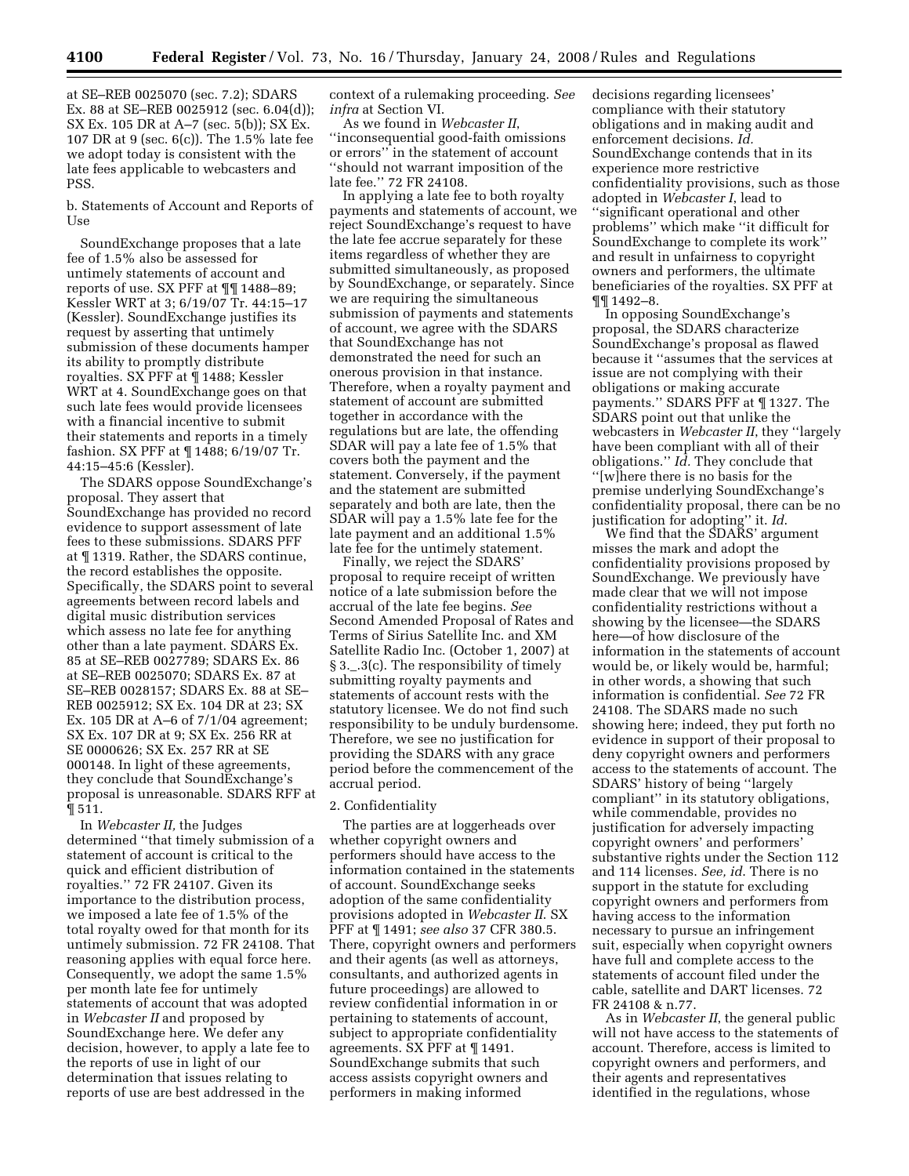at SE–REB 0025070 (sec. 7.2); SDARS Ex. 88 at SE–REB 0025912 (sec. 6.04(d)); SX Ex. 105 DR at A–7 (sec. 5(b)); SX Ex. 107 DR at 9 (sec. 6(c)). The 1.5% late fee we adopt today is consistent with the late fees applicable to webcasters and PSS.

b. Statements of Account and Reports of Use

SoundExchange proposes that a late fee of 1.5% also be assessed for untimely statements of account and reports of use. SX PFF at ¶¶ 1488–89; Kessler WRT at 3; 6/19/07 Tr. 44:15–17 (Kessler). SoundExchange justifies its request by asserting that untimely submission of these documents hamper its ability to promptly distribute royalties. SX PFF at ¶ 1488; Kessler WRT at 4. SoundExchange goes on that such late fees would provide licensees with a financial incentive to submit their statements and reports in a timely fashion. SX PFF at ¶ 1488; 6/19/07 Tr. 44:15–45:6 (Kessler).

The SDARS oppose SoundExchange's proposal. They assert that SoundExchange has provided no record evidence to support assessment of late fees to these submissions. SDARS PFF at ¶ 1319. Rather, the SDARS continue, the record establishes the opposite. Specifically, the SDARS point to several agreements between record labels and digital music distribution services which assess no late fee for anything other than a late payment. SDARS Ex. 85 at SE–REB 0027789; SDARS Ex. 86 at SE–REB 0025070; SDARS Ex. 87 at SE–REB 0028157; SDARS Ex. 88 at SE– REB 0025912; SX Ex. 104 DR at 23; SX Ex. 105 DR at A–6 of 7/1/04 agreement; SX Ex. 107 DR at 9; SX Ex. 256 RR at SE 0000626; SX Ex. 257 RR at SE 000148. In light of these agreements, they conclude that SoundExchange's proposal is unreasonable. SDARS RFF at ¶ 511.

In *Webcaster II,* the Judges determined ''that timely submission of a statement of account is critical to the quick and efficient distribution of royalties.'' 72 FR 24107. Given its importance to the distribution process, we imposed a late fee of 1.5% of the total royalty owed for that month for its untimely submission. 72 FR 24108. That reasoning applies with equal force here. Consequently, we adopt the same 1.5% per month late fee for untimely statements of account that was adopted in *Webcaster II* and proposed by SoundExchange here. We defer any decision, however, to apply a late fee to the reports of use in light of our determination that issues relating to reports of use are best addressed in the

context of a rulemaking proceeding. *See infra* at Section VI.

As we found in *Webcaster II*, ''inconsequential good-faith omissions or errors'' in the statement of account ''should not warrant imposition of the late fee.'' 72 FR 24108.

In applying a late fee to both royalty payments and statements of account, we reject SoundExchange's request to have the late fee accrue separately for these items regardless of whether they are submitted simultaneously, as proposed by SoundExchange, or separately. Since we are requiring the simultaneous submission of payments and statements of account, we agree with the SDARS that SoundExchange has not demonstrated the need for such an onerous provision in that instance. Therefore, when a royalty payment and statement of account are submitted together in accordance with the regulations but are late, the offending SDAR will pay a late fee of 1.5% that covers both the payment and the statement. Conversely, if the payment and the statement are submitted separately and both are late, then the SDAR will pay a 1.5% late fee for the late payment and an additional 1.5% late fee for the untimely statement.

Finally, we reject the SDARS' proposal to require receipt of written notice of a late submission before the accrual of the late fee begins. *See*  Second Amended Proposal of Rates and Terms of Sirius Satellite Inc. and XM Satellite Radio Inc. (October 1, 2007) at § 3.\_.3(c). The responsibility of timely submitting royalty payments and statements of account rests with the statutory licensee. We do not find such responsibility to be unduly burdensome. Therefore, we see no justification for providing the SDARS with any grace period before the commencement of the accrual period.

#### 2. Confidentiality

The parties are at loggerheads over whether copyright owners and performers should have access to the information contained in the statements of account. SoundExchange seeks adoption of the same confidentiality provisions adopted in *Webcaster II*. SX PFF at ¶ 1491; *see also* 37 CFR 380.5. There, copyright owners and performers and their agents (as well as attorneys, consultants, and authorized agents in future proceedings) are allowed to review confidential information in or pertaining to statements of account, subject to appropriate confidentiality agreements. SX PFF at ¶ 1491. SoundExchange submits that such access assists copyright owners and performers in making informed

decisions regarding licensees' compliance with their statutory obligations and in making audit and enforcement decisions. *Id.*  SoundExchange contends that in its experience more restrictive confidentiality provisions, such as those adopted in *Webcaster I*, lead to ''significant operational and other problems'' which make ''it difficult for SoundExchange to complete its work'' and result in unfairness to copyright owners and performers, the ultimate beneficiaries of the royalties. SX PFF at ¶¶ 1492–8.

In opposing SoundExchange's proposal, the SDARS characterize SoundExchange's proposal as flawed because it ''assumes that the services at issue are not complying with their obligations or making accurate payments.'' SDARS PFF at ¶ 1327. The SDARS point out that unlike the webcasters in *Webcaster II*, they ''largely have been compliant with all of their obligations.'' *Id.* They conclude that ''[w]here there is no basis for the premise underlying SoundExchange's confidentiality proposal, there can be no justification for adopting'' it. *Id*.

We find that the SDARS' argument misses the mark and adopt the confidentiality provisions proposed by SoundExchange. We previously have made clear that we will not impose confidentiality restrictions without a showing by the licensee—the SDARS here—of how disclosure of the information in the statements of account would be, or likely would be, harmful; in other words, a showing that such information is confidential. *See* 72 FR 24108. The SDARS made no such showing here; indeed, they put forth no evidence in support of their proposal to deny copyright owners and performers access to the statements of account. The SDARS' history of being ''largely compliant'' in its statutory obligations, while commendable, provides no justification for adversely impacting copyright owners' and performers' substantive rights under the Section 112 and 114 licenses. *See, id*. There is no support in the statute for excluding copyright owners and performers from having access to the information necessary to pursue an infringement suit, especially when copyright owners have full and complete access to the statements of account filed under the cable, satellite and DART licenses. 72 FR 24108 & n.77.

As in *Webcaster II*, the general public will not have access to the statements of account. Therefore, access is limited to copyright owners and performers, and their agents and representatives identified in the regulations, whose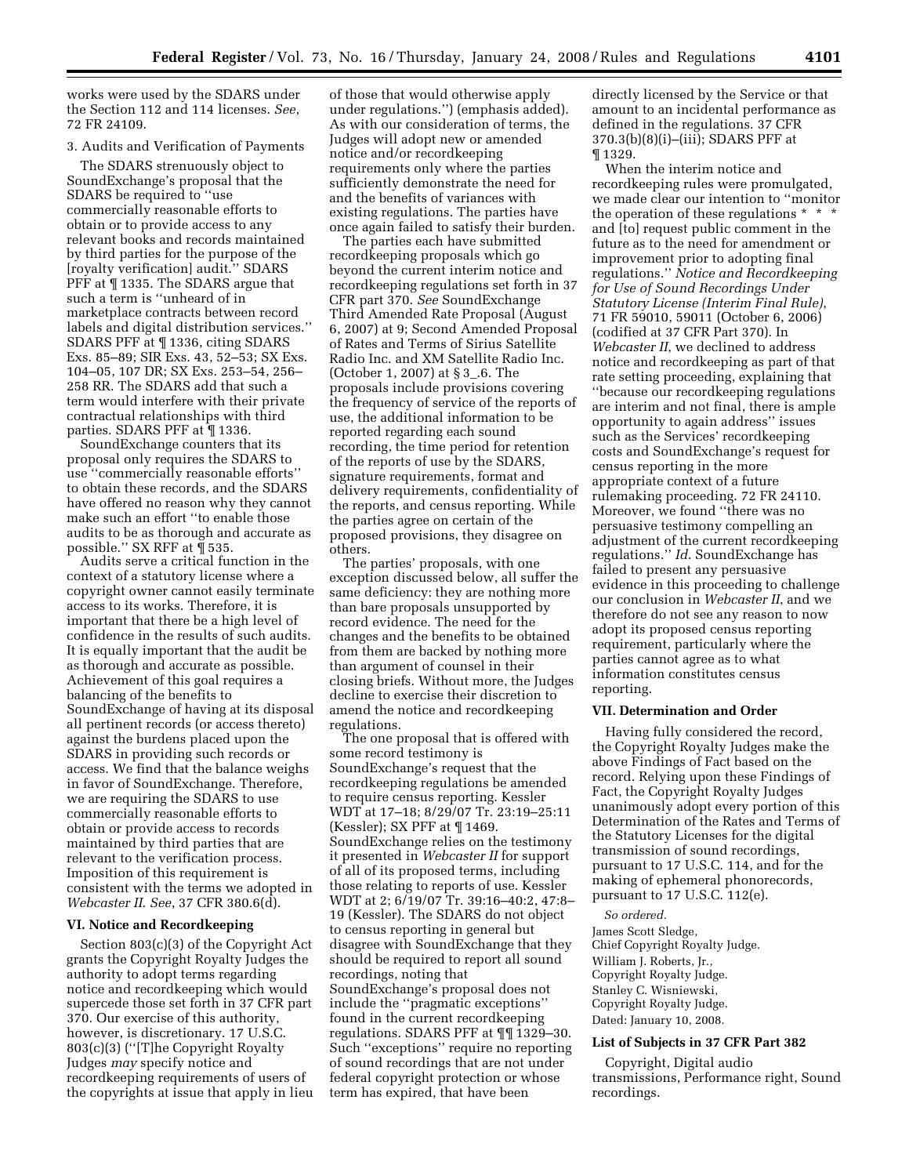works were used by the SDARS under the Section 112 and 114 licenses. *See*, 72 FR 24109.

# 3. Audits and Verification of Payments

The SDARS strenuously object to SoundExchange's proposal that the SDARS be required to ''use commercially reasonable efforts to obtain or to provide access to any relevant books and records maintained by third parties for the purpose of the [royalty verification] audit.'' SDARS PFF at ¶ 1335. The SDARS argue that such a term is ''unheard of in marketplace contracts between record labels and digital distribution services.'' SDARS PFF at ¶ 1336, citing SDARS Exs. 85–89; SIR Exs. 43, 52–53; SX Exs. 104–05, 107 DR; SX Exs. 253–54, 256– 258 RR. The SDARS add that such a term would interfere with their private contractual relationships with third parties. SDARS PFF at ¶ 1336.

SoundExchange counters that its proposal only requires the SDARS to use ''commercially reasonable efforts'' to obtain these records, and the SDARS have offered no reason why they cannot make such an effort ''to enable those audits to be as thorough and accurate as possible.'' SX RFF at ¶ 535.

Audits serve a critical function in the context of a statutory license where a copyright owner cannot easily terminate access to its works. Therefore, it is important that there be a high level of confidence in the results of such audits. It is equally important that the audit be as thorough and accurate as possible. Achievement of this goal requires a balancing of the benefits to SoundExchange of having at its disposal all pertinent records (or access thereto) against the burdens placed upon the SDARS in providing such records or access. We find that the balance weighs in favor of SoundExchange. Therefore, we are requiring the SDARS to use commercially reasonable efforts to obtain or provide access to records maintained by third parties that are relevant to the verification process. Imposition of this requirement is consistent with the terms we adopted in *Webcaster II*. *See*, 37 CFR 380.6(d).

### **VI. Notice and Recordkeeping**

Section 803(c)(3) of the Copyright Act grants the Copyright Royalty Judges the authority to adopt terms regarding notice and recordkeeping which would supercede those set forth in 37 CFR part 370. Our exercise of this authority, however, is discretionary. 17 U.S.C. 803(c)(3) (''[T]he Copyright Royalty Judges *may* specify notice and recordkeeping requirements of users of the copyrights at issue that apply in lieu

of those that would otherwise apply under regulations.'') (emphasis added). As with our consideration of terms, the Judges will adopt new or amended notice and/or recordkeeping requirements only where the parties sufficiently demonstrate the need for and the benefits of variances with existing regulations. The parties have once again failed to satisfy their burden.

The parties each have submitted recordkeeping proposals which go beyond the current interim notice and recordkeeping regulations set forth in 37 CFR part 370. *See* SoundExchange Third Amended Rate Proposal (August 6, 2007) at 9; Second Amended Proposal of Rates and Terms of Sirius Satellite Radio Inc. and XM Satellite Radio Inc. (October 1, 2007) at § 3\_.6. The proposals include provisions covering the frequency of service of the reports of use, the additional information to be reported regarding each sound recording, the time period for retention of the reports of use by the SDARS, signature requirements, format and delivery requirements, confidentiality of the reports, and census reporting. While the parties agree on certain of the proposed provisions, they disagree on others.

The parties' proposals, with one exception discussed below, all suffer the same deficiency: they are nothing more than bare proposals unsupported by record evidence. The need for the changes and the benefits to be obtained from them are backed by nothing more than argument of counsel in their closing briefs. Without more, the Judges decline to exercise their discretion to amend the notice and recordkeeping regulations.

The one proposal that is offered with some record testimony is SoundExchange's request that the recordkeeping regulations be amended to require census reporting. Kessler WDT at 17–18; 8/29/07 Tr. 23:19–25:11 (Kessler); SX PFF at ¶ 1469. SoundExchange relies on the testimony it presented in *Webcaster II* for support of all of its proposed terms, including those relating to reports of use. Kessler WDT at 2; 6/19/07 Tr. 39:16–40:2, 47:8– 19 (Kessler). The SDARS do not object to census reporting in general but disagree with SoundExchange that they should be required to report all sound recordings, noting that SoundExchange's proposal does not include the ''pragmatic exceptions'' found in the current recordkeeping regulations. SDARS PFF at ¶¶ 1329–30. Such ''exceptions'' require no reporting of sound recordings that are not under federal copyright protection or whose term has expired, that have been

directly licensed by the Service or that amount to an incidental performance as defined in the regulations. 37 CFR 370.3(b)(8)(i)–(iii); SDARS PFF at ¶ 1329.

When the interim notice and recordkeeping rules were promulgated, we made clear our intention to ''monitor the operation of these regulations \* \* \* and [to] request public comment in the future as to the need for amendment or improvement prior to adopting final regulations.'' *Notice and Recordkeeping for Use of Sound Recordings Under Statutory License (Interim Final Rule)*, 71 FR 59010, 59011 (October 6, 2006) (codified at 37 CFR Part 370). In *Webcaster II*, we declined to address notice and recordkeeping as part of that rate setting proceeding, explaining that ''because our recordkeeping regulations are interim and not final, there is ample opportunity to again address'' issues such as the Services' recordkeeping costs and SoundExchange's request for census reporting in the more appropriate context of a future rulemaking proceeding. 72 FR 24110. Moreover, we found ''there was no persuasive testimony compelling an adjustment of the current recordkeeping regulations.'' *Id*. SoundExchange has failed to present any persuasive evidence in this proceeding to challenge our conclusion in *Webcaster II*, and we therefore do not see any reason to now adopt its proposed census reporting requirement, particularly where the parties cannot agree as to what information constitutes census reporting.

#### **VII. Determination and Order**

Having fully considered the record, the Copyright Royalty Judges make the above Findings of Fact based on the record. Relying upon these Findings of Fact, the Copyright Royalty Judges unanimously adopt every portion of this Determination of the Rates and Terms of the Statutory Licenses for the digital transmission of sound recordings, pursuant to 17 U.S.C. 114, and for the making of ephemeral phonorecords, pursuant to 17 U.S.C. 112(e).

*So ordered.*  James Scott Sledge, Chief Copyright Royalty Judge. William J. Roberts, Jr., Copyright Royalty Judge. Stanley C. Wisniewski, Copyright Royalty Judge. Dated: January 10, 2008.

## **List of Subjects in 37 CFR Part 382**

Copyright, Digital audio transmissions, Performance right, Sound recordings.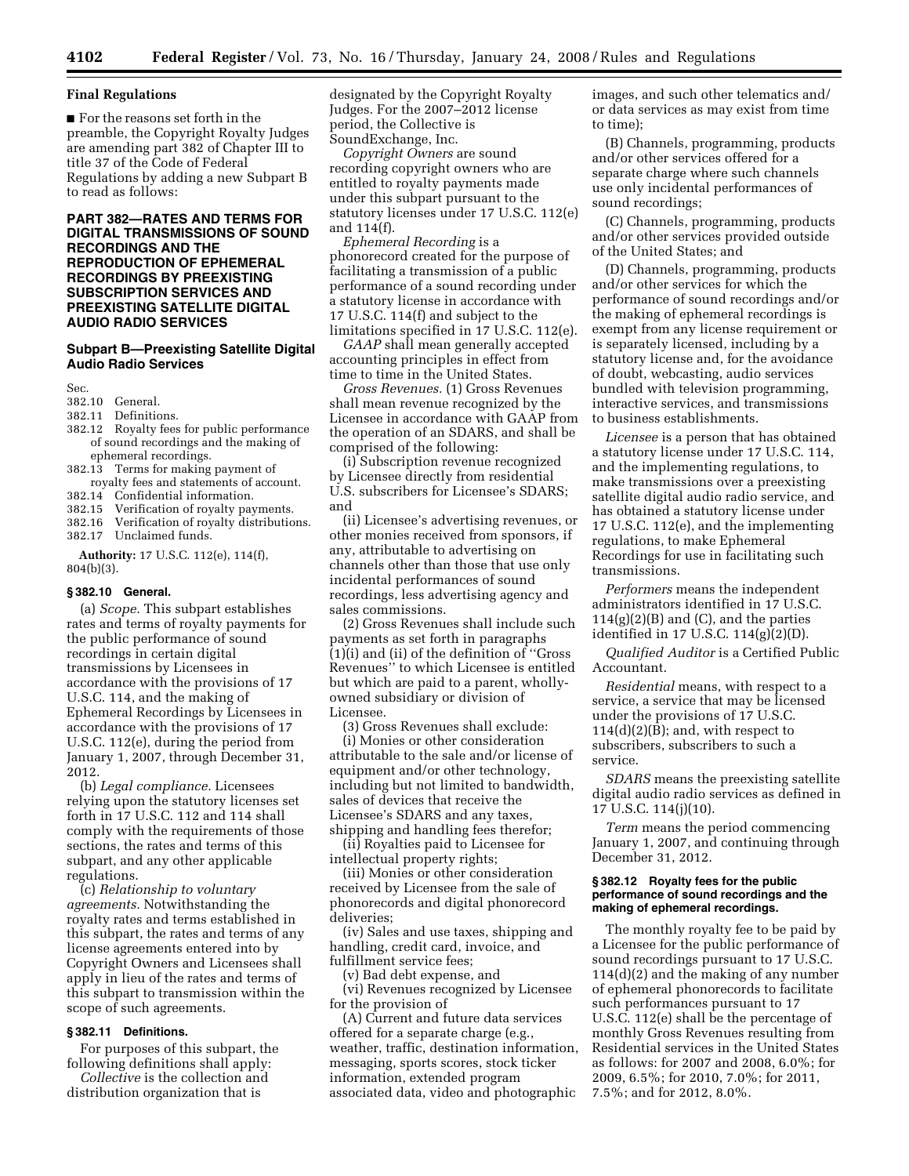### **Final Regulations**

■ For the reasons set forth in the preamble, the Copyright Royalty Judges are amending part 382 of Chapter III to title 37 of the Code of Federal Regulations by adding a new Subpart B to read as follows:

# **PART 382—RATES AND TERMS FOR DIGITAL TRANSMISSIONS OF SOUND RECORDINGS AND THE REPRODUCTION OF EPHEMERAL RECORDINGS BY PREEXISTING SUBSCRIPTION SERVICES AND PREEXISTING SATELLITE DIGITAL AUDIO RADIO SERVICES**

# **Subpart B—Preexisting Satellite Digital Audio Radio Services**

Sec.

- 382.10 General.
- Definitions.
- 382.12 Royalty fees for public performance of sound recordings and the making of ephemeral recordings.
- 382.13 Terms for making payment of royalty fees and statements of account.
- 382.14 Confidential information.
- 382.15 Verification of royalty payments.
- 382.16 Verification of royalty distributions.
- 382.17 Unclaimed funds.

**Authority:** 17 U.S.C. 112(e), 114(f), 804(b)(3).

# **§ 382.10 General.**

(a) *Scope.* This subpart establishes rates and terms of royalty payments for the public performance of sound recordings in certain digital transmissions by Licensees in accordance with the provisions of 17 U.S.C. 114, and the making of Ephemeral Recordings by Licensees in accordance with the provisions of 17 U.S.C. 112(e), during the period from January 1, 2007, through December 31, 2012.

(b) *Legal compliance.* Licensees relying upon the statutory licenses set forth in 17 U.S.C. 112 and 114 shall comply with the requirements of those sections, the rates and terms of this subpart, and any other applicable regulations.

(c) *Relationship to voluntary agreements.* Notwithstanding the royalty rates and terms established in this subpart, the rates and terms of any license agreements entered into by Copyright Owners and Licensees shall apply in lieu of the rates and terms of this subpart to transmission within the scope of such agreements.

# **§ 382.11 Definitions.**

For purposes of this subpart, the following definitions shall apply:

*Collective* is the collection and distribution organization that is

designated by the Copyright Royalty Judges. For the 2007–2012 license period, the Collective is SoundExchange, Inc.

*Copyright Owners* are sound recording copyright owners who are entitled to royalty payments made under this subpart pursuant to the statutory licenses under 17 U.S.C. 112(e) and 114(f).

*Ephemeral Recording* is a phonorecord created for the purpose of facilitating a transmission of a public performance of a sound recording under a statutory license in accordance with 17 U.S.C. 114(f) and subject to the limitations specified in 17 U.S.C. 112(e).

*GAAP* shall mean generally accepted accounting principles in effect from time to time in the United States.

*Gross Revenues.* (1) Gross Revenues shall mean revenue recognized by the Licensee in accordance with GAAP from the operation of an SDARS, and shall be comprised of the following:

(i) Subscription revenue recognized by Licensee directly from residential U.S. subscribers for Licensee's SDARS; and

(ii) Licensee's advertising revenues, or other monies received from sponsors, if any, attributable to advertising on channels other than those that use only incidental performances of sound recordings, less advertising agency and sales commissions.

(2) Gross Revenues shall include such payments as set forth in paragraphs (1)(i) and (ii) of the definition of ''Gross Revenues'' to which Licensee is entitled but which are paid to a parent, whollyowned subsidiary or division of Licensee.

(3) Gross Revenues shall exclude:

(i) Monies or other consideration attributable to the sale and/or license of equipment and/or other technology, including but not limited to bandwidth, sales of devices that receive the Licensee's SDARS and any taxes, shipping and handling fees therefor;

(ii) Royalties paid to Licensee for intellectual property rights;

(iii) Monies or other consideration received by Licensee from the sale of phonorecords and digital phonorecord deliveries;

(iv) Sales and use taxes, shipping and handling, credit card, invoice, and fulfillment service fees;

(v) Bad debt expense, and

(vi) Revenues recognized by Licensee for the provision of

(A) Current and future data services offered for a separate charge (e.g., weather, traffic, destination information, messaging, sports scores, stock ticker information, extended program associated data, video and photographic

images, and such other telematics and/ or data services as may exist from time to time);

(B) Channels, programming, products and/or other services offered for a separate charge where such channels use only incidental performances of sound recordings;

(C) Channels, programming, products and/or other services provided outside of the United States; and

(D) Channels, programming, products and/or other services for which the performance of sound recordings and/or the making of ephemeral recordings is exempt from any license requirement or is separately licensed, including by a statutory license and, for the avoidance of doubt, webcasting, audio services bundled with television programming, interactive services, and transmissions to business establishments.

*Licensee* is a person that has obtained a statutory license under 17 U.S.C. 114, and the implementing regulations, to make transmissions over a preexisting satellite digital audio radio service, and has obtained a statutory license under 17 U.S.C. 112(e), and the implementing regulations, to make Ephemeral Recordings for use in facilitating such transmissions.

*Performers* means the independent administrators identified in 17 U.S.C. 114(g)(2)(B) and (C), and the parties identified in 17 U.S.C. 114(g)(2)(D).

*Qualified Auditor* is a Certified Public Accountant.

*Residential* means, with respect to a service, a service that may be licensed under the provisions of 17 U.S.C.  $114(d)(2)(B)$ ; and, with respect to subscribers, subscribers to such a service.

*SDARS* means the preexisting satellite digital audio radio services as defined in 17 U.S.C. 114(j)(10).

*Term* means the period commencing January 1, 2007, and continuing through December 31, 2012.

#### **§ 382.12 Royalty fees for the public performance of sound recordings and the making of ephemeral recordings.**

The monthly royalty fee to be paid by a Licensee for the public performance of sound recordings pursuant to 17 U.S.C. 114(d)(2) and the making of any number of ephemeral phonorecords to facilitate such performances pursuant to 17 U.S.C. 112(e) shall be the percentage of monthly Gross Revenues resulting from Residential services in the United States as follows: for 2007 and 2008, 6.0%; for 2009, 6.5%; for 2010, 7.0%; for 2011, 7.5%; and for 2012, 8.0%.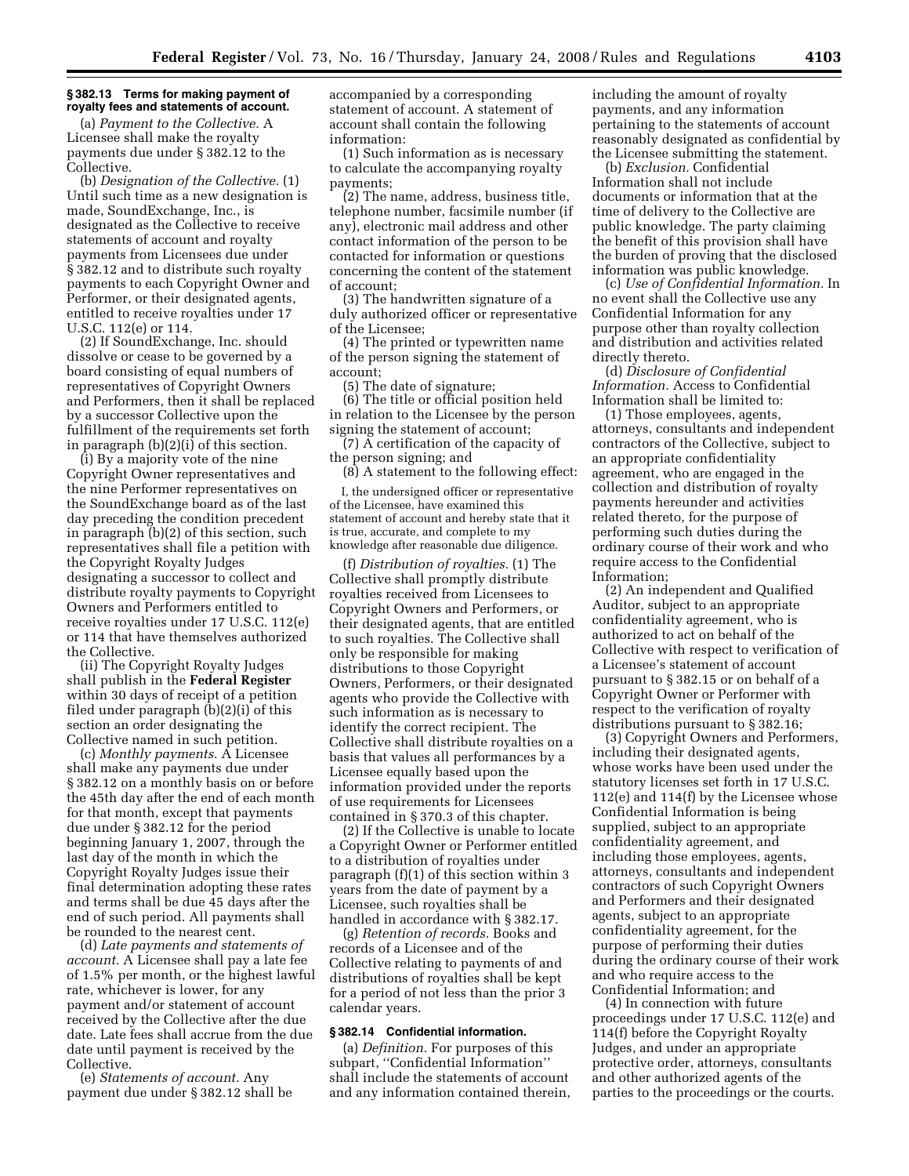#### **§ 382.13 Terms for making payment of royalty fees and statements of account.**

(a) *Payment to the Collective.* A Licensee shall make the royalty payments due under § 382.12 to the Collective.

(b) *Designation of the Collective.* (1) Until such time as a new designation is made, SoundExchange, Inc., is designated as the Collective to receive statements of account and royalty payments from Licensees due under § 382.12 and to distribute such royalty payments to each Copyright Owner and Performer, or their designated agents, entitled to receive royalties under 17 U.S.C. 112(e) or 114.

(2) If SoundExchange, Inc. should dissolve or cease to be governed by a board consisting of equal numbers of representatives of Copyright Owners and Performers, then it shall be replaced by a successor Collective upon the fulfillment of the requirements set forth in paragraph (b)(2)(i) of this section.

(i) By a majority vote of the nine Copyright Owner representatives and the nine Performer representatives on the SoundExchange board as of the last day preceding the condition precedent in paragraph (b)(2) of this section, such representatives shall file a petition with the Copyright Royalty Judges designating a successor to collect and distribute royalty payments to Copyright Owners and Performers entitled to receive royalties under 17 U.S.C. 112(e) or 114 that have themselves authorized the Collective.

(ii) The Copyright Royalty Judges shall publish in the **Federal Register**  within 30 days of receipt of a petition filed under paragraph (b)(2)(i) of this section an order designating the Collective named in such petition.

(c) *Monthly payments.* A Licensee shall make any payments due under § 382.12 on a monthly basis on or before the 45th day after the end of each month for that month, except that payments due under § 382.12 for the period beginning January 1, 2007, through the last day of the month in which the Copyright Royalty Judges issue their final determination adopting these rates and terms shall be due 45 days after the end of such period. All payments shall be rounded to the nearest cent.

(d) *Late payments and statements of account.* A Licensee shall pay a late fee of 1.5% per month, or the highest lawful rate, whichever is lower, for any payment and/or statement of account received by the Collective after the due date. Late fees shall accrue from the due date until payment is received by the Collective.

(e) *Statements of account.* Any payment due under § 382.12 shall be accompanied by a corresponding statement of account. A statement of account shall contain the following information:

(1) Such information as is necessary to calculate the accompanying royalty payments;

(2) The name, address, business title, telephone number, facsimile number (if any), electronic mail address and other contact information of the person to be contacted for information or questions concerning the content of the statement of account;

(3) The handwritten signature of a duly authorized officer or representative of the Licensee;

(4) The printed or typewritten name of the person signing the statement of account;

(5) The date of signature;

(6) The title or official position held in relation to the Licensee by the person signing the statement of account;

(7) A certification of the capacity of the person signing; and

(8) A statement to the following effect:

I, the undersigned officer or representative of the Licensee, have examined this statement of account and hereby state that it is true, accurate, and complete to my knowledge after reasonable due diligence.

(f) *Distribution of royalties.* (1) The Collective shall promptly distribute royalties received from Licensees to Copyright Owners and Performers, or their designated agents, that are entitled to such royalties. The Collective shall only be responsible for making distributions to those Copyright Owners, Performers, or their designated agents who provide the Collective with such information as is necessary to identify the correct recipient. The Collective shall distribute royalties on a basis that values all performances by a Licensee equally based upon the information provided under the reports of use requirements for Licensees contained in § 370.3 of this chapter.

(2) If the Collective is unable to locate a Copyright Owner or Performer entitled to a distribution of royalties under paragraph (f)(1) of this section within 3 years from the date of payment by a Licensee, such royalties shall be handled in accordance with § 382.17.

(g) *Retention of records.* Books and records of a Licensee and of the Collective relating to payments of and distributions of royalties shall be kept for a period of not less than the prior 3 calendar years.

# **§ 382.14 Confidential information.**

(a) *Definition.* For purposes of this subpart, ''Confidential Information'' shall include the statements of account and any information contained therein, including the amount of royalty payments, and any information pertaining to the statements of account reasonably designated as confidential by the Licensee submitting the statement.

(b) *Exclusion.* Confidential Information shall not include documents or information that at the time of delivery to the Collective are public knowledge. The party claiming the benefit of this provision shall have the burden of proving that the disclosed information was public knowledge.

(c) *Use of Confidential Information.* In no event shall the Collective use any Confidential Information for any purpose other than royalty collection and distribution and activities related directly thereto.

(d) *Disclosure of Confidential Information.* Access to Confidential Information shall be limited to:

(1) Those employees, agents, attorneys, consultants and independent contractors of the Collective, subject to an appropriate confidentiality agreement, who are engaged in the collection and distribution of royalty payments hereunder and activities related thereto, for the purpose of performing such duties during the ordinary course of their work and who require access to the Confidential Information;

(2) An independent and Qualified Auditor, subject to an appropriate confidentiality agreement, who is authorized to act on behalf of the Collective with respect to verification of a Licensee's statement of account pursuant to § 382.15 or on behalf of a Copyright Owner or Performer with respect to the verification of royalty distributions pursuant to § 382.16;

(3) Copyright Owners and Performers, including their designated agents, whose works have been used under the statutory licenses set forth in 17 U.S.C. 112(e) and 114(f) by the Licensee whose Confidential Information is being supplied, subject to an appropriate confidentiality agreement, and including those employees, agents, attorneys, consultants and independent contractors of such Copyright Owners and Performers and their designated agents, subject to an appropriate confidentiality agreement, for the purpose of performing their duties during the ordinary course of their work and who require access to the Confidential Information; and

(4) In connection with future proceedings under 17 U.S.C. 112(e) and 114(f) before the Copyright Royalty Judges, and under an appropriate protective order, attorneys, consultants and other authorized agents of the parties to the proceedings or the courts.